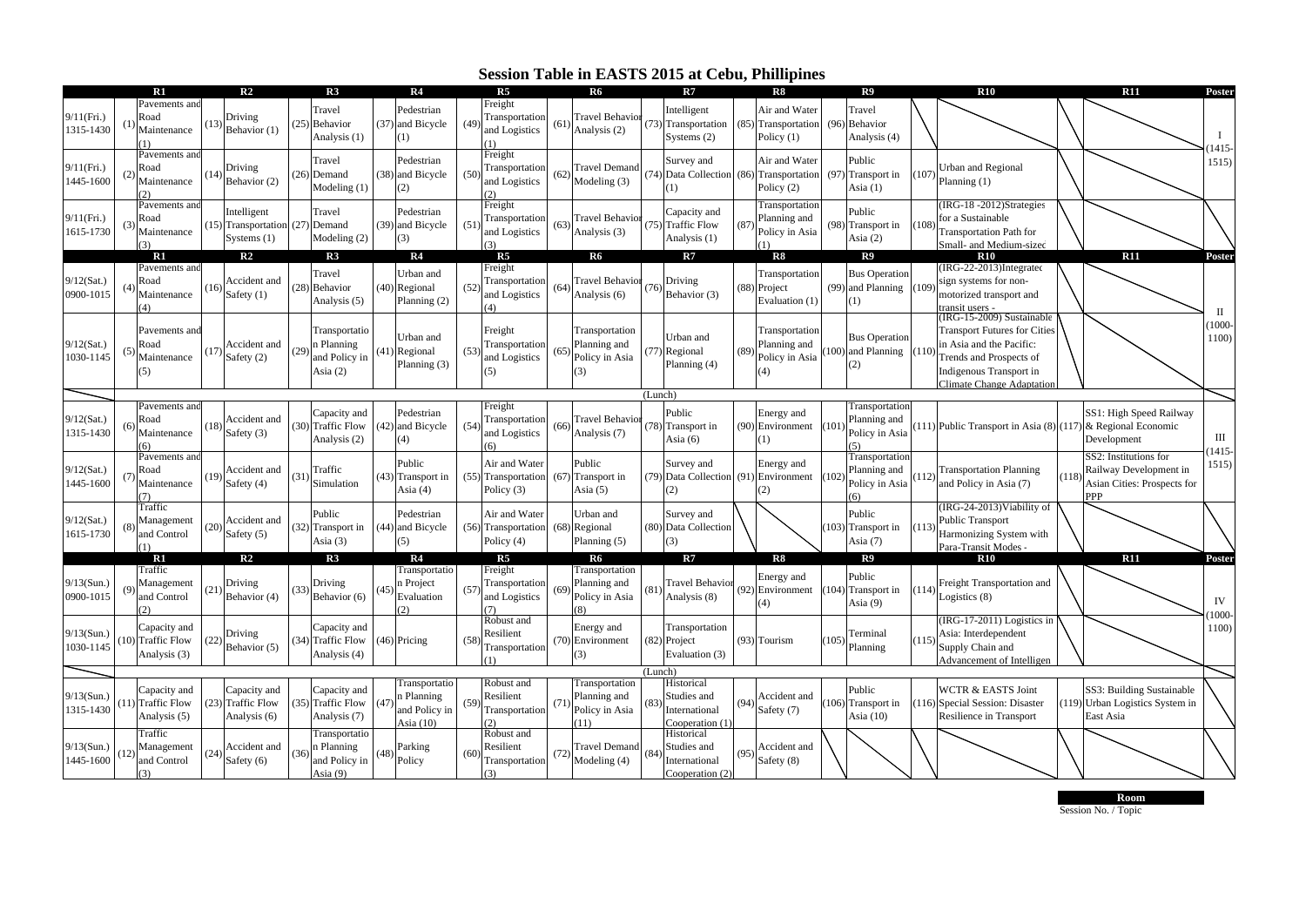## **Session Table in EASTS 2015 at Cebu, Phillipines**

|                            |    | R1                                                |      | R <sub>2</sub>                                                 |     | R3                                                       |      | R <sub>4</sub>                                            |      | R <sub>5</sub>                                     |      | <b>R6</b>                                               |         | R7                                                            |      | R8                                                           |      | R <sub>9</sub>                                    |       | R10                                                                                                                                                                             |       | R11                                                                            | Poster                |
|----------------------------|----|---------------------------------------------------|------|----------------------------------------------------------------|-----|----------------------------------------------------------|------|-----------------------------------------------------------|------|----------------------------------------------------|------|---------------------------------------------------------|---------|---------------------------------------------------------------|------|--------------------------------------------------------------|------|---------------------------------------------------|-------|---------------------------------------------------------------------------------------------------------------------------------------------------------------------------------|-------|--------------------------------------------------------------------------------|-----------------------|
| 9/11(Fri.)<br>1315-1430    |    | Pavements and<br>Road<br>Maintenance              | (13) | Driving<br>Behavior (1)                                        |     | Travel<br>(25) Behavior<br>Analysis (1)                  | (37) | Pedestrian<br>and Bicycle<br>(1)                          | (49) | Freight<br>Transportation<br>and Logistics<br>(1)  | (61) | <b>Travel Behavior</b><br>Analysis (2)                  |         | Intelligent<br>(73) Transportation<br>Systems $(2)$           | (85) | Air and Water<br>Transportation<br>Policy (1)                | (96) | Travel<br>Behavior<br>Analysis (4)                |       |                                                                                                                                                                                 |       |                                                                                | 1415-                 |
| 9/11(Fri.)<br>1445-1600    |    | Pavements and<br>Road<br>Maintenance              | (14) | Driving<br>Behavior (2)                                        |     | Travel<br>$(26)$ Demand<br>Modeling (1)                  |      | Pedestrian<br>(38) and Bicycle<br>(2)                     | (50) | Freight<br>Transportation<br>and Logistics<br>(2)  |      | <b>Travel Demand</b><br>Modeling (3)                    |         | Survey and<br>(74) Data Collection (86)<br>$\overline{1}$     |      | Air and Water<br>Transportation<br>Policy (2)                | (97) | Public<br>Transport in<br>Asia $(1)$              | (107  | <b>Urban and Regional</b><br>Planning (1)                                                                                                                                       |       |                                                                                | 1515                  |
| 9/11(Fri.)<br>1615-1730    |    | Pavements and<br>Road<br>Maintenance              |      | ntelligent<br>(15) Transportation (27) Demand<br>Systems $(1)$ |     | Travel<br>Modeling (2)                                   | (39) | Pedestrian<br>and Bicycle                                 | (51) | Freight<br>Transportation<br>and Logistics         | (63) | <b>Travel Behavior</b><br>Analysis (3)                  |         | Capacity and<br>(75) Traffic Flow<br>Analysis (1)             | (87) | Transportation<br>Planning and<br>Policy in Asia             | (98) | Public<br>Transport in<br>Asia $(2)$              | 108   | IRG-18-2012)Strategies<br>for a Sustainable<br><b>Transportation Path for</b><br>Small- and Medium-sized                                                                        |       |                                                                                |                       |
|                            |    | $\mathbf{R}1$                                     |      | R <sub>2</sub>                                                 |     | R3                                                       |      | R <sub>4</sub>                                            |      | R <sub>5</sub>                                     |      | R6                                                      |         | R7                                                            |      | R8                                                           |      | R <sup>9</sup>                                    |       | <b>R10</b>                                                                                                                                                                      |       | <b>R11</b>                                                                     | Poster                |
| 9/12(Sat.)<br>0900-1015    |    | Pavements and<br>Road<br>Maintenance<br>(4)       | (16  | Accident and<br>Safety (1)                                     |     | Fravel<br>(28) Behavior<br>Analysis (5)                  | (40) | Urban and<br>Regional<br>Planning (2)                     | (52) | Freight<br>Transportation<br>and Logistics<br>(4)  | (64) | <b>Travel Behavior</b><br>Analysis (6)                  | (76     | Driving<br>Behavior (3)                                       | (88  | <b>Transportation</b><br>Project<br>Evaluation (1)           |      | <b>Bus Operation</b><br>(99) and Planning<br>(1)  | (109) | (IRG-22-2013)Integrated<br>sign systems for non-<br>motorized transport and<br>transit users -                                                                                  |       |                                                                                | $\mathbf{I}$          |
| 9/12(Sat.)<br>1030-1145    |    | Pavements and<br>Road<br>Maintenance<br>(5)       | (17) | Accident and<br>Safety (2)                                     | (29 | Transportatio<br>Planning<br>and Policy in<br>Asia $(2)$ | (41) | Urban and<br>Regional<br>Planning (3)                     | (53) | Freight<br>Transportation<br>and Logistics<br>(5)  | (65  | Transportation<br>Planning and<br>Policy in Asia<br>(3) | 177     | Jrban and<br>Regional<br>Planning (4)                         | (89) | Transportation<br>Planning and<br>Policy in Asia<br>$^{(4)}$ | 100) | <b>Bus Operation</b><br>and Planning (110)<br>(2) |       | (IRG-15-2009) Sustainable<br><b>Transport Futures for Cities</b><br>in Asia and the Pacific:<br>Trends and Prospects of<br>Indigenous Transport in<br>Climate Change Adaptation |       |                                                                                | 1000-<br>1100)        |
|                            |    |                                                   |      |                                                                |     |                                                          |      |                                                           |      |                                                    |      |                                                         | (Lunch) |                                                               |      |                                                              |      |                                                   |       |                                                                                                                                                                                 |       |                                                                                |                       |
| $9/12$ (Sat.)<br>1315-1430 |    | Pavements and<br>Road<br>Maintenance<br>6         | (18  | Accident and<br>Safety (3)                                     |     | Capacity and<br>(30) Traffic Flow<br>Analysis (2)        | (42) | Pedestrian<br>and Bicycle<br>(4)                          | (54) | Freight<br>Transportation<br>and Logistics<br>(6)  | (66) | <b>Travel Behavior</b><br>Analysis (7)                  |         | Public<br>(78) Transport in<br>Asia $(6)$                     | (90) | Energy and<br>Environment<br>(1)                             | 101  | Transportation<br>Planning and<br>Policy in Asia  |       | $(111)$ Public Transport in Asia $(8)$ $(117)$ & Regional Economic                                                                                                              |       | SS1: High Speed Railway<br>Development                                         | $\rm III$<br>$1415 -$ |
| $9/12$ (Sat.)<br>1445-1600 |    | Pavements and<br>Road<br>Maintenance<br>(7)       | (19) | Accident and<br>Safety (4)                                     | (31 | Traffic<br>Simulation                                    | (43) | Public<br>Transport in<br>Asia $(4)$                      |      | Air and Water<br>(55) Transportation<br>Policy (3) | (67) | Public<br>Transport in<br>Asia $(5)$                    |         | Survey and<br>(79) Data Collection (91<br>(2)                 |      | Energy and<br>Environment<br>(2)                             |      | Transportation<br>Planning and<br>Policy in Asia  | 112   | <b>Transportation Planning</b><br>and Policy in Asia (7)                                                                                                                        | (118) | SS2: Institutions for<br>Railway Development in<br>Asian Cities: Prospects for | 1515)                 |
| 9/12(Sat.)<br>1615-1730    |    | Traffic<br>Management<br>and Control              | 20   | Accident and<br>Safety (5)                                     |     | Public<br>(32) Transport in<br>Asia $(3)$                | (44) | Pedestrian<br>and Bicycle<br>5)                           |      | Air and Water<br>(56) Transportation<br>Policy (4) | (68) | Urban and<br>Regional<br>Planning (5)                   |         | Survey and<br>(80) Data Collection<br>3)                      |      |                                                              |      | Public<br>(103) Transport in<br>Asia $(7)$        | (113) | (IRG-24-2013) Viability of<br><b>Public Transport</b><br>Harmonizing System with<br>Para-Transit Modes -                                                                        |       |                                                                                |                       |
|                            |    | R1                                                |      | R <sub>2</sub>                                                 |     | R3                                                       |      | R <sub>4</sub>                                            |      | R <sub>5</sub>                                     |      | R6                                                      |         | R7                                                            |      | R8                                                           |      | R9                                                |       | <b>R10</b>                                                                                                                                                                      |       | R11                                                                            | Poster                |
| 9/13(Sun.)<br>0900-1015    |    | Traffic<br>Management<br>and Control<br>つ         | (21) | Driving<br>Behavior (4)                                        | (33 | Driving<br>Behavior (6)                                  | (45  | Transportatio<br>n Project<br>Evaluation<br>$\mathcal{D}$ | (57) | Freight<br>Transportation<br>and Logistics<br>(7)  | (69) | Transportation<br>Planning and<br>Policy in Asia        | (81     | <b>Travel Behavior</b><br>Analysis (8)                        | (92) | Energy and<br>Environment<br>$^{(4)}$                        | 104) | Public<br>Transport in<br>Asia $(9)$              | 114   | Freight Transportation and<br>ogistics (8)                                                                                                                                      |       |                                                                                | IV<br>1000-           |
| $9/13$ (Sun.)<br>1030-1145 |    | Capacity and<br>(10) Traffic Flow<br>Analysis (3) |      | Driving<br>Behavior (5)                                        |     | Capacity and<br>(34) Traffic Flow<br>Analysis (4)        |      | (46) Pricing                                              | 58)  | Robust and<br>Resilient<br>Transportation<br>(1)   |      | Energy and<br>(70) Environment<br>(3)                   |         | Transportation<br>(82) Project<br>Evaluation (3)              |      | (93) Tourism                                                 | 105) | Terminal<br>Planning                              | (115) | (IRG-17-2011) Logistics in<br>Asia: Interdependent<br>Supply Chain and<br>Advancement of Intelligen                                                                             |       |                                                                                | 1100)                 |
|                            |    |                                                   |      |                                                                |     |                                                          |      |                                                           |      |                                                    |      |                                                         | (Lunch) |                                                               |      |                                                              |      |                                                   |       |                                                                                                                                                                                 |       |                                                                                |                       |
| 9/13(Sun.)<br>1315-1430    | 11 | Capacity and<br>) Traffic Flow<br>Analysis (5)    |      | Capacity and<br>(23) Traffic Flow<br>Analysis (6)              |     | Capacity and<br>(35) Traffic Flow<br>Analysis (7)        | (47) | ransportatio<br>Planning<br>and Policy in<br>Asia (10)    | (59  | Robust and<br>Resilient<br>Transportation<br>(2)   | (71) | Transportation<br>Planning and<br>Policy in Asia<br>11) |         | Historical<br>Studies and<br>International<br>Cooperation (1) | (94) | Accident and<br>Safety (7)                                   | 106) | Public<br>Transport in<br>Asia (10)               |       | <b>WCTR &amp; EASTS Joint</b><br>(116) Special Session: Disaster<br>Resilience in Transport                                                                                     |       | SS3: Building Sustainable<br>(119) Urban Logistics System in<br>East Asia      |                       |
| 9/13(Sun.)<br>1445-1600    |    | Traffic<br>Management<br>and Control<br>(3)       | (24  | Accident and<br>Safety (6)                                     |     | Transportatio<br>Planning<br>and Policy in<br>Asia $(9)$ |      | Parking<br>Policy                                         | (60) | Robust and<br>Resilient<br>Transportation<br>(3)   | (72) | <b>Travel Demand</b><br>Modeling (4)                    | (84     | Historical<br>Studies and<br>International<br>Cooperation (2) | (95) | Accident and<br>Safety (8)                                   |      |                                                   |       |                                                                                                                                                                                 |       |                                                                                |                       |

Session No. / Topic **Room**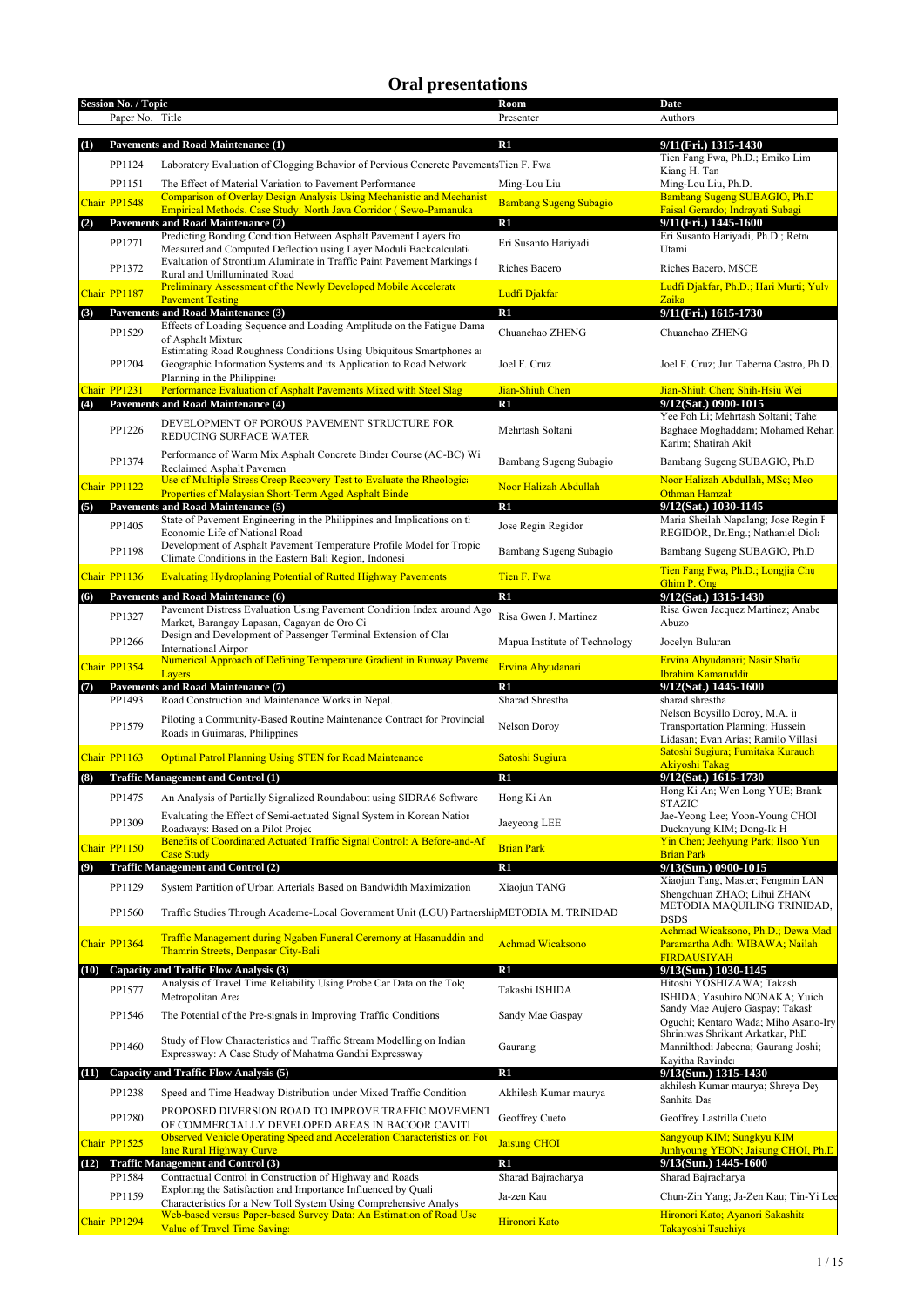## **Oral presentations**

| <b>Session No. / Topic</b> |                 |                                                                                                                                         | Room                          | <b>Date</b>                                                                                                                                             |
|----------------------------|-----------------|-----------------------------------------------------------------------------------------------------------------------------------------|-------------------------------|---------------------------------------------------------------------------------------------------------------------------------------------------------|
|                            | Paper No. Title |                                                                                                                                         | Presenter                     | Authors                                                                                                                                                 |
|                            |                 |                                                                                                                                         |                               |                                                                                                                                                         |
| (1)                        |                 | <b>Pavements and Road Maintenance (1)</b>                                                                                               | $\mathbf{R}1$                 | 9/11(Fri.) 1315-1430                                                                                                                                    |
|                            | PP1124          | Laboratory Evaluation of Clogging Behavior of Pervious Concrete PavementsTien F. Fwa                                                    |                               | Tien Fang Fwa, Ph.D.; Emiko Lim<br>Kiang H. Tar                                                                                                         |
|                            | PP1151          | The Effect of Material Variation to Pavement Performance                                                                                | Ming-Lou Liu                  | Ming-Lou Liu, Ph.D.                                                                                                                                     |
| Chair PP1548               |                 | <b>Comparison of Overlay Design Analysis Using Mechanistic and Mechanist</b>                                                            | <b>Bambang Sugeng Subagio</b> | Bambang Sugeng SUBAGIO, Ph.D.                                                                                                                           |
|                            |                 | Empirical Methods. Case Study: North Java Corridor (Sewo-Pamanuka                                                                       |                               | Faisal Gerardo; Indrayati Subagi                                                                                                                        |
| (2)                        |                 | Pavements and Road Maintenance (2)<br>Predicting Bonding Condition Between Asphalt Pavement Layers fro                                  | $\mathbf{R}1$                 | 9/11(Fri.) 1445-1600<br>Eri Susanto Hariyadi, Ph.D.; Retn                                                                                               |
|                            | PP1271          | Measured and Computed Deflection using Layer Moduli Backcalculation                                                                     | Eri Susanto Hariyadi          | Utami                                                                                                                                                   |
|                            |                 | Evaluation of Strontium Aluminate in Traffic Paint Pavement Markings f                                                                  |                               |                                                                                                                                                         |
|                            | PP1372          | Rural and Unilluminated Road                                                                                                            | Riches Bacero                 | Riches Bacero, MSCE                                                                                                                                     |
| Chair PP1187               |                 | <b>Preliminary Assessment of the Newly Developed Mobile Accelerate</b>                                                                  | Ludfi Djakfar                 | Ludfi Djakfar, Ph.D.; Hari Murti; Yulv                                                                                                                  |
| (3)                        |                 | <b>Pavement Testing</b><br><b>Pavements and Road Maintenance (3)</b>                                                                    | R1                            | Zaika<br>9/11(Fri.) 1615-1730                                                                                                                           |
|                            |                 | Effects of Loading Sequence and Loading Amplitude on the Fatigue Dama                                                                   |                               |                                                                                                                                                         |
|                            | PP1529          | of Asphalt Mixture                                                                                                                      | Chuanchao ZHENG               | Chuanchao ZHENG                                                                                                                                         |
|                            |                 | Estimating Road Roughness Conditions Using Ubiquitous Smartphones at                                                                    |                               |                                                                                                                                                         |
|                            | PP1204          | Geographic Information Systems and its Application to Road Network                                                                      | Joel F. Cruz                  | Joel F. Cruz; Jun Taberna Castro, Ph.D.                                                                                                                 |
| Chair PP1231               |                 | Planning in the Philippine:<br>Performance Evaluation of Asphalt Pavements Mixed with Steel Slag                                        | Jian-Shiuh Chen               | Jian-Shiuh Chen; Shih-Hsiu Wei                                                                                                                          |
| (4)                        |                 | <b>Pavements and Road Maintenance (4)</b>                                                                                               | R1                            | 9/12(Sat.) 0900-1015                                                                                                                                    |
|                            |                 | DEVELOPMENT OF POROUS PAVEMENT STRUCTURE FOR                                                                                            |                               | Yee Poh Li; Mehrtash Soltani; Tahe                                                                                                                      |
|                            | PP1226          | <b>REDUCING SURFACE WATER</b>                                                                                                           | Mehrtash Soltani              | Baghaee Moghaddam; Mohamed Rehan                                                                                                                        |
|                            |                 |                                                                                                                                         |                               | Karim: Shatirah Akil                                                                                                                                    |
|                            | PP1374          | Performance of Warm Mix Asphalt Concrete Binder Course (AC-BC) Wi<br>Reclaimed Asphalt Pavemen                                          | Bambang Sugeng Subagio        | Bambang Sugeng SUBAGIO, Ph.D                                                                                                                            |
|                            |                 | Use of Multiple Stress Creep Recovery Test to Evaluate the Rheologic                                                                    |                               | Noor Halizah Abdullah, MSc; Meo                                                                                                                         |
| Chair PP1122               |                 | Properties of Malaysian Short-Term Aged Asphalt Binde                                                                                   | Noor Halizah Abdullah         | Othman Hamzal                                                                                                                                           |
| (5)                        |                 | Pavements and Road Maintenance (5)                                                                                                      | $\mathbf{R}1$                 | 9/12(Sat.) 1030-1145                                                                                                                                    |
|                            | PP1405          | State of Pavement Engineering in the Philippines and Implications on th                                                                 | Jose Regin Regidor            | Maria Sheilah Napalang; Jose Regin I                                                                                                                    |
|                            |                 | Economic Life of National Road<br>Development of Asphalt Pavement Temperature Profile Model for Tropic                                  |                               | REGIDOR, Dr.Eng.; Nathaniel Diola                                                                                                                       |
|                            | PP1198          | Climate Conditions in the Eastern Bali Region, Indonesi                                                                                 | Bambang Sugeng Subagio        | Bambang Sugeng SUBAGIO, Ph.D                                                                                                                            |
| Chair PP1136               |                 | <b>Evaluating Hydroplaning Potential of Rutted Highway Pavements</b>                                                                    | Tien F. Fwa                   | Tien Fang Fwa, Ph.D.; Longjia Chu                                                                                                                       |
|                            |                 |                                                                                                                                         |                               | Ghim P. Ong                                                                                                                                             |
| (6)                        |                 | Pavements and Road Maintenance (6)<br>Pavement Distress Evaluation Using Pavement Condition Index around Ago                            | R1                            | 9/12(Sat.) 1315-1430<br>Risa Gwen Jacquez Martinez; Anabe                                                                                               |
|                            | PP1327          | Market, Barangay Lapasan, Cagayan de Oro Ci                                                                                             | Risa Gwen J. Martinez         | Abuzo                                                                                                                                                   |
|                            |                 | Design and Development of Passenger Terminal Extension of Clar                                                                          |                               |                                                                                                                                                         |
|                            | PP1266          | <b>International Airpor</b>                                                                                                             | Mapua Institute of Technology | Jocelyn Buluran                                                                                                                                         |
| Chair PP1354               |                 | Numerical Approach of Defining Temperature Gradient in Runway Paveme                                                                    | Ervina Ahyudanari             | Ervina Ahyudanari; Nasir Shafic                                                                                                                         |
|                            |                 |                                                                                                                                         |                               |                                                                                                                                                         |
|                            |                 | Lavers                                                                                                                                  |                               | Ibrahim Kamaruddir                                                                                                                                      |
| (7)                        |                 | Pavements and Road Maintenance (7)                                                                                                      | $\mathbf{R}1$                 | 9/12(Sat.) 1445-1600                                                                                                                                    |
|                            | PP1493          | Road Construction and Maintenance Works in Nepal.                                                                                       | Sharad Shrestha               | sharad shrestha<br>Nelson Boysillo Doroy, M.A. ii                                                                                                       |
|                            | PP1579          | Piloting a Community-Based Routine Maintenance Contract for Provincial                                                                  | Nelson Doroy                  | Transportation Planning; Hussein                                                                                                                        |
|                            |                 | Roads in Guimaras, Philippines                                                                                                          |                               | Lidasan; Evan Arias; Ramilo Villasi                                                                                                                     |
| Chair PP1163               |                 | <b>Optimal Patrol Planning Using STEN for Road Maintenance</b>                                                                          | Satoshi Sugiura               | Satoshi Sugiura; Fumitaka Kurauch                                                                                                                       |
|                            |                 |                                                                                                                                         |                               | <b>Akiyoshi Takag</b>                                                                                                                                   |
| (8)                        |                 | <b>Traffic Management and Control (1)</b>                                                                                               | R1                            | 9/12(Sat.) 1615-1730                                                                                                                                    |
|                            | PP1475          | An Analysis of Partially Signalized Roundabout using SIDRA6 Software                                                                    | Hong Ki An                    | Hong Ki An; Wen Long YUE; Brank<br><b>STAZIC</b>                                                                                                        |
|                            | PP1309          | Evaluating the Effect of Semi-actuated Signal System in Korean Nation                                                                   | Jaeyeong LEE                  | Jae-Yeong Lee; Yoon-Young CHOI                                                                                                                          |
|                            |                 | Roadways: Based on a Pilot Projec                                                                                                       |                               | Ducknyung KIM; Dong-Ik H                                                                                                                                |
| Chair PP1150               |                 | Benefits of Coordinated Actuated Traffic Signal Control: A Before-and-Af<br><b>Case Study</b>                                           | <b>Brian Park</b>             | Yin Chen; Jeehyung Park; Ilsoo Yun<br><b>Brian Park</b>                                                                                                 |
| (9)                        |                 | <b>Traffic Management and Control (2)</b>                                                                                               | R1                            | 9/13(Sun.) 0900-1015                                                                                                                                    |
|                            |                 |                                                                                                                                         |                               | Xiaojun Tang, Master; Fengmin LAN                                                                                                                       |
|                            | PP1129          | System Partition of Urban Arterials Based on Bandwidth Maximization                                                                     | Xiaojun TANG                  | Shengchuan ZHAO; Lihui ZHAN(                                                                                                                            |
|                            | PP1560          | Traffic Studies Through Academe-Local Government Unit (LGU) PartnershipMETODIA M. TRINIDAD                                              |                               | METODIA MAQUILING TRINIDAD,                                                                                                                             |
|                            |                 |                                                                                                                                         |                               | <b>DSDS</b><br>Achmad Wicaksono, Ph.D.; Dewa Mad                                                                                                        |
| Chair PP1364               |                 | Traffic Management during Ngaben Funeral Ceremony at Hasanuddin and                                                                     | <b>Achmad Wicaksono</b>       | Paramartha Adhi WIBAWA; Nailah                                                                                                                          |
|                            |                 | Thamrin Streets, Denpasar City-Bali                                                                                                     |                               | <b>FIRDAUSIYAH</b>                                                                                                                                      |
| (10)                       |                 | <b>Capacity and Traffic Flow Analysis (3)</b>                                                                                           | R1                            | 9/13(Sun.) 1030-1145                                                                                                                                    |
|                            | PP1577          | Analysis of Travel Time Reliability Using Probe Car Data on the Tok-                                                                    | Takashi ISHIDA                | Hitoshi YOSHIZAWA; Takash                                                                                                                               |
|                            |                 | Metropolitan Area                                                                                                                       |                               | ISHIDA; Yasuhiro NONAKA; Yuich<br>Sandy Mae Aujero Gaspay; Takasł                                                                                       |
|                            | PP1546          | The Potential of the Pre-signals in Improving Traffic Conditions                                                                        | Sandy Mae Gaspay              |                                                                                                                                                         |
|                            |                 |                                                                                                                                         |                               | Shriniwas Shrikant Arkatkar, PhD                                                                                                                        |
|                            | PP1460          | Study of Flow Characteristics and Traffic Stream Modelling on Indian<br>Expressway: A Case Study of Mahatma Gandhi Expressway           | Gaurang                       | Mannilthodi Jabeena; Gaurang Joshi;                                                                                                                     |
|                            |                 |                                                                                                                                         |                               | Kayitha Ravinde:                                                                                                                                        |
| (11)                       |                 | Capacity and Traffic Flow Analysis (5)                                                                                                  | R1                            | 9/13(Sun.) 1315-1430<br>akhilesh Kumar maurya; Shreya Dey                                                                                               |
|                            | PP1238          | Speed and Time Headway Distribution under Mixed Traffic Condition                                                                       | Akhilesh Kumar maurya         | Sanhita Das                                                                                                                                             |
|                            | PP1280          | PROPOSED DIVERSION ROAD TO IMPROVE TRAFFIC MOVEMENT                                                                                     |                               | Geoffrey Lastrilla Cueto                                                                                                                                |
|                            |                 | OF COMMERCIALLY DEVELOPED AREAS IN BACOOR CAVITI                                                                                        | Geoffrey Cueto                |                                                                                                                                                         |
| Chair PP1525               |                 | Observed Vehicle Operating Speed and Acceleration Characteristics on For                                                                | <b>Jaisung CHOI</b>           | Sangyoup KIM; Sungkyu KIM                                                                                                                               |
| (12)                       |                 | lane Rural Highway Curve<br><b>Traffic Management and Control (3)</b>                                                                   | R1                            | 9/13(Sun.) 1445-1600                                                                                                                                    |
|                            | PP1584          | Contractual Control in Construction of Highway and Roads                                                                                | Sharad Bajracharya            | Sharad Bajracharya                                                                                                                                      |
|                            |                 | Exploring the Satisfaction and Importance Influenced by Quali                                                                           |                               |                                                                                                                                                         |
| Chair PP1294               | PP1159          | Characteristics for a New Toll System Using Comprehensive Analys<br>Web-based versus Paper-based Survey Data: An Estimation of Road Use | Ja-zen Kau<br>Hironori Kato   | Oguchi; Kentaro Wada; Miho Asano-Iry<br>Junhyoung YEON; Jaisung CHOI, Ph.L<br>Chun-Zin Yang; Ja-Zen Kau; Tin-Yi Lee<br>Hironori Kato; Ayanori Sakashita |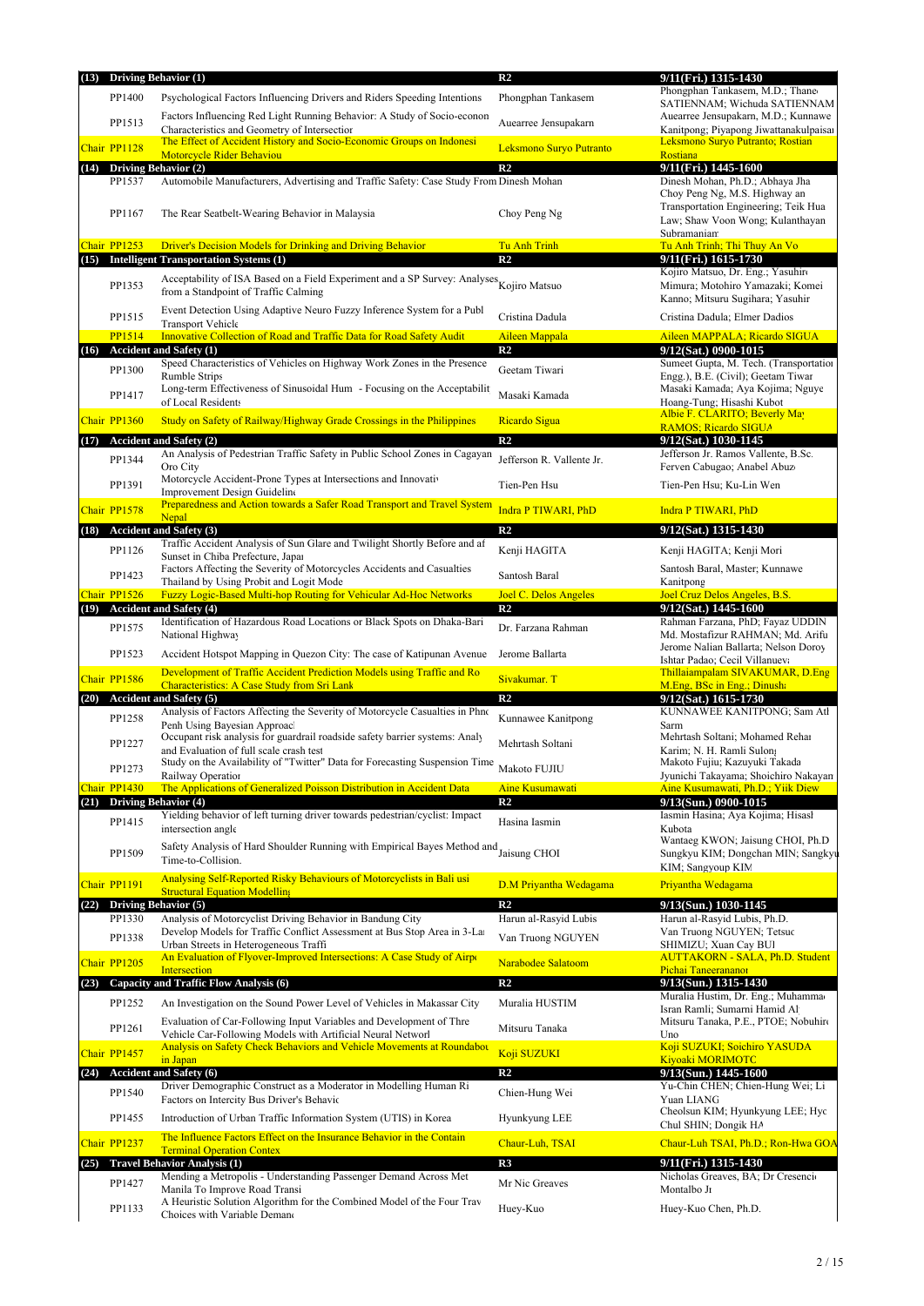|      |              | (13) Driving Behavior (1)                                                                                                          | R <sub>2</sub>                          | 9/11(Fri.) 1315-1430                                                         |
|------|--------------|------------------------------------------------------------------------------------------------------------------------------------|-----------------------------------------|------------------------------------------------------------------------------|
|      | PP1400       | Psychological Factors Influencing Drivers and Riders Speeding Intentions                                                           | Phongphan Tankasem                      | Phongphan Tankasem, M.D.; Thaneo<br>SATIENNAM; Wichuda SATIENNAM             |
|      |              | Factors Influencing Red Light Running Behavior: A Study of Socio-econon                                                            |                                         | Auearree Jensupakarn, M.D.; Kunnawe                                          |
|      | PP1513       | Characteristics and Geometry of Intersection                                                                                       | Auearree Jensupakarn                    | Kanitpong; Piyapong Jiwattanakulpaisai                                       |
|      | Chair PP1128 | The Effect of Accident History and Socio-Economic Groups on Indonesi<br>Motorcycle Rider Behaviou                                  | Leksmono Suryo Putranto                 | Leksmono Suryo Putranto; Rostian<br>Rostiana                                 |
| (14) |              | <b>Driving Behavior (2)</b>                                                                                                        | $\overline{\mathbf{R2}}$                | 9/11(Fri.) 1445-1600                                                         |
|      | PP1537       | Automobile Manufacturers, Advertising and Traffic Safety: Case Study From Dinesh Mohan                                             |                                         | Dinesh Mohan, Ph.D.; Abhaya Jha                                              |
|      |              |                                                                                                                                    |                                         | Choy Peng Ng, M.S. Highway an<br>Transportation Engineering; Teik Hua        |
|      | PP1167       | The Rear Seatbelt-Wearing Behavior in Malaysia                                                                                     | Choy Peng Ng                            | Law; Shaw Voon Wong; Kulanthayan                                             |
|      |              |                                                                                                                                    |                                         | Subramaniam                                                                  |
|      | Chair PP1253 | <b>Driver's Decision Models for Drinking and Driving Behavior</b>                                                                  | <b>Tu Anh Trinh</b>                     | Tu Anh Trinh; Thi Thuy An Vo                                                 |
| (15) |              | <b>Intelligent Transportation Systems (1)</b>                                                                                      | R <sub>2</sub>                          | 9/11(Fri.) 1615-1730<br>Kojiro Matsuo, Dr. Eng.; Yasuhir                     |
|      | PP1353       | Acceptability of ISA Based on a Field Experiment and a SP Survey: Analyses Kojiro Matsuo                                           |                                         | Mimura; Motohiro Yamazaki; Komei                                             |
|      |              | from a Standpoint of Traffic Calming                                                                                               |                                         | Kanno; Mitsuru Sugihara; Yasuhir                                             |
|      | PP1515       | Event Detection Using Adaptive Neuro Fuzzy Inference System for a Publ<br><b>Transport Vehicle</b>                                 | Cristina Dadula                         | Cristina Dadula; Elmer Dadios                                                |
|      | PP1514       | Innovative Collection of Road and Traffic Data for Road Safety Audit                                                               | Aileen Mappala                          | Aileen MAPPALA; Ricardo SIGUA                                                |
| (16) |              | <b>Accident and Safety (1)</b>                                                                                                     | R <sub>2</sub>                          | 9/12(Sat.) 0900-1015                                                         |
|      | PP1300       | Speed Characteristics of Vehicles on Highway Work Zones in the Presence<br>Rumble Strips                                           | Geetam Tiwari                           | Sumeet Gupta, M. Tech. (Transportation<br>Engg.), B.E. (Civil); Geetam Tiwar |
|      |              | Long-term Effectiveness of Sinusoidal Hum - Focusing on the Acceptabilit                                                           |                                         | Masaki Kamada; Aya Kojima; Nguye                                             |
|      | PP1417       | of Local Residents                                                                                                                 | Masaki Kamada                           | Hoang-Tung; Hisashi Kubot                                                    |
|      | Chair PP1360 | Study on Safety of Railway/Highway Grade Crossings in the Philippines                                                              | Ricardo Sigua                           | Albie F. CLARITO; Beverly May<br><b>RAMOS</b> ; Ricardo SIGUA                |
| (17) |              | <b>Accident and Safety (2)</b>                                                                                                     | R <sub>2</sub>                          | 9/12(Sat.) 1030-1145                                                         |
|      | PP1344       | An Analysis of Pedestrian Traffic Safety in Public School Zones in Cagayan                                                         | Jefferson R. Vallente Jr.               | Jefferson Jr. Ramos Vallente, B.Sc.                                          |
|      |              | Oro City                                                                                                                           |                                         | Ferven Cabugao; Anabel Abuzo                                                 |
|      | PP1391       | Motorcycle Accident-Prone Types at Intersections and Innovativ<br>Improvement Design Guideline                                     | Tien-Pen Hsu                            | Tien-Pen Hsu; Ku-Lin Wen                                                     |
|      | Chair PP1578 | Preparedness and Action towards a Safer Road Transport and Travel System                                                           | Indra P TIWARI, PhD                     | Indra P TIWARI, PhD                                                          |
|      |              | <b>Nepal</b>                                                                                                                       |                                         |                                                                              |
|      |              | (18) Accident and Safety (3)<br>Traffic Accident Analysis of Sun Glare and Twilight Shortly Before and af                          | $\mathbf{R}2$                           | 9/12(Sat.) 1315-1430                                                         |
|      | PP1126       | Sunset in Chiba Prefecture, Japan                                                                                                  | Kenji HAGITA                            | Kenji HAGITA; Kenji Mori                                                     |
|      | PP1423       | Factors Affecting the Severity of Motorcycles Accidents and Casualties                                                             | Santosh Baral                           | Santosh Baral, Master; Kunnawe                                               |
|      | Chair PP1526 | Thailand by Using Probit and Logit Mode<br><b>Fuzzy Logic-Based Multi-hop Routing for Vehicular Ad-Hoc Networks</b>                | Joel C. Delos Angeles                   | Kanitpong<br>Joel Cruz Delos Angeles, B.S.                                   |
| (19) |              | <b>Accident and Safety (4)</b>                                                                                                     | R <sub>2</sub>                          | 9/12(Sat.) 1445-1600                                                         |
|      | PP1575       | Identification of Hazardous Road Locations or Black Spots on Dhaka-Bari                                                            | Dr. Farzana Rahman                      | Rahman Farzana, PhD; Fayaz UDDIN                                             |
|      |              | National Highway                                                                                                                   |                                         | Md. Mostafizur RAHMAN; Md. Arifu<br>Jerome Nalian Ballarta; Nelson Doroy     |
|      | PP1523       | Accident Hotspot Mapping in Quezon City: The case of Katipunan Avenue                                                              | Jerome Ballarta                         | Ishtar Padao; Cecil Villanueva                                               |
|      | Chair PP1586 | Development of Traffic Accident Prediction Models using Traffic and Ro                                                             | Sivakumar. T                            | Thillaiampalam SIVAKUMAR, D.Eng                                              |
|      |              | <b>Characteristics: A Case Study from Sri Lank</b><br>(20) Accident and Safety (5)                                                 | $\mathbf{R}2$                           | M.Eng, BSc in Eng.; Dinusha<br>9/12(Sat.) 1615-1730                          |
|      |              | Analysis of Factors Affecting the Severity of Motorcycle Casualties in Phno                                                        |                                         | KUNNAWEE KANITPONG; Sam Atl                                                  |
|      | PP1258       | Penh Using Bayesian Approac                                                                                                        | Kunnawee Kanitpong                      | Sarm                                                                         |
|      | PP1227       | Occupant risk analysis for guardrail roadside safety barrier systems: Analy<br>and Evaluation of full scale crash test             | Mehrtash Soltani                        | Mehrtash Soltani; Mohamed Rehai<br>Karim; N. H. Ramli Sulon;                 |
|      |              | Study on the Availability of "Twitter" Data for Forecasting Suspension Time                                                        |                                         | Makoto Fujiu; Kazuyuki Takada                                                |
|      | PP1273       | Railway Operation                                                                                                                  | Makoto FUJIU                            | Jyunichi Takayama; Shoichiro Nakayan                                         |
|      | Chair PP1430 | The Applications of Generalized Poisson Distribution in Accident Data<br>(21) Driving Behavior (4)                                 | <b>Aine Kusumawati</b><br>$\mathbf{R}2$ | Aine Kusumawati, Ph.D.; Yiik Diew                                            |
|      |              | Yielding behavior of left turning driver towards pedestrian/cyclist: Impact                                                        |                                         | 9/13(Sun.) 0900-1015<br>Iasmin Hasina; Aya Kojima; Hisasl                    |
|      | PP1415       | intersection angle                                                                                                                 | Hasina Iasmin                           | Kubota                                                                       |
|      |              | Safety Analysis of Hard Shoulder Running with Empirical Bayes Method and                                                           |                                         | Wantaeg KWON; Jaisung CHOI, Ph.D                                             |
|      | PP1509       | Time-to-Collision.                                                                                                                 | Jaisung CHOI                            | Sungkyu KIM; Dongchan MIN; Sangkyu<br>KIM; Sangyoup KIM                      |
|      | Chair PP1191 | Analysing Self-Reported Risky Behaviours of Motorcyclists in Bali usi                                                              | D.M Priyantha Wedagama                  | Priyantha Wedagama                                                           |
|      |              | <b>Structural Equation Modelling</b>                                                                                               |                                         |                                                                              |
| (22) | PP1330       | <b>Driving Behavior (5)</b><br>Analysis of Motorcyclist Driving Behavior in Bandung City                                           | R2<br>Harun al-Rasyid Lubis             | 9/13(Sun.) 1030-1145<br>Harun al-Rasyid Lubis, Ph.D.                         |
|      |              | Develop Models for Traffic Conflict Assessment at Bus Stop Area in 3-La                                                            |                                         | Van Truong NGUYEN; Tetsuc                                                    |
|      | PP1338       | Urban Streets in Heterogeneous Traffi                                                                                              | Van Truong NGUYEN                       | SHIMIZU; Xuan Cay BUI                                                        |
|      | Chair PP1205 | An Evaluation of Flyover-Improved Intersections: A Case Study of Airport<br><b>Intersection</b>                                    | Narabodee Salatoom                      | <b>AUTTAKORN - SALA, Ph.D. Student</b>                                       |
| (23) |              | <b>Capacity and Traffic Flow Analysis (6)</b>                                                                                      | R <sub>2</sub>                          | Pichai Taneerananor<br>9/13(Sun.) 1315-1430                                  |
|      | PP1252       | An Investigation on the Sound Power Level of Vehicles in Makassar City                                                             | Muralia HUSTIM                          | Muralia Hustim, Dr. Eng.; Muhamma                                            |
|      |              |                                                                                                                                    |                                         | Isran Ramli; Sumarni Hamid Al                                                |
|      | PP1261       | Evaluation of Car-Following Input Variables and Development of Thre<br>Vehicle Car-Following Models with Artificial Neural Networl | Mitsuru Tanaka                          | Mitsuru Tanaka, P.E., PTOE; Nobuhiro<br>Uno                                  |
|      | Chair PP1457 | <b>Analysis on Safety Check Behaviors and Vehicle Movements at Roundabot</b>                                                       | Koji SUZUKI                             | Koji SUZUKI; Soichiro YASUDA                                                 |
|      |              | in Japan                                                                                                                           |                                         | <b>Kiyoaki MORIMOTC</b>                                                      |
|      |              | (24) Accident and Safety (6)<br>Driver Demographic Construct as a Moderator in Modelling Human Ri                                  | R <sub>2</sub>                          | 9/13(Sun.) 1445-1600<br>Yu-Chin CHEN; Chien-Hung Wei; Li                     |
|      | PP1540       | Factors on Intercity Bus Driver's Behavic                                                                                          | Chien-Hung Wei                          | Yuan LIANG                                                                   |
|      | PP1455       | Introduction of Urban Traffic Information System (UTIS) in Korea                                                                   | Hyunkyung LEE                           | Cheolsun KIM; Hyunkyung LEE; Hyc                                             |
|      |              | The Influence Factors Effect on the Insurance Behavior in the Contain                                                              |                                         | Chul SHIN; Dongik HA                                                         |
|      | Chair PP1237 | <b>Terminal Operation Contex</b>                                                                                                   | Chaur-Luh, TSAI                         | Chaur-Luh TSAI, Ph.D.; Ron-Hwa GOA                                           |
| (25) |              | <b>Travel Behavior Analysis (1)</b>                                                                                                | R3                                      | 9/11(Fri.) 1315-1430                                                         |
|      | PP1427       | Mending a Metropolis - Understanding Passenger Demand Across Met                                                                   | Mr Nic Greaves                          | Nicholas Greaves, BA; Dr Cresencio                                           |
|      |              | Manila To Improve Road Transi<br>A Heuristic Solution Algorithm for the Combined Model of the Four Trav                            |                                         | Montalbo Jr                                                                  |
|      | PP1133       | Choices with Variable Demano                                                                                                       | Huey-Kuo                                | Huey-Kuo Chen, Ph.D.                                                         |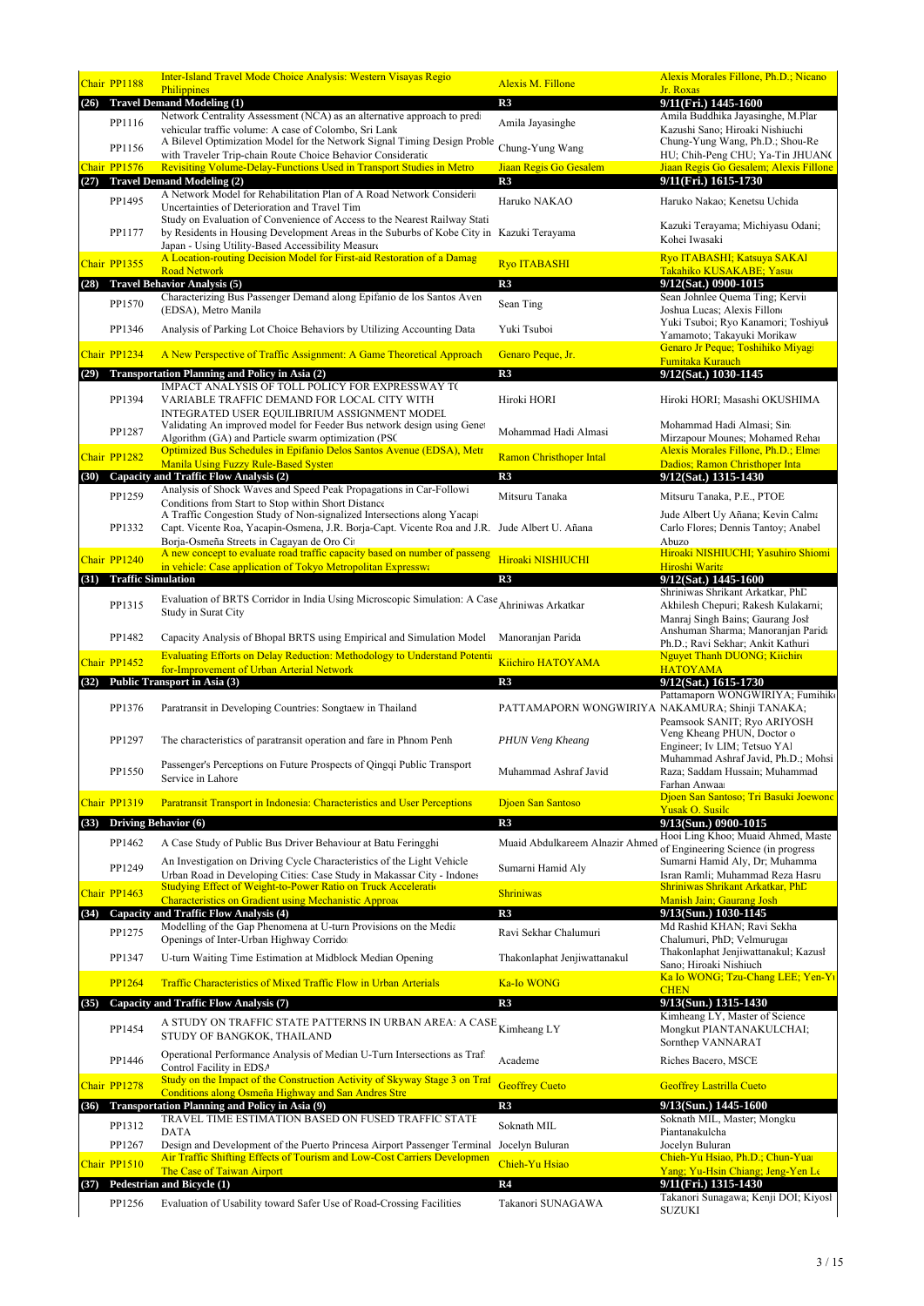|      | Chair PP1188                | <b>Inter-Island Travel Mode Choice Analysis: Western Visayas Regio</b>                                                                                                                                                 | <b>Alexis M. Fillone</b>                        | Alexis Morales Fillone, Ph.D.; Nicano                                                                       |
|------|-----------------------------|------------------------------------------------------------------------------------------------------------------------------------------------------------------------------------------------------------------------|-------------------------------------------------|-------------------------------------------------------------------------------------------------------------|
|      |                             | Philippines<br><b>Travel Demand Modeling (1)</b>                                                                                                                                                                       | R3                                              | Jr. Roxas<br>9/11(Fri.) 1445-1600                                                                           |
| (26) |                             | Network Centrality Assessment (NCA) as an alternative approach to pred                                                                                                                                                 |                                                 | Amila Buddhika Jayasinghe, M.Plar                                                                           |
|      | PP1116                      | vehicular traffic volume: A case of Colombo, Sri Lank<br>A Bilevel Optimization Model for the Network Signal Timing Design Proble                                                                                      | Amila Jayasinghe                                | Kazushi Sano; Hiroaki Nishiuchi<br>Chung-Yung Wang, Ph.D.; Shou-Re                                          |
|      | PP1156                      | with Traveler Trip-chain Route Choice Behavior Consideratic                                                                                                                                                            | Chung-Yung Wang                                 | HU; Chih-Peng CHU; Ya-Tin JHUAN(                                                                            |
|      | Chair PP1576                | Revisiting Volume-Delay-Functions Used in Transport Studies in Metro                                                                                                                                                   | Jiaan Regis Go Gesalem                          | Jiaan Regis Go Gesalem; Alexis Fillone                                                                      |
| (27) | PP1495                      | <b>Travel Demand Modeling (2)</b><br>A Network Model for Rehabilitation Plan of A Road Network Considerii                                                                                                              | R3<br>Haruko NAKAO                              | 9/11(Fri.) 1615-1730<br>Haruko Nakao; Kenetsu Uchida                                                        |
|      | PP1177                      | Uncertainties of Deterioration and Travel Tim<br>Study on Evaluation of Convenience of Access to the Nearest Railway Stati<br>by Residents in Housing Development Areas in the Suburbs of Kobe City in Kazuki Terayama |                                                 | Kazuki Terayama; Michiyasu Odani;<br>Kohei Iwasaki                                                          |
|      |                             | Japan - Using Utility-Based Accessibility Measure<br>A Location-routing Decision Model for First-aid Restoration of a Damag                                                                                            |                                                 | Ryo ITABASHI; Katsuya SAKAI                                                                                 |
|      | Chair PP1355                | <b>Road Network</b>                                                                                                                                                                                                    | <b>Ryo ITABASHI</b>                             | Takahiko KUSAKABE; Yasu                                                                                     |
|      |                             | (28) Travel Behavior Analysis (5)<br>Characterizing Bus Passenger Demand along Epifanio de los Santos Aven                                                                                                             | R3                                              | 9/12(Sat.) 0900-1015<br>Sean Johnlee Quema Ting; Kervin                                                     |
|      | PP1570                      | (EDSA), Metro Manila                                                                                                                                                                                                   | Sean Ting                                       | Joshua Lucas; Alexis Fillon<br>Yuki Tsuboi; Ryo Kanamori; Toshiyuk                                          |
|      | PP1346                      | Analysis of Parking Lot Choice Behaviors by Utilizing Accounting Data                                                                                                                                                  | Yuki Tsuboi                                     | Yamamoto; Takayuki Morikaw<br>Genaro Jr Peque; Toshihiko Miyagi                                             |
|      | Chair PP1234                | A New Perspective of Traffic Assignment: A Game Theoretical Approach                                                                                                                                                   | Genaro Peque, Jr.                               | Fumitaka Kurauch                                                                                            |
| (29) |                             | <b>Transportation Planning and Policy in Asia (2)</b><br>IMPACT ANALYSIS OF TOLL POLICY FOR EXPRESSWAY TO                                                                                                              | R3                                              | 9/12(Sat.) 1030-1145                                                                                        |
|      | PP1394                      | VARIABLE TRAFFIC DEMAND FOR LOCAL CITY WITH<br>INTEGRATED USER EQUILIBRIUM ASSIGNMENT MODEL<br>Validating An improved model for Feeder Bus network design using Genet                                                  | Hiroki HORI                                     | Hiroki HORI; Masashi OKUSHIMA<br>Mohammad Hadi Almasi; Sin                                                  |
|      | PP1287                      | Algorithm (GA) and Particle swarm optimization (PSC                                                                                                                                                                    | Mohammad Hadi Almasi                            | Mirzapour Mounes; Mohamed Rehar                                                                             |
|      | Chair PP1282                | Optimized Bus Schedules in Epifanio Delos Santos Avenue (EDSA), Metr                                                                                                                                                   | <b>Ramon Christhoper Intal</b>                  | Alexis Morales Fillone, Ph.D.; Elmer                                                                        |
| (30) |                             | Manila Using Fuzzy Rule-Based Systen<br>Capacity and Traffic Flow Analysis (2)                                                                                                                                         | R3                                              | Dadios; Ramon Christhoper Inta<br>9/12(Sat.) 1315-1430                                                      |
|      | PP1259                      | Analysis of Shock Waves and Speed Peak Propagations in Car-Followi                                                                                                                                                     | Mitsuru Tanaka                                  | Mitsuru Tanaka, P.E., PTOE                                                                                  |
|      |                             | Conditions from Start to Stop within Short Distance<br>A Traffic Congestion Study of Non-signalized Intersections along Yacap                                                                                          |                                                 | Jude Albert Uy Añana; Kevin Calma                                                                           |
|      | PP1332                      | Capt. Vicente Roa, Yacapin-Osmena, J.R. Borja-Capt. Vicente Roa and J.R. Jude Albert U. Añana<br>Borja-Osmeña Streets in Cagayan de Oro Ci                                                                             |                                                 | Carlo Flores; Dennis Tantoy; Anabel<br>Abuzo                                                                |
|      | Chair PP1240                | A new concept to evaluate road traffic capacity based on number of passeng<br>in vehicle: Case application of Tokyo Metropolitan Expresswa                                                                             | Hiroaki NISHIUCHI                               | Hiroaki NISHIUCHI; Yasuhiro Shiomi<br>Hiroshi Warita                                                        |
|      | (31) Traffic Simulation     |                                                                                                                                                                                                                        | R3                                              | 9/12(Sat.) 1445-1600                                                                                        |
|      | PP1315                      | Evaluation of BRTS Corridor in India Using Microscopic Simulation: A Case Ahriniwas Arkatkar<br>Study in Surat City                                                                                                    |                                                 | Shriniwas Shrikant Arkatkar, PhD<br>Akhilesh Chepuri; Rakesh Kulakarni;<br>Manraj Singh Bains; Gaurang Josh |
|      | PP1482                      | Capacity Analysis of Bhopal BRTS using Empirical and Simulation Model                                                                                                                                                  | Manoranjan Parida                               | Anshuman Sharma; Manoranjan Parida<br>Ph.D.; Ravi Sekhar; Ankit Kathuri                                     |
|      | Chair PP1452                | <b>Evaluating Efforts on Delay Reduction: Methodology to Understand Potentia</b><br>for-Improvement of Urban Arterial Network                                                                                          | Kiichiro HATOYAMA                               | Nguyet Thanh DUONG; Kiichin<br><b>HATOYAMA</b>                                                              |
| (32) |                             | Public Transport in Asia (3)                                                                                                                                                                                           | R3                                              | 9/12(Sat.) 1615-1730                                                                                        |
|      | PP1376                      | Paratransit in Developing Countries: Songtaew in Thailand                                                                                                                                                              | PATTAMAPORN WONGWIRIYA NAKAMURA; Shinji TANAKA; | Pattamaporn WONGWIRIYA; Fumihik<br>Peamsook SANIT; Ryo ARIYOSH                                              |
|      | PP1297                      | The characteristics of paratransit operation and fare in Phnom Penh                                                                                                                                                    | PHUN Veng Kheang                                | Veng Kheang PHUN, Doctor o<br>Engineer; Iv LIM; Tetsuo YAl                                                  |
|      | PP1550                      | Passenger's Perceptions on Future Prospects of Qingqi Public Transport<br>Service in Lahore                                                                                                                            | Muhammad Ashraf Javid                           | Muhammad Ashraf Javid, Ph.D.; Mohsi<br>Raza; Saddam Hussain; Muhammad<br>Farhan Anwaa                       |
|      | Chair PP1319                | Paratransit Transport in Indonesia: Characteristics and User Perceptions                                                                                                                                               | Djoen San Santoso                               | Djoen San Santoso; Tri Basuki Joewonc<br><b>Yusak O. Susilc</b>                                             |
| (33) | <b>Driving Behavior (6)</b> |                                                                                                                                                                                                                        | R3                                              | 9/13(Sun.) 0900-1015                                                                                        |
|      | PP1462                      | A Case Study of Public Bus Driver Behaviour at Batu Feringghi                                                                                                                                                          | Muaid Abdulkareem Alnazir Ahmed                 | Hooi Ling Khoo; Muaid Ahmed, Maste                                                                          |
|      | PP1249                      | An Investigation on Driving Cycle Characteristics of the Light Vehicle                                                                                                                                                 | Sumarni Hamid Aly                               | of Engineering Science (in progress<br>Sumarni Hamid Aly, Dr; Muhamma<br>Isran Ramli; Muhammad Reza Hasru   |
|      | Chair PP1463                | Urban Road in Developing Cities: Case Study in Makassar City - Indones<br><b>Studying Effect of Weight-to-Power Ratio on Truck Acceleration</b>                                                                        | <b>Shriniwas</b>                                | Shriniwas Shrikant Arkatkar, PhD                                                                            |
|      |                             | <b>Characteristics on Gradient using Mechanistic Approaction</b><br>and Traffic Flow Analysis (4)                                                                                                                      |                                                 | Manish Jain; Gaurang Josh<br>9/13(Sun.) 1030-1145                                                           |
| (34) | Capacity                    | Modelling of the Gap Phenomena at U-turn Provisions on the Media                                                                                                                                                       | R3                                              | Md Rashid KHAN; Ravi Sekha                                                                                  |
|      | PP1275                      | Openings of Inter-Urban Highway Corrido                                                                                                                                                                                | Ravi Sekhar Chalumuri                           | Chalumuri, PhD; Velmurugai<br>Thakonlaphat Jenjiwattanakul; Kazusł                                          |
|      | PP1347                      | U-turn Waiting Time Estimation at Midblock Median Opening                                                                                                                                                              | Thakonlaphat Jenjiwattanakul                    | Sano; Hiroaki Nishiuch                                                                                      |
|      | <b>PP1264</b>               | Traffic Characteristics of Mixed Traffic Flow in Urban Arterials                                                                                                                                                       | <b>Ka-Io WONG</b>                               | Ka Io WONG; Tzu-Chang LEE; Yen-Yı<br><b>CHEN</b>                                                            |
| (35) |                             | <b>Capacity and Traffic Flow Analysis (7)</b>                                                                                                                                                                          | R3                                              | 9/13(Sun.) 1315-1430                                                                                        |
|      | PP1454                      | A STUDY ON TRAFFIC STATE PATTERNS IN URBAN AREA: A CASE<br>STUDY OF BANGKOK, THAILAND                                                                                                                                  | Kimheang LY                                     | Kimheang LY, Master of Science<br>Mongkut PIANTANAKULCHAI;<br>Sornthep VANNARAT                             |
|      | PP1446                      | Operational Performance Analysis of Median U-Turn Intersections as Traf<br>Control Facility in EDSA                                                                                                                    | Academe                                         | Riches Bacero, MSCE                                                                                         |
|      | Chair PP1278                | Study on the Impact of the Construction Activity of Skyway Stage 3 on Traf<br>Conditions along Osmeña Highway and San Andres Stre                                                                                      | <b>Geoffrey Cueto</b>                           | <b>Geoffrey Lastrilla Cueto</b>                                                                             |
| (36) |                             | <b>Transportation Planning and Policy in Asia (9)</b>                                                                                                                                                                  | R3                                              | 9/13(Sun.) 1445-1600                                                                                        |
|      | PP1312                      | TRAVEL TIME ESTIMATION BASED ON FUSED TRAFFIC STATE<br><b>DATA</b>                                                                                                                                                     | Soknath MIL                                     | Soknath MIL, Master; Mongku<br>Piantanakulcha                                                               |
|      | PP1267                      | Design and Development of the Puerto Princesa Airport Passenger Terminal Jocelyn Buluran                                                                                                                               |                                                 | Jocelyn Buluran                                                                                             |
|      | Chair PP1510                | Air Traffic Shifting Effects of Tourism and Low-Cost Carriers Developmen<br>The Case of Taiwan Airport                                                                                                                 | Chieh-Yu Hsiao                                  | Chieh-Yu Hsiao, Ph.D.; Chun-Yuar<br>Yang; Yu-Hsin Chiang; Jeng-Yen Le                                       |
| (37) |                             | Pedestrian and Bicycle (1)                                                                                                                                                                                             | R4                                              | 9/11(Fri.) 1315-1430                                                                                        |
|      | PP1256                      | Evaluation of Usability toward Safer Use of Road-Crossing Facilities                                                                                                                                                   | Takanori SUNAGAWA                               | Takanori Sunagawa; Kenji DOI; Kiyosl<br><b>SUZUKI</b>                                                       |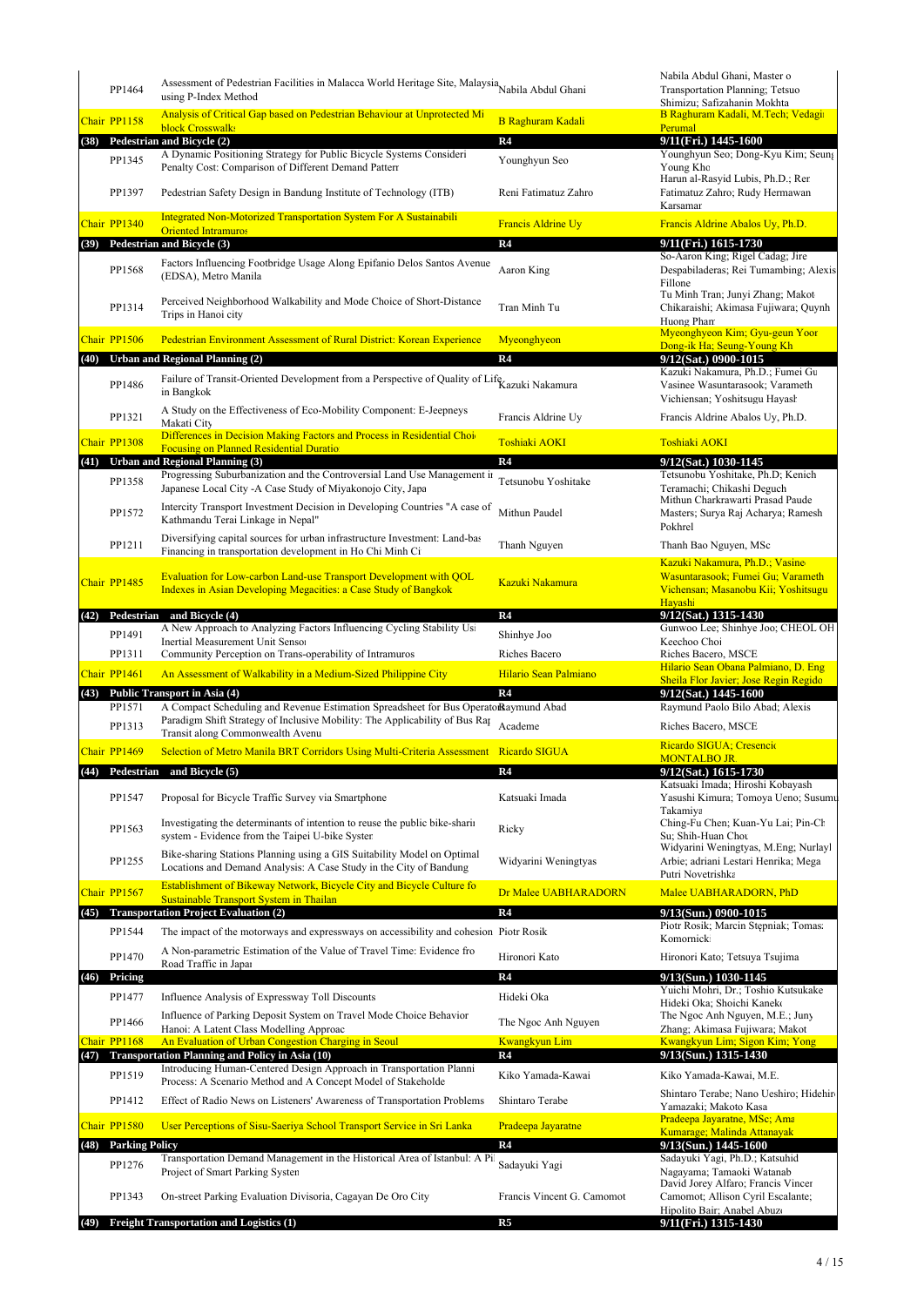|      | PP1464                | Assessment of Pedestrian Facilities in Malacca World Heritage Site, Malaysia Nabila Abdul Ghani<br>using P-Index Method                                                                                 |                            | Nabila Abdul Ghani, Master o<br>Transportation Planning; Tetsuo<br>Shimizu; Safizahanin Mokhta                        |
|------|-----------------------|---------------------------------------------------------------------------------------------------------------------------------------------------------------------------------------------------------|----------------------------|-----------------------------------------------------------------------------------------------------------------------|
|      | Chair PP1158          | Analysis of Critical Gap based on Pedestrian Behaviour at Unprotected Mi                                                                                                                                | <b>B Raghuram Kadali</b>   | B Raghuram Kadali, M.Tech; Vedagir                                                                                    |
| (38) |                       | block Crosswalks<br>Pedestrian and Bicycle (2)                                                                                                                                                          | R <sub>4</sub>             | Perumal<br>9/11(Fri.) 1445-1600                                                                                       |
|      | PP1345                | A Dynamic Positioning Strategy for Public Bicycle Systems Consideri<br>Penalty Cost: Comparison of Different Demand Patterr                                                                             | Younghyun Seo              | Younghyun Seo; Dong-Kyu Kim; Seung<br>Young Kho<br>Harun al-Rasyid Lubis, Ph.D.; Ren                                  |
|      | PP1397                | Pedestrian Safety Design in Bandung Institute of Technology (ITB)                                                                                                                                       | Reni Fatimatuz Zahro       | Fatimatuz Zahro; Rudy Hermawan<br>Karsamar                                                                            |
|      | Chair PP1340          | <b>Integrated Non-Motorized Transportation System For A Sustainabili</b><br><b>Oriented Intramuros</b>                                                                                                  | Francis Aldrine Uy         | Francis Aldrine Abalos Uy, Ph.D.                                                                                      |
| (39) |                       | Pedestrian and Bicycle (3)                                                                                                                                                                              | R4                         | 9/11(Fri.) 1615-1730                                                                                                  |
|      | PP1568                | Factors Influencing Footbridge Usage Along Epifanio Delos Santos Avenue<br>(EDSA), Metro Manila                                                                                                         | Aaron King                 | So-Aaron King; Rigel Cadag; Jire<br>Despabiladeras; Rei Tumambing; Alexis<br>Fillone                                  |
|      | PP1314                | Perceived Neighborhood Walkability and Mode Choice of Short-Distance<br>Trips in Hanoi city                                                                                                             | Tran Minh Tu               | Tu Minh Tran; Junyi Zhang; Makot<br>Chikaraishi; Akimasa Fujiwara; Quynh<br>Huong Pharr                               |
|      | Chair PP1506          | Pedestrian Environment Assessment of Rural District: Korean Experience                                                                                                                                  | Myeonghyeon                | Myeonghyeon Kim; Gyu-geun Yoor<br>Dong-ik Ha; Seung-Young Kh                                                          |
| (40) |                       | <b>Urban and Regional Planning (2)</b>                                                                                                                                                                  | R <sub>4</sub>             | 9/12(Sat.) 0900-1015                                                                                                  |
|      | PP1486                | Failure of Transit-Oriented Development from a Perspective of Quality of Life Kazuki Nakamura<br>in Bangkok                                                                                             |                            | Kazuki Nakamura, Ph.D.; Fumei Gu<br>Vasinee Wasuntarasook; Varameth<br>Vichiensan; Yoshitsugu Hayash                  |
|      | PP1321                | A Study on the Effectiveness of Eco-Mobility Component: E-Jeepneys<br>Makati City                                                                                                                       | Francis Aldrine Uy         | Francis Aldrine Abalos Uy, Ph.D.                                                                                      |
|      | Chair PP1308          | Differences in Decision Making Factors and Process in Residential Choi                                                                                                                                  | <b>Toshiaki AOKI</b>       | <b>Toshiaki AOKI</b>                                                                                                  |
| (41) |                       | <b>Focusing on Planned Residential Duratio</b><br><b>Urban and Regional Planning (3)</b>                                                                                                                | R <sub>4</sub>             | 9/12(Sat.) 1030-1145                                                                                                  |
|      | PP1358                | Progressing Suburbanization and the Controversial Land Use Management in<br>Japanese Local City -A Case Study of Miyakonojo City, Japa                                                                  | Tetsunobu Yoshitake        | Tetsunobu Yoshitake, Ph.D; Kenich<br>Teramachi; Chikashi Deguch<br>Mithun Charkrawarti Prasad Paude                   |
|      | PP1572                | Intercity Transport Investment Decision in Developing Countries "A case of<br>Kathmandu Terai Linkage in Nepal"<br>Diversifying capital sources for urban infrastructure Investment: Land-bas           | Mithun Paudel              | Masters; Surya Raj Acharya; Ramesh<br>Pokhrel                                                                         |
|      | PP1211                | Financing in transportation development in Ho Chi Minh Ci                                                                                                                                               | Thanh Nguyen               | Thanh Bao Nguyen, MSc                                                                                                 |
|      | Chair PP1485          | Evaluation for Low-carbon Land-use Transport Development with QOL<br>Indexes in Asian Developing Megacities: a Case Study of Bangkok                                                                    | Kazuki Nakamura            | Kazuki Nakamura, Ph.D.; Vasine<br>Wasuntarasook; Fumei Gu; Varameth<br>Vichensan; Masanobu Kii; Yoshitsugu<br>Havashi |
| (42) | Pedestrian            | and Bicycle (4)                                                                                                                                                                                         | R4                         | 9/12(Sat.) 1315-1430                                                                                                  |
|      | PP1491                | A New Approach to Analyzing Factors Influencing Cycling Stability Usi<br>Inertial Measurement Unit Senso:                                                                                               | Shinhye Joo                | Gunwoo Lee; Shinhye Joo; CHEOL OH<br>Keechoo Cho:                                                                     |
|      | PP1311                | Community Perception on Trans-operability of Intramuros                                                                                                                                                 | Riches Bacero              | Riches Bacero, MSCE                                                                                                   |
|      | Chair PP1461          | An Assessment of Walkability in a Medium-Sized Philippine City                                                                                                                                          | Hilario Sean Palmiano      | Hilario Sean Obana Palmiano, D. Eng<br>Sheila Flor Javier; Jose Regin Regido                                          |
|      |                       | (43) Public Transport in Asia (4)                                                                                                                                                                       | R <sub>4</sub>             | 9/12(Sat.) 1445-1600                                                                                                  |
|      | PP1571<br>PP1313      | A Compact Scheduling and Revenue Estimation Spreadsheet for Bus Operato Raymund Abad<br>Paradigm Shift Strategy of Inclusive Mobility: The Applicability of Bus Rap<br>Transit along Commonwealth Avenu | Academe                    | Raymund Paolo Bilo Abad; Alexis<br>Riches Bacero, MSCE                                                                |
|      | Chair PP1469          | Selection of Metro Manila BRT Corridors Using Multi-Criteria Assessment Ricardo SIGUA                                                                                                                   |                            | Ricardo SIGUA; Cresencio<br><b>MONTALBO JR.</b>                                                                       |
| (44) |                       | Pedestrian and Bicycle (5)                                                                                                                                                                              | R4                         | 9/12(Sat.) 1615-1730                                                                                                  |
|      | PP1547                | Proposal for Bicycle Traffic Survey via Smartphone                                                                                                                                                      | Katsuaki Imada             | Katsuaki Imada; Hiroshi Kobayash<br>Yasushi Kimura; Tomoya Ueno; Susumu                                               |
|      | PP1563                | Investigating the determinants of intention to reuse the public bike-sharing-<br>system - Evidence from the Taipei U-bike Syster                                                                        | Ricky                      | Takamiva<br>Ching-Fu Chen; Kuan-Yu Lai; Pin-Cl<br>Su: Shih-Huan Chou                                                  |
|      | PP1255                | Bike-sharing Stations Planning using a GIS Suitability Model on Optimal<br>Locations and Demand Analysis: A Case Study in the City of Bandung                                                           | Widyarini Weningtyas       | Widyarini Weningtyas, M.Eng; Nurlayl<br>Arbie; adriani Lestari Henrika; Mega                                          |
|      | Chair PP1567          | Establishment of Bikeway Network, Bicycle City and Bicycle Culture fo                                                                                                                                   | Dr Malee UABHARADORN       | Putri Novetrishka<br>Malee UABHARADORN, PhD                                                                           |
|      |                       | Sustainable Transport System in Thailan<br><b>Transportation Project Evaluation (2)</b>                                                                                                                 | R <sub>4</sub>             | 9/13(Sun.) 0900-1015                                                                                                  |
| (45) | PP1544                | The impact of the motorways and expressways on accessibility and cohesion Piotr Rosik                                                                                                                   |                            | Piotr Rosik; Marcin Stępniak; Tomas<br>Komornicki                                                                     |
|      | PP1470                | A Non-parametric Estimation of the Value of Travel Time: Evidence fro<br>Road Traffic in Japar                                                                                                          | Hironori Kato              | Hironori Kato; Tetsuya Tsujima                                                                                        |
| (46) | Pricing               |                                                                                                                                                                                                         | R <sub>4</sub>             | 9/13(Sun.) 1030-1145                                                                                                  |
|      | PP1477                | Influence Analysis of Expressway Toll Discounts                                                                                                                                                         | Hideki Oka                 | Yuichi Mohri, Dr.; Toshio Kutsukake<br>Hideki Oka; Shoichi Kaneko                                                     |
|      | PP1466                | Influence of Parking Deposit System on Travel Mode Choice Behavior                                                                                                                                      | The Ngoc Anh Nguyen        | The Ngoc Anh Nguyen, M.E.; Juny                                                                                       |
|      | Chair PP1168          | Hanoi: A Latent Class Modelling Approac<br>An Evaluation of Urban Congestion Charging in Seoul                                                                                                          | <b>Kwangkyun Lim</b>       | Zhang; Akimasa Fujiwara; Makot<br>Kwangkyun Lim; Sigon Kim; Yong                                                      |
| (47) |                       | <b>Transportation Planning and Policy in Asia (10)</b>                                                                                                                                                  | R4                         | 9/13(Sun.) 1315-1430                                                                                                  |
|      | PP1519                | Introducing Human-Centered Design Approach in Transportation Planni<br>Process: A Scenario Method and A Concept Model of Stakeholde                                                                     | Kiko Yamada-Kawai          | Kiko Yamada-Kawai, M.E.                                                                                               |
|      | PP1412                | Effect of Radio News on Listeners' Awareness of Transportation Problems                                                                                                                                 | Shintaro Terabe            | Shintaro Terabe; Nano Ueshiro; Hidehiro<br>Yamazaki; Makoto Kasa                                                      |
|      | Chair PP1580          | User Perceptions of Sisu-Saeriya School Transport Service in Sri Lanka                                                                                                                                  | Pradeepa Jayaratne         | Pradeepa Jayaratne, MSc; Ama<br>Kumarage; Malinda Attanayak                                                           |
| (48) | <b>Parking Policy</b> |                                                                                                                                                                                                         | R4                         | 9/13(Sun.) 1445-1600                                                                                                  |
|      | PP1276                | Transportation Demand Management in the Historical Area of Istanbul: A Pil<br>Project of Smart Parking System                                                                                           | Sadayuki Yagi              | Sadayuki Yagi, Ph.D.; Katsuhid<br>Nagayama; Tamaoki Watanab<br>David Jorey Alfaro; Francis Vincer                     |
|      | PP1343                | On-street Parking Evaluation Divisoria, Cagayan De Oro City                                                                                                                                             | Francis Vincent G. Camomot | Camomot; Allison Cyril Escalante;                                                                                     |
| (49) |                       | Freight Transportation and Logistics (1)                                                                                                                                                                | R5                         | Hipolito Bair; Anabel Abuzo<br>9/11(Fri.) 1315-1430                                                                   |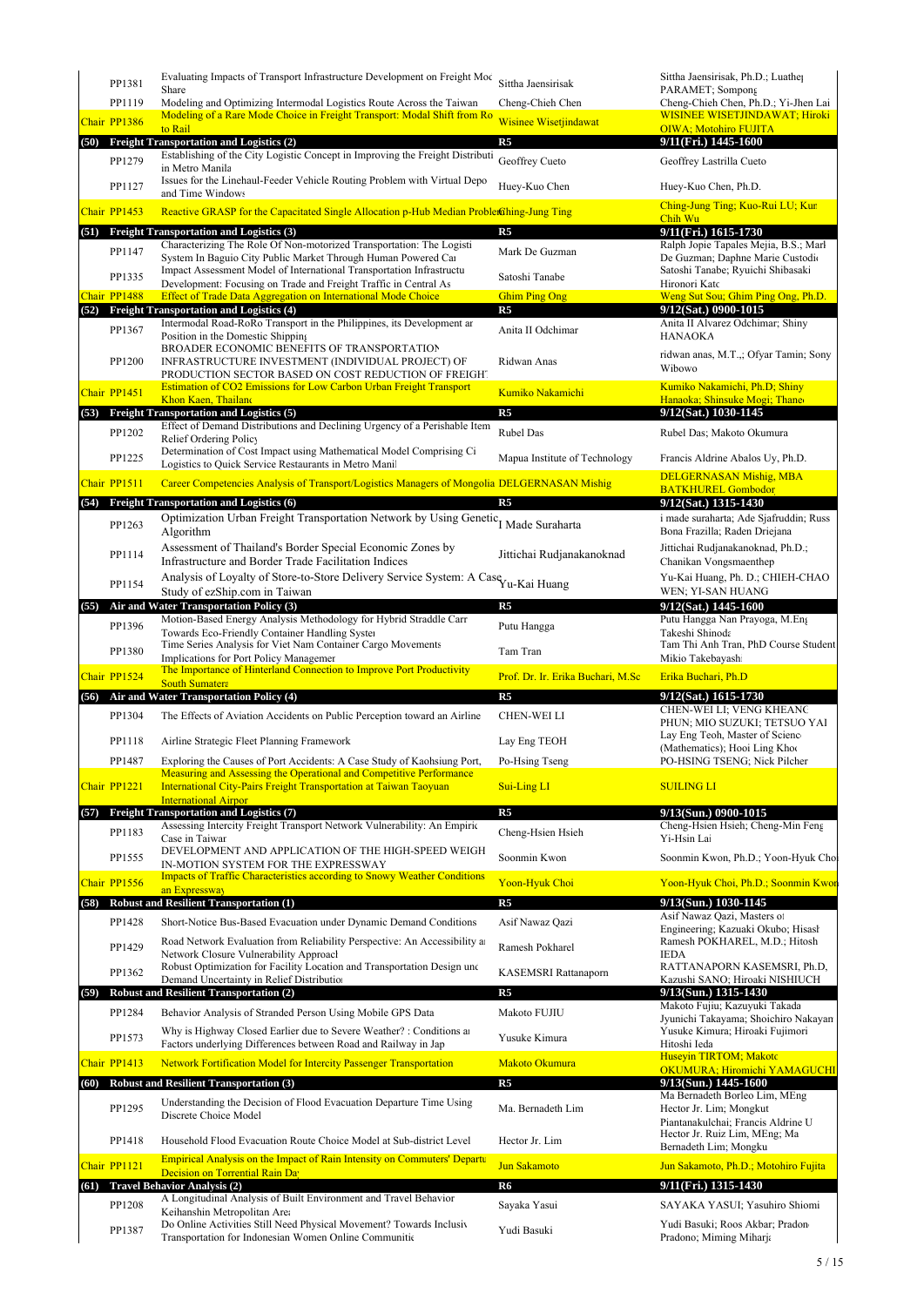|              | PP1381       | Evaluating Impacts of Transport Infrastructure Development on Freight Moc<br>Share                                                                        | Sittha Jaensirisak                | Sittha Jaensirisak, Ph.D.; Luather<br>PARAMET; Sompong                                                                                                                                                                                                                                                                                                                                                     |
|--------------|--------------|-----------------------------------------------------------------------------------------------------------------------------------------------------------|-----------------------------------|------------------------------------------------------------------------------------------------------------------------------------------------------------------------------------------------------------------------------------------------------------------------------------------------------------------------------------------------------------------------------------------------------------|
|              | PP1119       | Modeling and Optimizing Intermodal Logistics Route Across the Taiwan                                                                                      | Cheng-Chieh Chen                  | Cheng-Chieh Chen, Ph.D.; Yi-Jhen Lai                                                                                                                                                                                                                                                                                                                                                                       |
|              | Chair PP1386 | Modeling of a Rare Mode Choice in Freight Transport: Modal Shift from Ro<br>to Rail                                                                       | <b>Wisinee Wisetjindawat</b>      | <b>WISINEE WISETJINDAWAT; Hiroki</b><br><b>OIWA</b> ; Motohiro FUJITA                                                                                                                                                                                                                                                                                                                                      |
|              |              | (50) Freight Transportation and Logistics (2)                                                                                                             | R5                                | 9/11(Fri.) 1445-1600                                                                                                                                                                                                                                                                                                                                                                                       |
|              | PP1279       | Establishing of the City Logistic Concept in Improving the Freight Distributi<br>in Metro Manila                                                          | Geoffrey Cueto                    | Geoffrey Lastrilla Cueto                                                                                                                                                                                                                                                                                                                                                                                   |
|              | PP1127       | Issues for the Linehaul-Feeder Vehicle Routing Problem with Virtual Depo<br>and Time Windows                                                              | Huey-Kuo Chen                     | Huey-Kuo Chen, Ph.D.                                                                                                                                                                                                                                                                                                                                                                                       |
|              | Chair PP1453 | Reactive GRASP for the Capacitated Single Allocation p-Hub Median ProblerGhing-Jung Ting                                                                  |                                   | Ching-Jung Ting; Kuo-Rui LU; Kur<br>Chih Wu                                                                                                                                                                                                                                                                                                                                                                |
| (51)         |              | <b>Freight Transportation and Logistics (3)</b>                                                                                                           | R <sub>5</sub>                    | 9/11(Fri.) 1615-1730                                                                                                                                                                                                                                                                                                                                                                                       |
|              | PP1147       | Characterizing The Role Of Non-motorized Transportation: The Logisti<br>System In Baguio City Public Market Through Human Powered Car                     | Mark De Guzman                    | Ralph Jopie Tapales Mejia, B.S.; Marl<br>De Guzman; Daphne Marie Custodio                                                                                                                                                                                                                                                                                                                                  |
|              | PP1335       | Impact Assessment Model of International Transportation Infrastructu<br>Development: Focusing on Trade and Freight Traffic in Central As                  | Satoshi Tanabe                    | Satoshi Tanabe; Ryuichi Shibasaki<br>Hironori Katc                                                                                                                                                                                                                                                                                                                                                         |
|              | Chair PP1488 | <b>Effect of Trade Data Aggregation on International Mode Choice</b>                                                                                      | <b>Ghim Ping Ong</b>              | Weng Sut Sou; Ghim Ping Ong, Ph.D.                                                                                                                                                                                                                                                                                                                                                                         |
| (52)         |              | <b>Freight Transportation and Logistics (4)</b>                                                                                                           | R <sub>5</sub>                    | 9/12(Sat.) 0900-1015                                                                                                                                                                                                                                                                                                                                                                                       |
|              | PP1367       | Intermodal Road-RoRo Transport in the Philippines, its Development ar<br>Position in the Domestic Shipping<br>BROADER ECONOMIC BENEFITS OF TRANSPORTATION | Anita II Odchimar                 | Anita II Alvarez Odchimar; Shiny<br><b>HANAOKA</b>                                                                                                                                                                                                                                                                                                                                                         |
|              | PP1200       | INFRASTRUCTURE INVESTMENT (INDIVIDUAL PROJECT) OF<br>PRODUCTION SECTOR BASED ON COST REDUCTION OF FREIGHT                                                 | Ridwan Anas                       | ridwan anas, M.T.,; Ofyar Tamin; Sony<br>Wibowo                                                                                                                                                                                                                                                                                                                                                            |
|              | Chair PP1451 | Estimation of CO2 Emissions for Low Carbon Urban Freight Transport<br>Khon Kaen, Thailand                                                                 | Kumiko Nakamichi                  | Kumiko Nakamichi, Ph.D; Shiny<br>Hanaoka; Shinsuke Mogi; Thane                                                                                                                                                                                                                                                                                                                                             |
| (53)         |              | <b>Freight Transportation and Logistics (5)</b>                                                                                                           | R <sub>5</sub>                    | 9/12(Sat.) 1030-1145                                                                                                                                                                                                                                                                                                                                                                                       |
|              | PP1202       | Effect of Demand Distributions and Declining Urgency of a Perishable Item<br>Relief Ordering Policy                                                       | <b>Rubel Das</b>                  | Rubel Das; Makoto Okumura                                                                                                                                                                                                                                                                                                                                                                                  |
|              | PP1225       | Determination of Cost Impact using Mathematical Model Comprising Ci<br>Logistics to Quick Service Restaurants in Metro Mani                               | Mapua Institute of Technology     | Francis Aldrine Abalos Uy, Ph.D.                                                                                                                                                                                                                                                                                                                                                                           |
|              | Chair PP1511 | Career Competencies Analysis of Transport/Logistics Managers of Mongolia DELGERNASAN Mishig                                                               |                                   | <b>DELGERNASAN Mishig, MBA</b>                                                                                                                                                                                                                                                                                                                                                                             |
| (54)         |              | <b>Freight Transportation and Logistics (6)</b>                                                                                                           | R <sub>5</sub>                    | <b>BATKHUREL Gombodor</b><br>9/12(Sat.) 1315-1430                                                                                                                                                                                                                                                                                                                                                          |
|              | PP1263       | Optimization Urban Freight Transportation Network by Using Genetic <sub>I</sub> Made Suraharta                                                            |                                   | i made suraharta; Ade Sjafruddin; Russ                                                                                                                                                                                                                                                                                                                                                                     |
|              | PP1114       | Algorithm<br>Assessment of Thailand's Border Special Economic Zones by                                                                                    |                                   | Bona Frazilla; Raden Driejana<br>Jittichai Rudjanakanoknad, Ph.D.;                                                                                                                                                                                                                                                                                                                                         |
|              |              | Infrastructure and Border Trade Facilitation Indices<br>Analysis of Loyalty of Store-to-Store Delivery Service System: A Case <sub>Yu-Kai</sub> Huang     | Jittichai Rudjanakanoknad         | Chanikan Vongsmaenthep<br>Yu-Kai Huang, Ph. D.; CHIEH-CHAO                                                                                                                                                                                                                                                                                                                                                 |
|              | PP1154       | Study of ezShip.com in Taiwan                                                                                                                             |                                   | WEN; YI-SAN HUANG                                                                                                                                                                                                                                                                                                                                                                                          |
| (55)         |              | Air and Water Transportation Policy (3)                                                                                                                   | R <sub>5</sub>                    | 9/12(Sat.) 1445-1600<br>Putu Hangga Nan Prayoga, M.Eng                                                                                                                                                                                                                                                                                                                                                     |
|              | PP1396       | Motion-Based Energy Analysis Methodology for Hybrid Straddle Carr<br>Towards Eco-Friendly Container Handling System                                       | Putu Hangga                       | Takeshi Shinoda                                                                                                                                                                                                                                                                                                                                                                                            |
|              | PP1380       | Time Series Analysis for Viet Nam Container Cargo Movements<br>Implications for Port Policy Managemer                                                     | Tam Tran                          | Tam Thi Anh Tran, PhD Course Student<br>Mikio Takebayash                                                                                                                                                                                                                                                                                                                                                   |
|              | Chair PP1524 | The Importance of Hinterland Connection to Improve Port Productivity<br><b>South Sumatera</b>                                                             | Prof. Dr. Ir. Erika Buchari, M.Sc | Erika Buchari, Ph.D                                                                                                                                                                                                                                                                                                                                                                                        |
| (56)         |              | Air and Water Transportation Policy (4)                                                                                                                   | R <sub>5</sub>                    | 9/12(Sat.) 1615-1730                                                                                                                                                                                                                                                                                                                                                                                       |
|              | PP1304       | The Effects of Aviation Accidents on Public Perception toward an Airline                                                                                  | <b>CHEN-WEI LI</b>                | CHEN-WEI LI; VENG KHEANG<br>PHUN; MIO SUZUKI; TETSUO YAI                                                                                                                                                                                                                                                                                                                                                   |
|              | PP1118       | Airline Strategic Fleet Planning Framework                                                                                                                | Lay Eng TEOH                      | Lay Eng Teoh, Master of Scienc<br>(Mathematics); Hooi Ling Khoo                                                                                                                                                                                                                                                                                                                                            |
|              |              | Exploring the Causes of Port Accidents: A Case Study of Kaohsiung Port,<br>Measuring and Assessing the Operational and Competitive Performance            | Po-Hsing Tseng                    | PO-HSING TSENG: Nick Pilcher                                                                                                                                                                                                                                                                                                                                                                               |
|              | PP1487       |                                                                                                                                                           |                                   |                                                                                                                                                                                                                                                                                                                                                                                                            |
|              | Chair PP1221 |                                                                                                                                                           |                                   |                                                                                                                                                                                                                                                                                                                                                                                                            |
|              |              | <b>International City-Pairs Freight Transportation at Taiwan Taoyuan</b><br><b>International Airpor</b>                                                   | Sui-Ling LI                       | <b>SUILING LI</b>                                                                                                                                                                                                                                                                                                                                                                                          |
|              |              | <b>Freight Transportation and Logistics (7)</b>                                                                                                           | R <sub>5</sub>                    | 9/13(Sun.) 0900-1015                                                                                                                                                                                                                                                                                                                                                                                       |
|              | PP1183       | Assessing Intercity Freight Transport Network Vulnerability: An Empiric<br>Case in Taiwan                                                                 | Cheng-Hsien Hsieh                 | Yi-Hsin Lai                                                                                                                                                                                                                                                                                                                                                                                                |
|              | PP1555       | DEVELOPMENT AND APPLICATION OF THE HIGH-SPEED WEIGH<br>IN-MOTION SYSTEM FOR THE EXPRESSWAY                                                                | Soonmin Kwon                      |                                                                                                                                                                                                                                                                                                                                                                                                            |
| (57)         | Chair PP1556 | <b>Impacts of Traffic Characteristics according to Snowy Weather Conditions</b><br>an Expressway                                                          | Yoon-Hyuk Choi                    |                                                                                                                                                                                                                                                                                                                                                                                                            |
|              |              | (58) Robust and Resilient Transportation (1)                                                                                                              | R5                                | 9/13(Sun.) 1030-1145                                                                                                                                                                                                                                                                                                                                                                                       |
|              | PP1428       | Short-Notice Bus-Based Evacuation under Dynamic Demand Conditions                                                                                         | Asif Nawaz Qazi                   | Asif Nawaz Qazi, Masters o:                                                                                                                                                                                                                                                                                                                                                                                |
|              | PP1429       | Road Network Evaluation from Reliability Perspective: An Accessibility and                                                                                | Ramesh Pokharel                   | Ramesh POKHAREL, M.D.; Hitosh<br><b>IEDA</b>                                                                                                                                                                                                                                                                                                                                                               |
|              |              | Network Closure Vulnerability Approacl<br>Robust Optimization for Facility Location and Transportation Design und                                         |                                   |                                                                                                                                                                                                                                                                                                                                                                                                            |
|              | PP1362       | Demand Uncertainty in Relief Distribution                                                                                                                 | KASEMSRI Rattanaporn              |                                                                                                                                                                                                                                                                                                                                                                                                            |
|              |              | <b>Robust and Resilient Transportation (2)</b>                                                                                                            | R5                                | 9/13(Sun.) 1315-1430<br>Makoto Fujiu; Kazuyuki Takada                                                                                                                                                                                                                                                                                                                                                      |
|              | PP1284       | Behavior Analysis of Stranded Person Using Mobile GPS Data<br>Why is Highway Closed Earlier due to Severe Weather?: Conditions and                        | Makoto FUJIU                      | Yusuke Kimura; Hiroaki Fujimori                                                                                                                                                                                                                                                                                                                                                                            |
|              | PP1573       | Factors underlying Differences between Road and Railway in Jap                                                                                            | Yusuke Kimura                     | Hitoshi Ieda<br>Huseyin TIRTOM; Makotc                                                                                                                                                                                                                                                                                                                                                                     |
|              | Chair PP1413 | <b>Network Fortification Model for Intercity Passenger Transportation</b>                                                                                 | Makoto Okumura                    |                                                                                                                                                                                                                                                                                                                                                                                                            |
|              |              | <b>Robust and Resilient Transportation (3)</b>                                                                                                            | R <sub>5</sub>                    | 9/13(Sun.) 1445-1600                                                                                                                                                                                                                                                                                                                                                                                       |
|              | PP1295       | Understanding the Decision of Flood Evacuation Departure Time Using<br>Discrete Choice Model                                                              | Ma. Bernadeth Lim                 | Ma Bernadeth Borleo Lim, MEng<br>Hector Jr. Lim; Mongkut<br>Piantanakulchai; Francis Aldrine U                                                                                                                                                                                                                                                                                                             |
|              | PP1418       | Household Flood Evacuation Route Choice Model at Sub-district Level                                                                                       | Hector Jr. Lim                    | Hector Jr. Ruiz Lim, MEng; Ma<br>Bernadeth Lim; Mongku                                                                                                                                                                                                                                                                                                                                                     |
|              | Chair PP1121 | <b>Empirical Analysis on the Impact of Rain Intensity on Commuters' Departure</b>                                                                         | Jun Sakamoto                      |                                                                                                                                                                                                                                                                                                                                                                                                            |
|              |              | Decision on Torrential Rain Da<br>(61) Travel Behavior Analysis (2)                                                                                       | R6                                | 9/11(Fri.) 1315-1430                                                                                                                                                                                                                                                                                                                                                                                       |
| (59)<br>(60) | PP1208       | A Longitudinal Analysis of Built Environment and Travel Behavior                                                                                          | Sayaka Yasui                      |                                                                                                                                                                                                                                                                                                                                                                                                            |
|              | PP1387       | Keihanshin Metropolitan Area<br>Do Online Activities Still Need Physical Movement? Towards Inclusiv                                                       | Yudi Basuki                       | Cheng-Hsien Hsieh; Cheng-Min Feng<br>Soonmin Kwon, Ph.D.; Yoon-Hyuk Choi<br>Yoon-Hyuk Choi, Ph.D.; Soonmin Kwon<br>Engineering; Kazuaki Okubo; Hisash<br>RATTANAPORN KASEMSRI, Ph.D,<br>Kazushi SANO; Hiroaki NISHIUCH<br>Jyunichi Takayama; Shoichiro Nakayan<br>OKUMURA; Hiromichi YAMAGUCHI<br>Jun Sakamoto, Ph.D.; Motohiro Fujita<br>SAYAKA YASUI; Yasuhiro Shiomi<br>Yudi Basuki; Roos Akbar; Pradon |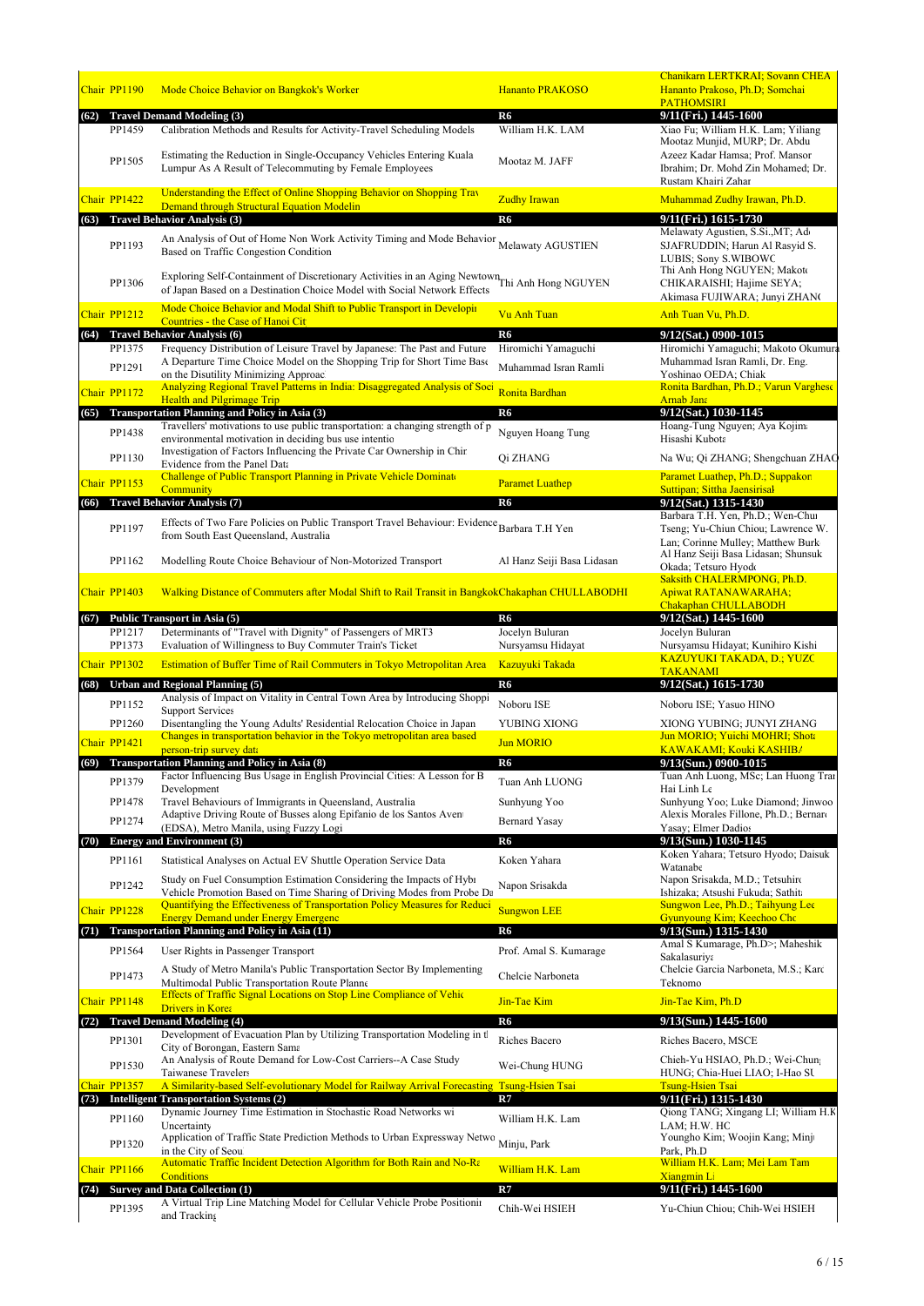|              | Chair PP1190     | Mode Choice Behavior on Bangkok's Worker                                                                                                                                                                                     | <b>Hananto PRAKOSO</b>                | Chanikarn LERTKRAI; Sovann CHEA<br>Hananto Prakoso, Ph.D; Somchai<br><b>PATHOMSIRI</b>                                            |
|--------------|------------------|------------------------------------------------------------------------------------------------------------------------------------------------------------------------------------------------------------------------------|---------------------------------------|-----------------------------------------------------------------------------------------------------------------------------------|
| (62)         | PP1459           | <b>Travel Demand Modeling (3)</b><br>Calibration Methods and Results for Activity-Travel Scheduling Models                                                                                                                   | R6<br>William H.K. LAM                | 9/11(Fri.) 1445-1600<br>Xiao Fu; William H.K. Lam; Yiliang                                                                        |
|              | PP1505           | Estimating the Reduction in Single-Occupancy Vehicles Entering Kuala<br>Lumpur As A Result of Telecommuting by Female Employees                                                                                              | Mootaz M. JAFF                        | Mootaz Munjid, MURP; Dr. Abdu<br>Azeez Kadar Hamsa; Prof. Mansor<br>Ibrahim; Dr. Mohd Zin Mohamed; Dr.<br>Rustam Khairi Zahar     |
|              | Chair PP1422     | Understanding the Effect of Online Shopping Behavior on Shopping Trav<br>Demand through Structural Equation Modelin                                                                                                          | <b>Zudhy Irawan</b>                   | Muhammad Zudhy Irawan, Ph.D.                                                                                                      |
| (63)         |                  | <b>Travel Behavior Analysis (3)</b>                                                                                                                                                                                          | R6                                    | 9/11(Fri.) 1615-1730                                                                                                              |
|              | PP1193           | An Analysis of Out of Home Non Work Activity Timing and Mode Behavior Melawaty AGUSTIEN<br>Based on Traffic Congestion Condition                                                                                             |                                       | Melawaty Agustien, S.Si., MT; Ado<br>SJAFRUDDIN; Harun Al Rasyid S.<br><b>LUBIS: Sony S.WIBOWC</b><br>Thi Anh Hong NGUYEN; Makoto |
|              | PP1306           | Exploring Self-Containment of Discretionary Activities in an Aging Newtown Thi Anh Hong NGUYEN<br>of Japan Based on a Destination Choice Model with Social Network Effects                                                   |                                       | CHIKARAISHI; Hajime SEYA;<br>Akimasa FUJIWARA; Junyi ZHAN(                                                                        |
|              | Chair PP1212     | Mode Choice Behavior and Modal Shift to Public Transport in Developin<br>Countries - the Case of Hanoi Cit                                                                                                                   | <b>Vu Anh Tuan</b>                    | Anh Tuan Vu, Ph.D.                                                                                                                |
|              | PP1375           | (64) Travel Behavior Analysis (6)<br>Frequency Distribution of Leisure Travel by Japanese: The Past and Future                                                                                                               | R <sub>6</sub><br>Hiromichi Yamaguchi | 9/12(Sat.) 0900-1015<br>Hiromichi Yamaguchi; Makoto Okumura                                                                       |
|              | PP1291           | A Departure Time Choice Model on the Shopping Trip for Short Time Base                                                                                                                                                       | Muhammad Isran Ramli                  | Muhammad Isran Ramli, Dr. Eng.                                                                                                    |
|              |                  | on the Disutility Minimizing Approac<br>Analyzing Regional Travel Patterns in India: Disaggregated Analysis of Soci                                                                                                          |                                       | Yoshinao OEDA; Chiak<br>Ronita Bardhan, Ph.D.; Varun Varghese                                                                     |
|              | Chair PP1172     | <b>Health and Pilgrimage Trip</b>                                                                                                                                                                                            | Ronita Bardhan                        | <b>Arnab Jana</b>                                                                                                                 |
| (65)         |                  | Transportation Planning and Policy in Asia (3)<br>Travellers' motivations to use public transportation: a changing strength of p                                                                                             | R6                                    | 9/12(Sat.) 1030-1145<br>Hoang-Tung Nguyen; Aya Kojima                                                                             |
|              | PP1438           | environmental motivation in deciding bus use intentio                                                                                                                                                                        | Nguyen Hoang Tung                     | Hisashi Kubota                                                                                                                    |
|              | PP1130           | Investigation of Factors Influencing the Private Car Ownership in Chir<br>Evidence from the Panel Data                                                                                                                       | Qi ZHANG                              | Na Wu; Qi ZHANG; Shengchuan ZHAC                                                                                                  |
|              | Chair PP1153     | Challenge of Public Transport Planning in Private Vehicle Dominate<br>Community                                                                                                                                              | <b>Paramet Luathep</b>                | Paramet Luathep, Ph.D.; Suppakor<br>Suttipan; Sittha Jaensirisal                                                                  |
| (66)         |                  | <b>Travel Behavior Analysis (7)</b>                                                                                                                                                                                          | R <sub>6</sub>                        | 9/12(Sat.) 1315-1430                                                                                                              |
|              | PP1197           | Effects of Two Fare Policies on Public Transport Travel Behaviour: Evidence Barbara T.H Yen<br>from South East Queensland, Australia                                                                                         |                                       | Barbara T.H. Yen, Ph.D.; Wen-Chu<br>Tseng; Yu-Chiun Chiou; Lawrence W.<br>Lan; Corinne Mulley; Matthew Burk                       |
|              | PP1162           | Modelling Route Choice Behaviour of Non-Motorized Transport                                                                                                                                                                  | Al Hanz Seiji Basa Lidasan            | Al Hanz Seiji Basa Lidasan; Shunsuk<br>Okada; Tetsuro Hyodo                                                                       |
|              | Chair PP1403     | Walking Distance of Commuters after Modal Shift to Rail Transit in BangkokChakaphan CHULLABODHI                                                                                                                              |                                       | Saksith CHALERMPONG, Ph.D.<br><b>Apiwat RATANAWARAHA;</b><br><b>Chakaphan CHULLABODH</b>                                          |
| (67)         |                  | Public Transport in Asia (5)                                                                                                                                                                                                 | R6                                    | 9/12(Sat.) 1445-1600                                                                                                              |
|              | PP1217<br>PP1373 | Determinants of "Travel with Dignity" of Passengers of MRT3<br>Evaluation of Willingness to Buy Commuter Train's Ticket                                                                                                      | Jocelyn Buluran<br>Nursyamsu Hidayat  | Jocelyn Buluran<br>Nursyamsu Hidayat; Kunihiro Kishi                                                                              |
|              | Chair PP1302     | Estimation of Buffer Time of Rail Commuters in Tokyo Metropolitan Area                                                                                                                                                       | <b>Kazuyuki Takada</b>                | <b>KAZUYUKI TAKADA, D.; YUZC</b><br><b>TAKANAMI</b>                                                                               |
| (68)         |                  | Urban and Regional Planning (5)                                                                                                                                                                                              | R6                                    | 9/12(Sat.) 1615-1730                                                                                                              |
|              | PP1152           | Analysis of Impact on Vitality in Central Town Area by Introducing Shoppi<br><b>Support Services</b>                                                                                                                         | Noboru ISE                            | Noboru ISE; Yasuo HINO                                                                                                            |
|              | PP1260           | Disentangling the Young Adults' Residential Relocation Choice in Japan                                                                                                                                                       | YUBING XIONG                          | XIONG YUBING; JUNYI ZHANG                                                                                                         |
|              | Chair PP1421     | Changes in transportation behavior in the Tokyo metropolitan area based<br>person-trip survey data                                                                                                                           | <b>Jun MORIO</b>                      | Jun MORIO; Yuichi MOHRI; Shota<br>KAWAKAMI: Kouki KASHIB/                                                                         |
|              |                  | (69) Transportation Planning and Policy in Asia (8)                                                                                                                                                                          | R <sub>6</sub>                        | 9/13(Sun.) 0900-1015                                                                                                              |
|              | PP1379           | Factor Influencing Bus Usage in English Provincial Cities: A Lesson for B<br>Development                                                                                                                                     | Tuan Anh LUONG                        | Tuan Anh Luong, MSc; Lan Huong Trai<br>Hai Linh Le                                                                                |
|              | PP1478           | Travel Behaviours of Immigrants in Queensland, Australia                                                                                                                                                                     | Sunhyung Yoo                          | Sunhyung Yoo; Luke Diamond; Jinwoo                                                                                                |
|              | PP1274           | Adaptive Driving Route of Busses along Epifanio de los Santos Aven<br>(EDSA), Metro Manila, using Fuzzy Logi                                                                                                                 | <b>Bernard Yasay</b>                  | Alexis Morales Fillone, Ph.D.; Bernaro<br>Yasay; Elmer Dadios                                                                     |
| (70)         |                  | <b>Energy and Environment (3)</b>                                                                                                                                                                                            | R6                                    | 9/13(Sun.) 1030-1145                                                                                                              |
|              | PP1161           | Statistical Analyses on Actual EV Shuttle Operation Service Data                                                                                                                                                             | Koken Yahara                          | Koken Yahara; Tetsuro Hyodo; Daisuk<br>Watanabe                                                                                   |
|              | PP1242           | Study on Fuel Consumption Estimation Considering the Impacts of Hybr<br>Vehicle Promotion Based on Time Sharing of Driving Modes from Probe Da<br>Quantifying the Effectiveness of Transportation Policy Measures for Reduci | Napon Srisakda                        | Napon Srisakda, M.D.; Tetsuhiro<br>Ishizaka: Atsushi Fukuda: Sathit<br>Sungwon Lee, Ph.D.; Taihyung Lee                           |
|              | Chair PP1228     | <b>Energy Demand under Energy Emergenc</b>                                                                                                                                                                                   | <b>Sungwon LEE</b>                    | Gyunyoung Kim; Keechoo Cho                                                                                                        |
| (71)         |                  | <b>Transportation Planning and Policy in Asia (11)</b>                                                                                                                                                                       | R6                                    | 9/13(Sun.) 1315-1430<br>Amal S Kumarage, Ph.D>; Maheshik                                                                          |
|              | PP1564           | User Rights in Passenger Transport<br>A Study of Metro Manila's Public Transportation Sector By Implementing                                                                                                                 | Prof. Amal S. Kumarage                | Sakalasuriya<br>Chelcie Garcia Narboneta, M.S.; Karc                                                                              |
|              | PP1473           | Multimodal Public Transportation Route Planne<br>Effects of Traffic Signal Locations on Stop Line Compliance of Vehic                                                                                                        | Chelcie Narboneta                     | Teknomo                                                                                                                           |
|              | Chair PP1148     | <b>Drivers in Korea</b>                                                                                                                                                                                                      | Jin-Tae Kim                           | Jin-Tae Kim, Ph.D                                                                                                                 |
|              |                  | (72) Travel Demand Modeling (4)<br>Development of Evacuation Plan by Utilizing Transportation Modeling in th                                                                                                                 | R <sub>6</sub>                        | 9/13(Sun.) 1445-1600                                                                                                              |
|              | PP1301           | City of Borongan, Eastern Sama<br>An Analysis of Route Demand for Low-Cost Carriers--A Case Study                                                                                                                            | Riches Bacero                         | Riches Bacero, MSCE<br>Chieh-Yu HSIAO, Ph.D.; Wei-Chung                                                                           |
|              | PP1530           | Taiwanese Travelers                                                                                                                                                                                                          | Wei-Chung HUNG                        | HUNG; Chia-Huei LIAO; I-Hao SU                                                                                                    |
| (73)         | Chair PP1357     | A Similarity-based Self-evolutionary Model for Railway Arrival Forecasting Tsung-Hsien Tsai<br><b>Intelligent Transportation Systems (2)</b>                                                                                 | R7                                    | <b>Tsung-Hsien Tsai</b><br>9/11(Fri.) 1315-1430                                                                                   |
|              | PP1160           | Dynamic Journey Time Estimation in Stochastic Road Networks wi                                                                                                                                                               | William H.K. Lam                      | Qiong TANG; Xingang LI; William H.K                                                                                               |
|              | PP1320           | Uncertainty<br>Application of Traffic State Prediction Methods to Urban Expressway Netwo                                                                                                                                     | Minju, Park                           | LAM; H.W. HO<br>Youngho Kim; Woojin Kang; Minj                                                                                    |
| Chair PP1166 |                  | in the City of Seou<br><b>Automatic Traffic Incident Detection Algorithm for Both Rain and No-Ra</b>                                                                                                                         |                                       | Park, Ph.D<br>William H.K. Lam; Mei Lam Tam                                                                                       |
|              |                  |                                                                                                                                                                                                                              |                                       |                                                                                                                                   |
|              |                  | <b>Conditions</b><br>(74) Survey and Data Collection (1)                                                                                                                                                                     | William H.K. Lam<br>R7                | <b>Xiangmin Li</b><br>9/11(Fri.) 1445-1600                                                                                        |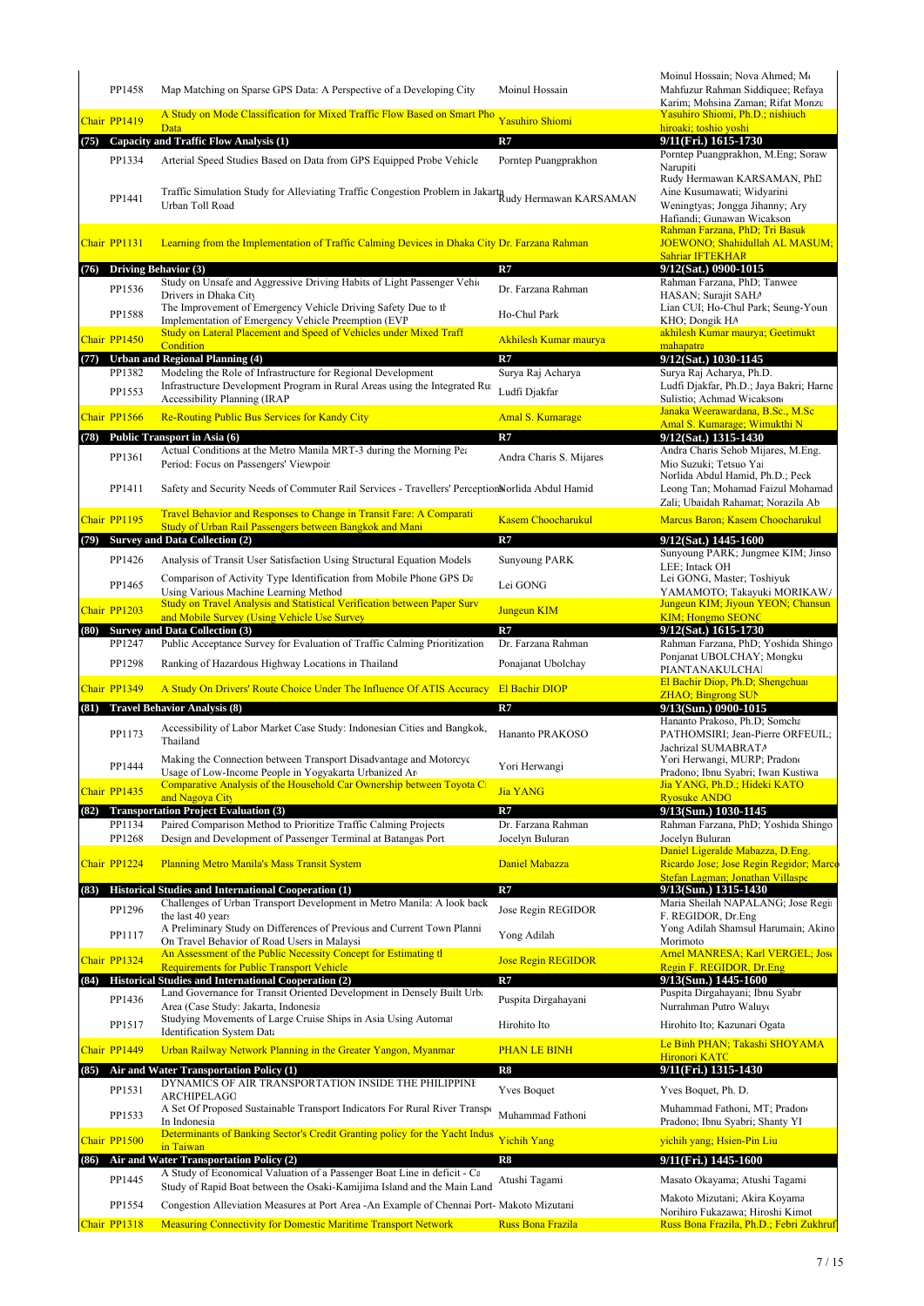|      | PP1458                 | Map Matching on Sparse GPS Data: A Perspective of a Developing City                                                                                              | Moinul Hossain                              | Moinul Hossain; Nova Ahmed; Mo<br>Mahfuzur Rahman Siddiquee; Refaya<br>Karim; Mohsina Zaman; Rifat Monzu        |
|------|------------------------|------------------------------------------------------------------------------------------------------------------------------------------------------------------|---------------------------------------------|-----------------------------------------------------------------------------------------------------------------|
|      | Chair PP1419           | A Study on Mode Classification for Mixed Traffic Flow Based on Smart Pho<br><b>Data</b>                                                                          | <b>Yasuhiro Shiomi</b>                      | Yasuhiro Shiomi, Ph.D.; nishiuch<br>hiroaki; toshio yoshi                                                       |
| (75) |                        | Capacity and Traffic Flow Analysis (1)                                                                                                                           | R7                                          | 9/11(Fri.) 1615-1730                                                                                            |
|      | PP1334                 | Arterial Speed Studies Based on Data from GPS Equipped Probe Vehicle                                                                                             | Porntep Puangprakhon                        | Porntep Puangprakhon, M.Eng; Soraw<br>Narupiti<br>Rudy Hermawan KARSAMAN, PhD                                   |
|      | PP1441                 | Traffic Simulation Study for Alleviating Traffic Congestion Problem in Jakarta Rudy Hermawan KARSAMAN<br>Urban Toll Road                                         |                                             | Aine Kusumawati; Widyarini<br>Weningtyas; Jongga Jihanny; Ary<br>Hafiandi; Gunawan Wicakson                     |
|      | Chair PP1131           | Learning from the Implementation of Traffic Calming Devices in Dhaka City Dr. Farzana Rahman                                                                     |                                             | Rahman Farzana, PhD; Tri Basuk<br>JOEWONO; Shahidullah AL MASUM;<br><b>Sahriar IFTEKHAR</b>                     |
| (76) |                        | Driving Behavior (3)                                                                                                                                             | R7                                          | 9/12(Sat.) 0900-1015                                                                                            |
|      | PP1536                 | Study on Unsafe and Aggressive Driving Habits of Light Passenger Vehic<br>Drivers in Dhaka City<br>The Improvement of Emergency Vehicle Driving Safety Due to th | Dr. Farzana Rahman                          | Rahman Farzana, PhD; Tanwee<br>HASAN; Surajit SAHA<br>Lian CUI; Ho-Chul Park; Seung-Youn                        |
|      | PP1588                 | Implementation of Emergency Vehicle Preemption (EVP                                                                                                              | Ho-Chul Park                                | KHO; Dongik HA                                                                                                  |
|      | Chair PP1450           | Study on Lateral Placement and Speed of Vehicles under Mixed Traff<br>Condition                                                                                  | Akhilesh Kumar maurya                       | akhilesh Kumar maurya; Geetimukt<br>mahapatra                                                                   |
|      |                        | (77) Urban and Regional Planning (4)                                                                                                                             | R7                                          | 9/12(Sat.) 1030-1145                                                                                            |
|      | PP1382                 | Modeling the Role of Infrastructure for Regional Development<br>Infrastructure Development Program in Rural Areas using the Integrated Ru                        | Surya Raj Acharya                           | Surva Raj Acharya, Ph.D.                                                                                        |
|      | PP1553                 | Accessibility Planning (IRAP                                                                                                                                     | Ludfi Djakfar                               | Ludfi Djakfar, Ph.D.; Jaya Bakri; Harne<br>Sulistio; Achmad Wicakson                                            |
|      | Chair PP1566           | <b>Re-Routing Public Bus Services for Kandy City</b>                                                                                                             | <b>Amal S. Kumarage</b>                     | Janaka Weerawardana, B.Sc., M.Sc<br>Amal S. Kumarage: Wimukthi N                                                |
| (78) |                        | Public Transport in Asia (6)                                                                                                                                     | R7                                          | 9/12(Sat.) 1315-1430                                                                                            |
|      | PP1361                 | Actual Conditions at the Metro Manila MRT-3 during the Morning Pea                                                                                               | Andra Charis S. Mijares                     | Andra Charis Sehob Mijares, M.Eng.                                                                              |
|      |                        | Period: Focus on Passengers' Viewpoir                                                                                                                            |                                             | Mio Suzuki; Tetsuo Yai<br>Norlida Abdul Hamid, Ph.D.; Peck                                                      |
|      | PP1411                 | Safety and Security Needs of Commuter Rail Services - Travellers' Perception Norlida Abdul Hamid                                                                 |                                             | Leong Tan; Mohamad Faizul Mohamad<br>Zali; Ubaidah Rahamat; Norazila Ab                                         |
|      | Chair PP1195           | Travel Behavior and Responses to Change in Transit Fare: A Comparati<br>Study of Urban Rail Passengers between Bangkok and Mani                                  | <b>Kasem Choocharukul</b>                   | Marcus Baron; Kasem Choocharukul                                                                                |
| (79) |                        | <b>Survey and Data Collection (2)</b>                                                                                                                            | R7                                          | 9/12(Sat.) 1445-1600                                                                                            |
|      | PP1426                 | Analysis of Transit User Satisfaction Using Structural Equation Models                                                                                           | <b>Sunyoung PARK</b>                        | Sunyoung PARK; Jungmee KIM; Jinso<br>LEE; Intack OH                                                             |
|      | PP1465                 | Comparison of Activity Type Identification from Mobile Phone GPS Da                                                                                              | Lei GONG                                    | Lei GONG, Master; Toshiyuk                                                                                      |
|      |                        | Using Various Machine Learning Method<br>Study on Travel Analysis and Statistical Verification between Paper Surv                                                |                                             | YAMAMOTO; Takayuki MORIKAW/<br>Jungeun KIM; Jiyoun YEON; Chansun                                                |
|      | Chair PP1203           | and Mobile Survey (Using Vehicle Use Survey                                                                                                                      | <b>Jungeun KIM</b>                          | <b>KIM</b> ; Hongmo SEONG                                                                                       |
|      |                        | (80) Survey and Data Collection (3)                                                                                                                              | R7                                          | 9/12(Sat.) 1615-1730                                                                                            |
|      | PP1247                 | Public Acceptance Survey for Evaluation of Traffic Calming Prioritization                                                                                        | Dr. Farzana Rahman                          | Rahman Farzana, PhD; Yoshida Shingo<br>Ponjanat UBOLCHAY; Mongku                                                |
|      | PP1298<br>Chair PP1349 | Ranking of Hazardous Highway Locations in Thailand<br>A Study On Drivers' Route Choice Under The Influence Of ATIS Accuracy                                      | Ponajanat Ubolchay<br><b>El Bachir DIOP</b> | PIANTANAKULCHAI<br>El Bachir Diop, Ph.D; Shengchuar                                                             |
| (81) |                        | <b>Travel Behavior Analysis (8)</b>                                                                                                                              | R7                                          | <b>ZHAO</b> ; Bingrong SUN<br>9/13(Sun.) 0900-1015                                                              |
|      | PP1173                 | Accessibility of Labor Market Case Study: Indonesian Cities and Bangkok,<br>Thailand                                                                             | Hananto PRAKOSO                             | Hananto Prakoso, Ph.D; Somcha<br>PATHOMSIRI; Jean-Pierre ORFEUIL;                                               |
|      | PP1444                 | Making the Connection between Transport Disadvantage and Motorcyc<br>Usage of Low-Income People in Yogyakarta Urbanized Are                                      | Yori Herwangi                               | Jachrizal SUMABRATA<br>Yori Herwangi, MURP; Pradono<br>Pradono; Ibnu Syabri; Iwan Kustiwa                       |
|      | Chair PP1435           | Comparative Analysis of the Household Car Ownership between Toyota C                                                                                             | <b>Jia YANG</b>                             | Jia YANG, Ph.D.; Hideki KATO                                                                                    |
|      |                        | and Nagova City<br>(82) Transportation Project Evaluation (3)                                                                                                    | R7                                          | <b>Ryosuke ANDC</b><br>9/13(Sun.) 1030-1145                                                                     |
|      | PP1134<br>PP1268       | Paired Comparison Method to Prioritize Traffic Calming Projects<br>Design and Development of Passenger Terminal at Batangas Port                                 | Dr. Farzana Rahman<br>Jocelyn Buluran       | Rahman Farzana, PhD; Yoshida Shingo<br>Jocelyn Buluran                                                          |
|      | Chair PP1224           | <b>Planning Metro Manila's Mass Transit System</b>                                                                                                               | Daniel Mabazza                              | Daniel Ligeralde Mabazza, D.Eng.<br>Ricardo Jose; Jose Regin Regidor; Marco<br>Stefan Lagman; Jonathan Villaspe |
| (83) |                        | Historical Studies and International Cooperation (1)                                                                                                             | R7                                          | 9/13(Sun.) 1315-1430                                                                                            |
|      | PP1296                 | Challenges of Urban Transport Development in Metro Manila: A look back                                                                                           | Jose Regin REGIDOR                          | Maria Sheilah NAPALANG; Jose Regi                                                                               |
|      | PP1117                 | the last 40 years<br>A Preliminary Study on Differences of Previous and Current Town Planni<br>On Travel Behavior of Road Users in Malaysi                       | Yong Adilah                                 | F. REGIDOR, Dr.Eng<br>Yong Adilah Shamsul Harumain; Akino<br>Morimoto                                           |
|      | Chair PP1324           | An Assessment of the Public Necessity Concept for Estimating the                                                                                                 | <b>Jose Regin REGIDOR</b>                   | <b>Arnel MANRESA; Karl VERGEL; Jose</b>                                                                         |
|      |                        | <b>Requirements for Public Transport Vehicle</b><br>(84) Historical Studies and International Cooperation (2)                                                    | R7                                          | Regin F. REGIDOR, Dr.Eng                                                                                        |
|      | PP1436                 | Land Governance for Transit Oriented Development in Densely Built Urba<br>Area (Case Study: Jakarta, Indonesia                                                   | Puspita Dirgahayani                         | $9/13$ (Sun.) 1445-1600<br>Puspita Dirgahayani; Ibnu Syabr<br>Nurrahman Putro Waluy                             |
|      | PP1517                 | Studying Movements of Large Cruise Ships in Asia Using Automat                                                                                                   | Hirohito Ito                                | Hirohito Ito; Kazunari Ogata                                                                                    |
|      |                        | <b>Identification System Data</b>                                                                                                                                |                                             | Le Binh PHAN; Takashi SHOYAMA                                                                                   |
|      | Chair PP1449           | Urban Railway Network Planning in the Greater Yangon, Myanmar                                                                                                    | <b>PHAN LE BINH</b>                         | Hironori KATC                                                                                                   |
| (85) |                        | Air and Water Transportation Policy (1)<br>DYNAMICS OF AIR TRANSPORTATION INSIDE THE PHILIPPINE                                                                  | R8                                          | 9/11(Fri.) 1315-1430                                                                                            |
|      | PP1531                 | ARCHIPELAGC                                                                                                                                                      | <b>Yves Boquet</b>                          | Yves Boquet, Ph. D.                                                                                             |
|      | PP1533                 | A Set Of Proposed Sustainable Transport Indicators For Rural River Transport                                                                                     | Muhammad Fathoni                            | Muhammad Fathoni, MT; Pradono                                                                                   |
|      |                        | In Indonesia<br>Determinants of Banking Sector's Credit Granting policy for the Yacht Indus                                                                      |                                             | Pradono; Ibnu Syabri; Shanty YI                                                                                 |
|      | Chair PP1500           | in Taiwan                                                                                                                                                        | <b>Yichih Yang</b>                          | yichih yang; Hsien-Pin Liu                                                                                      |
|      |                        | (86) Air and Water Transportation Policy (2)<br>A Study of Economical Valuation of a Passenger Boat Line in deficit - Ca                                         | R8                                          | 9/11(Fri.) 1445-1600                                                                                            |
|      | PP1445                 | Study of Rapid Boat between the Osaki-Kamijima Island and the Main Land                                                                                          | Atushi Tagami                               | Masato Okayama; Atushi Tagami                                                                                   |
|      | PP1554                 | Congestion Alleviation Measures at Port Area -An Example of Chennai Port- Makoto Mizutani                                                                        |                                             | Makoto Mizutani; Akira Koyama<br>Norihiro Fukazawa; Hiroshi Kimot                                               |
|      | Chair PP1318           | <b>Measuring Connectivity for Domestic Maritime Transport Network</b>                                                                                            | <b>Russ Bona Frazila</b>                    | Russ Bona Frazila, Ph.D.; Febri Zukhruf                                                                         |
|      |                        |                                                                                                                                                                  |                                             |                                                                                                                 |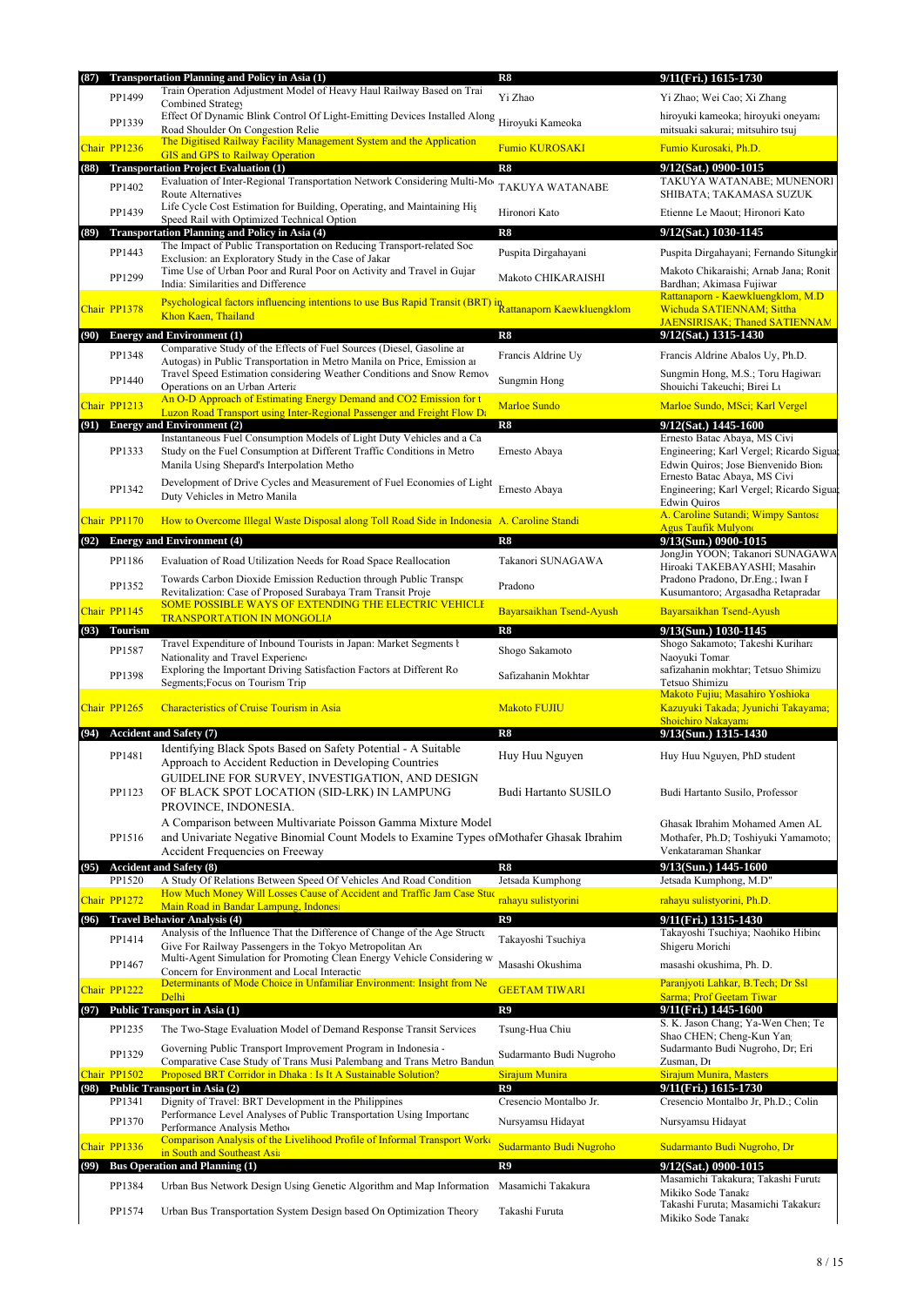| Train Operation Adjustment Model of Heavy Haul Railway Based on Trai<br>PP1499<br>Yi Zhao<br>Yi Zhao; Wei Cao; Xi Zhang<br>Combined Strategy<br>Effect Of Dynamic Blink Control Of Light-Emitting Devices Installed Along<br>hiroyuki kameoka; hiroyuki oneyama<br>PP1339<br>Hiroyuki Kameoka<br>Road Shoulder On Congestion Relie<br>mitsuaki sakurai; mitsuhiro tsuj<br>The Digitised Railway Facility Management System and the Application<br><b>Fumio KUROSAKI</b><br>Fumio Kurosaki, Ph.D.<br><b>GIS and GPS to Railway Operation</b><br><b>Transportation Project Evaluation (1)</b><br>R8<br>9/12(Sat.) 0900-1015<br>Evaluation of Inter-Regional Transportation Network Considering Multi-Mo<br>PP1402<br><b>TAKUYA WATANABE</b><br>Route Alternatives<br>SHIBATA; TAKAMASA SUZUK<br>Life Cycle Cost Estimation for Building, Operating, and Maintaining His<br>PP1439<br>Hironori Kato<br>Etienne Le Maout; Hironori Kato<br>Speed Rail with Optimized Technical Option<br><b>Transportation Planning and Policy in Asia (4)</b><br>9/12(Sat.) 1030-1145<br>R8<br>(89)<br>The Impact of Public Transportation on Reducing Transport-related Soc<br>PP1443<br>Puspita Dirgahayani<br>Puspita Dirgahayani; Fernando Situngkir<br>Exclusion: an Exploratory Study in the Case of Jakar<br>Time Use of Urban Poor and Rural Poor on Activity and Travel in Gujar<br>Makoto Chikaraishi; Arnab Jana; Ronit<br>PP1299<br>Makoto CHIKARAISHI<br>India: Similarities and Difference<br>Bardhan; Akimasa Fujiwar<br>Rattanaporn - Kaewkluengklom, M.D.<br>Psychological factors influencing intentions to use Bus Rapid Transit (BRT) in Rattanaporn Kaewkluengklom<br>Wichuda SATIENNAM; Sittha<br>Khon Kaen, Thailand<br><b>Energy and Environment (1)</b><br>R8<br>9/12(Sat.) 1315-1430<br>(90)<br>Comparative Study of the Effects of Fuel Sources (Diesel, Gasoline ar<br>PP1348<br>Francis Aldrine Uy<br>Francis Aldrine Abalos Uy, Ph.D.<br>Autogas) in Public Transportation in Metro Manila on Price, Emission and<br>Sungmin Hong, M.S.; Toru Hagiwara<br>Travel Speed Estimation considering Weather Conditions and Snow Remov<br>PP1440<br>Sungmin Hong<br>Operations on an Urban Arteria<br>Shouichi Takeuchi; Birei Lı<br>An O-D Approach of Estimating Energy Demand and CO2 Emission for t<br><b>Marloe Sundo</b><br>Marloe Sundo, MSci; Karl Vergel<br>Luzon Road Transport using Inter-Regional Passenger and Freight Flow Da<br><b>Energy and Environment (2)</b><br>R8<br>9/12(Sat.) 1445-1600<br>Instantaneous Fuel Consumption Models of Light Duty Vehicles and a Ca<br>Ernesto Batac Abaya, MS Civi<br>PP1333<br>Study on the Fuel Consumption at Different Traffic Conditions in Metro<br>Ernesto Abaya<br>Engineering; Karl Vergel; Ricardo Sigua;<br>Edwin Quiros; Jose Bienvenido Bion<br>Manila Using Shepard's Interpolation Metho<br>Ernesto Batac Abaya, MS Civi<br>Development of Drive Cycles and Measurement of Fuel Economies of Light<br>Ernesto Abaya<br>PP1342<br>Engineering; Karl Vergel; Ricardo Sigua;<br>Duty Vehicles in Metro Manila<br><b>Edwin Quiros</b><br>A. Caroline Sutandi; Wimpy Santosa<br>How to Overcome Illegal Waste Disposal along Toll Road Side in Indonesia A. Caroline Standi<br><b>Agus Taufik Mulyono</b><br><b>Energy and Environment (4)</b><br>R8<br>9/13(Sun.) 0900-1015<br>PP1186<br>Evaluation of Road Utilization Needs for Road Space Reallocation<br>Takanori SUNAGAWA<br>Hiroaki TAKEBAYASHI; Masahir<br>Pradono Pradono, Dr.Eng.; Iwan F<br>Towards Carbon Dioxide Emission Reduction through Public Transpo<br>PP1352<br>Pradono<br>Revitalization: Case of Proposed Surabaya Tram Transit Proje<br>Kusumantoro; Argasadha Retapradar<br>SOME POSSIBLE WAYS OF EXTENDING THE ELECTRIC VEHICLE<br>Bayarsaikhan Tsend-Ayush<br>Bayarsaikhan Tsend-Ayush<br><b>TRANSPORTATION IN MONGOLIA</b><br><b>Tourism</b><br>9/13(Sun.) 1030-1145<br>R8<br>Travel Expenditure of Inbound Tourists in Japan: Market Segments ł<br>Shogo Sakamoto; Takeshi Kurihara<br>PP1587<br>Shogo Sakamoto<br>Nationality and Travel Experience<br>Naoyuki Tomar<br>Exploring the Important Driving Satisfaction Factors at Different Ro<br>PP1398<br>Safizahanin Mokhtar<br>Segments; Focus on Tourism Trip<br>Tetsuo Shimizu<br><b>Makoto Fujiu; Masahiro Yoshioka</b><br><b>Characteristics of Cruise Tourism in Asia</b><br><b>Makoto FUJIU</b><br>Kazuyuki Takada; Jyunichi Takayama;<br><b>Shoichiro Nakayama</b><br>9/13(Sun.) 1315-1430<br><b>Accident and Safety (7)</b><br>R8<br>Identifying Black Spots Based on Safety Potential - A Suitable<br>PP1481<br>Huy Huu Nguyen<br>Huy Huu Nguyen, PhD student<br>Approach to Accident Reduction in Developing Countries<br>GUIDELINE FOR SURVEY, INVESTIGATION, AND DESIGN<br>OF BLACK SPOT LOCATION (SID-LRK) IN LAMPUNG<br>PP1123<br>Budi Hartanto SUSILO<br>Budi Hartanto Susilo, Professor<br>PROVINCE, INDONESIA.<br>A Comparison between Multivariate Poisson Gamma Mixture Model<br>and Univariate Negative Binomial Count Models to Examine Types of Mothafer Ghasak Ibrahim<br>PP1516<br>Mothafer, Ph.D; Toshiyuki Yamamoto;<br>Venkataraman Shankar<br>Accident Frequencies on Freeway<br>(95) Accident and Safety (8)<br>R8<br>9/13(Sun.) 1445-1600<br>A Study Of Relations Between Speed Of Vehicles And Road Condition<br>Jetsada Kumphong<br>Jetsada Kumphong, M.D"<br>PP1520<br>How Much Money Will Losses Cause of Accident and Traffic Jam Case Stud<br>Chair PP1272<br>rahayu sulistyorini<br>rahayu sulistyorini, Ph.D.<br>Main Road in Bandar Lampung, Indonesi<br><b>Travel Behavior Analysis (4)</b><br>R9<br>9/11(Fri.) 1315-1430<br>Analysis of the Influence That the Difference of Change of the Age Structu<br>Takayoshi Tsuchiya; Naohiko Hibino<br>PP1414<br>Takayoshi Tsuchiya<br>Give For Railway Passengers in the Tokyo Metropolitan Are<br>Shigeru Morich<br>Multi-Agent Simulation for Promoting Clean Energy Vehicle Considering wi<br>Masashi Okushima<br>PP1467<br>masashi okushima, Ph. D.<br>Concern for Environment and Local Interactio<br>Determinants of Mode Choice in Unfamiliar Environment: Insight from Ne<br>Paranjyoti Lahkar, B.Tech; Dr Ssli<br>Chair PP1222<br><b>GEETAM TIWARI</b><br>Delhi<br>Sarma; Prof Geetam Tiwar<br><b>Public Transport in Asia (1)</b><br>R9<br>9/11(Fri.) 1445-1600<br>(97)<br>PP1235<br>The Two-Stage Evaluation Model of Demand Response Transit Services<br>Tsung-Hua Chiu<br>Shao CHEN; Cheng-Kun Yan;<br>Governing Public Transport Improvement Program in Indonesia -<br>Sudarmanto Budi Nugroho, Dr; Eri<br>PP1329<br>Sudarmanto Budi Nugroho<br>Comparative Case Study of Trans Musi Palembang and Trans Metro Bandun<br>Zusman, Dr<br>Proposed BRT Corridor in Dhaka : Is It A Sustainable Solution?<br>Sirajum Munira<br>Sirajum Munira, Masters<br>Public Transport in Asia (2)<br>R <sub>9</sub><br>9/11(Fri.) 1615-1730<br>Dignity of Travel: BRT Development in the Philippines<br>Cresencio Montalbo Jr.<br>Cresencio Montalbo Jr, Ph.D.; Colin<br>PP1341<br>Performance Level Analyses of Public Transportation Using Importanc<br>PP1370<br>Nursyamsu Hidayat<br>Nursyamsu Hidayat<br>Performance Analysis Methor<br>Comparison Analysis of the Livelihood Profile of Informal Transport Work<br>Sudarmanto Budi Nugroho<br>Sudarmanto Budi Nugroho, Dr<br>in South and Southeast Asia<br><b>Bus Operation and Planning (1)</b><br>R9<br>9/12(Sat.) 0900-1015<br>Masamichi Takakura; Takashi Furuta<br>PP1384<br>Urban Bus Network Design Using Genetic Algorithm and Map Information<br>Masamichi Takakura<br>Mikiko Sode Tanaka<br>Takashi Furuta; Masamichi Takakura<br>PP1574<br>Urban Bus Transportation System Design based On Optimization Theory<br>Takashi Furuta | (87)         | <b>Transportation Planning and Policy in Asia (1)</b> | R8 | 9/11(Fri.) 1615-1730                |
|------------------------------------------------------------------------------------------------------------------------------------------------------------------------------------------------------------------------------------------------------------------------------------------------------------------------------------------------------------------------------------------------------------------------------------------------------------------------------------------------------------------------------------------------------------------------------------------------------------------------------------------------------------------------------------------------------------------------------------------------------------------------------------------------------------------------------------------------------------------------------------------------------------------------------------------------------------------------------------------------------------------------------------------------------------------------------------------------------------------------------------------------------------------------------------------------------------------------------------------------------------------------------------------------------------------------------------------------------------------------------------------------------------------------------------------------------------------------------------------------------------------------------------------------------------------------------------------------------------------------------------------------------------------------------------------------------------------------------------------------------------------------------------------------------------------------------------------------------------------------------------------------------------------------------------------------------------------------------------------------------------------------------------------------------------------------------------------------------------------------------------------------------------------------------------------------------------------------------------------------------------------------------------------------------------------------------------------------------------------------------------------------------------------------------------------------------------------------------------------------------------------------------------------------------------------------------------------------------------------------------------------------------------------------------------------------------------------------------------------------------------------------------------------------------------------------------------------------------------------------------------------------------------------------------------------------------------------------------------------------------------------------------------------------------------------------------------------------------------------------------------------------------------------------------------------------------------------------------------------------------------------------------------------------------------------------------------------------------------------------------------------------------------------------------------------------------------------------------------------------------------------------------------------------------------------------------------------------------------------------------------------------------------------------------------------------------------------------------------------------------------------------------------------------------------------------------------------------------------------------------------------------------------------------------------------------------------------------------------------------------------------------------------------------------------------------------------------------------------------------------------------------------------------------------------------------------------------------------------------------------------------------------------------------------------------------------------------------------------------------------------------------------------------------------------------------------------------------------------------------------------------------------------------------------------------------------------------------------------------------------------------------------------------------------------------------------------------------------------------------------------------------------------------------------------------------------------------------------------------------------------------------------------------------------------------------------------------------------------------------------------------------------------------------------------------------------------------------------------------------------------------------------------------------------------------------------------------------------------------------------------------------------------------------------------------------------------------------------------------------------------------------------------------------------------------------------------------------------------------------------------------------------------------------------------------------------------------------------------------------------------------------------------------------------------------------------------------------------------------------------------------------------------------------------------------------------------------------------------------------------------------------------------------------------------------------------------------------------------------------------------------------------------------------------------------------------------------------------------------------------------------------------------------------------------------------------------------------------------------------------------------------------------------------------------------------------------------------------------------------------------------------------------------------------------------------------------------------------------------------------------------------------------------------------------------------------------------------------------------------------------------------------------------------------------------------------------------------------------------------------------------------------------------------------------------------------------------------------------------------------------------------------------------------------------------------------------------------------------------------------------------------------------------------------------------------------------------------------------------------------------------------------------------------------------------------------------------------------------------------------------------------------------------------------------------------------------------------------------------------------------------------------------------------------------------------------------------------------------------------------------------------------------------------------------------------------------------------------------------------------------------------------------------------------------------------------------------------------------------------------------------------------------------|--------------|-------------------------------------------------------|----|-------------------------------------|
|                                                                                                                                                                                                                                                                                                                                                                                                                                                                                                                                                                                                                                                                                                                                                                                                                                                                                                                                                                                                                                                                                                                                                                                                                                                                                                                                                                                                                                                                                                                                                                                                                                                                                                                                                                                                                                                                                                                                                                                                                                                                                                                                                                                                                                                                                                                                                                                                                                                                                                                                                                                                                                                                                                                                                                                                                                                                                                                                                                                                                                                                                                                                                                                                                                                                                                                                                                                                                                                                                                                                                                                                                                                                                                                                                                                                                                                                                                                                                                                                                                                                                                                                                                                                                                                                                                                                                                                                                                                                                                                                                                                                                                                                                                                                                                                                                                                                                                                                                                                                                                                                                                                                                                                                                                                                                                                                                                                                                                                                                                                                                                                                                                                                                                                                                                                                                                                                                                                                                                                                                                                                                                                                                                                                                                                                                                                                                                                                                                                                                                                                                                                                                                                                                                                                                                                                                                                                                                                                                                                                                                                                                                                                                                                                                                                                                                                                                                                                                                                                                                                                                                                                                                                                                                                                                                                          |              |                                                       |    |                                     |
|                                                                                                                                                                                                                                                                                                                                                                                                                                                                                                                                                                                                                                                                                                                                                                                                                                                                                                                                                                                                                                                                                                                                                                                                                                                                                                                                                                                                                                                                                                                                                                                                                                                                                                                                                                                                                                                                                                                                                                                                                                                                                                                                                                                                                                                                                                                                                                                                                                                                                                                                                                                                                                                                                                                                                                                                                                                                                                                                                                                                                                                                                                                                                                                                                                                                                                                                                                                                                                                                                                                                                                                                                                                                                                                                                                                                                                                                                                                                                                                                                                                                                                                                                                                                                                                                                                                                                                                                                                                                                                                                                                                                                                                                                                                                                                                                                                                                                                                                                                                                                                                                                                                                                                                                                                                                                                                                                                                                                                                                                                                                                                                                                                                                                                                                                                                                                                                                                                                                                                                                                                                                                                                                                                                                                                                                                                                                                                                                                                                                                                                                                                                                                                                                                                                                                                                                                                                                                                                                                                                                                                                                                                                                                                                                                                                                                                                                                                                                                                                                                                                                                                                                                                                                                                                                                                                          |              |                                                       |    |                                     |
|                                                                                                                                                                                                                                                                                                                                                                                                                                                                                                                                                                                                                                                                                                                                                                                                                                                                                                                                                                                                                                                                                                                                                                                                                                                                                                                                                                                                                                                                                                                                                                                                                                                                                                                                                                                                                                                                                                                                                                                                                                                                                                                                                                                                                                                                                                                                                                                                                                                                                                                                                                                                                                                                                                                                                                                                                                                                                                                                                                                                                                                                                                                                                                                                                                                                                                                                                                                                                                                                                                                                                                                                                                                                                                                                                                                                                                                                                                                                                                                                                                                                                                                                                                                                                                                                                                                                                                                                                                                                                                                                                                                                                                                                                                                                                                                                                                                                                                                                                                                                                                                                                                                                                                                                                                                                                                                                                                                                                                                                                                                                                                                                                                                                                                                                                                                                                                                                                                                                                                                                                                                                                                                                                                                                                                                                                                                                                                                                                                                                                                                                                                                                                                                                                                                                                                                                                                                                                                                                                                                                                                                                                                                                                                                                                                                                                                                                                                                                                                                                                                                                                                                                                                                                                                                                                                                          | Chair PP1236 |                                                       |    |                                     |
|                                                                                                                                                                                                                                                                                                                                                                                                                                                                                                                                                                                                                                                                                                                                                                                                                                                                                                                                                                                                                                                                                                                                                                                                                                                                                                                                                                                                                                                                                                                                                                                                                                                                                                                                                                                                                                                                                                                                                                                                                                                                                                                                                                                                                                                                                                                                                                                                                                                                                                                                                                                                                                                                                                                                                                                                                                                                                                                                                                                                                                                                                                                                                                                                                                                                                                                                                                                                                                                                                                                                                                                                                                                                                                                                                                                                                                                                                                                                                                                                                                                                                                                                                                                                                                                                                                                                                                                                                                                                                                                                                                                                                                                                                                                                                                                                                                                                                                                                                                                                                                                                                                                                                                                                                                                                                                                                                                                                                                                                                                                                                                                                                                                                                                                                                                                                                                                                                                                                                                                                                                                                                                                                                                                                                                                                                                                                                                                                                                                                                                                                                                                                                                                                                                                                                                                                                                                                                                                                                                                                                                                                                                                                                                                                                                                                                                                                                                                                                                                                                                                                                                                                                                                                                                                                                                                          | (88)         |                                                       |    |                                     |
|                                                                                                                                                                                                                                                                                                                                                                                                                                                                                                                                                                                                                                                                                                                                                                                                                                                                                                                                                                                                                                                                                                                                                                                                                                                                                                                                                                                                                                                                                                                                                                                                                                                                                                                                                                                                                                                                                                                                                                                                                                                                                                                                                                                                                                                                                                                                                                                                                                                                                                                                                                                                                                                                                                                                                                                                                                                                                                                                                                                                                                                                                                                                                                                                                                                                                                                                                                                                                                                                                                                                                                                                                                                                                                                                                                                                                                                                                                                                                                                                                                                                                                                                                                                                                                                                                                                                                                                                                                                                                                                                                                                                                                                                                                                                                                                                                                                                                                                                                                                                                                                                                                                                                                                                                                                                                                                                                                                                                                                                                                                                                                                                                                                                                                                                                                                                                                                                                                                                                                                                                                                                                                                                                                                                                                                                                                                                                                                                                                                                                                                                                                                                                                                                                                                                                                                                                                                                                                                                                                                                                                                                                                                                                                                                                                                                                                                                                                                                                                                                                                                                                                                                                                                                                                                                                                                          |              |                                                       |    | TAKUYA WATANABE; MUNENORI           |
|                                                                                                                                                                                                                                                                                                                                                                                                                                                                                                                                                                                                                                                                                                                                                                                                                                                                                                                                                                                                                                                                                                                                                                                                                                                                                                                                                                                                                                                                                                                                                                                                                                                                                                                                                                                                                                                                                                                                                                                                                                                                                                                                                                                                                                                                                                                                                                                                                                                                                                                                                                                                                                                                                                                                                                                                                                                                                                                                                                                                                                                                                                                                                                                                                                                                                                                                                                                                                                                                                                                                                                                                                                                                                                                                                                                                                                                                                                                                                                                                                                                                                                                                                                                                                                                                                                                                                                                                                                                                                                                                                                                                                                                                                                                                                                                                                                                                                                                                                                                                                                                                                                                                                                                                                                                                                                                                                                                                                                                                                                                                                                                                                                                                                                                                                                                                                                                                                                                                                                                                                                                                                                                                                                                                                                                                                                                                                                                                                                                                                                                                                                                                                                                                                                                                                                                                                                                                                                                                                                                                                                                                                                                                                                                                                                                                                                                                                                                                                                                                                                                                                                                                                                                                                                                                                                                          |              |                                                       |    |                                     |
|                                                                                                                                                                                                                                                                                                                                                                                                                                                                                                                                                                                                                                                                                                                                                                                                                                                                                                                                                                                                                                                                                                                                                                                                                                                                                                                                                                                                                                                                                                                                                                                                                                                                                                                                                                                                                                                                                                                                                                                                                                                                                                                                                                                                                                                                                                                                                                                                                                                                                                                                                                                                                                                                                                                                                                                                                                                                                                                                                                                                                                                                                                                                                                                                                                                                                                                                                                                                                                                                                                                                                                                                                                                                                                                                                                                                                                                                                                                                                                                                                                                                                                                                                                                                                                                                                                                                                                                                                                                                                                                                                                                                                                                                                                                                                                                                                                                                                                                                                                                                                                                                                                                                                                                                                                                                                                                                                                                                                                                                                                                                                                                                                                                                                                                                                                                                                                                                                                                                                                                                                                                                                                                                                                                                                                                                                                                                                                                                                                                                                                                                                                                                                                                                                                                                                                                                                                                                                                                                                                                                                                                                                                                                                                                                                                                                                                                                                                                                                                                                                                                                                                                                                                                                                                                                                                                          |              |                                                       |    |                                     |
|                                                                                                                                                                                                                                                                                                                                                                                                                                                                                                                                                                                                                                                                                                                                                                                                                                                                                                                                                                                                                                                                                                                                                                                                                                                                                                                                                                                                                                                                                                                                                                                                                                                                                                                                                                                                                                                                                                                                                                                                                                                                                                                                                                                                                                                                                                                                                                                                                                                                                                                                                                                                                                                                                                                                                                                                                                                                                                                                                                                                                                                                                                                                                                                                                                                                                                                                                                                                                                                                                                                                                                                                                                                                                                                                                                                                                                                                                                                                                                                                                                                                                                                                                                                                                                                                                                                                                                                                                                                                                                                                                                                                                                                                                                                                                                                                                                                                                                                                                                                                                                                                                                                                                                                                                                                                                                                                                                                                                                                                                                                                                                                                                                                                                                                                                                                                                                                                                                                                                                                                                                                                                                                                                                                                                                                                                                                                                                                                                                                                                                                                                                                                                                                                                                                                                                                                                                                                                                                                                                                                                                                                                                                                                                                                                                                                                                                                                                                                                                                                                                                                                                                                                                                                                                                                                                                          |              |                                                       |    |                                     |
|                                                                                                                                                                                                                                                                                                                                                                                                                                                                                                                                                                                                                                                                                                                                                                                                                                                                                                                                                                                                                                                                                                                                                                                                                                                                                                                                                                                                                                                                                                                                                                                                                                                                                                                                                                                                                                                                                                                                                                                                                                                                                                                                                                                                                                                                                                                                                                                                                                                                                                                                                                                                                                                                                                                                                                                                                                                                                                                                                                                                                                                                                                                                                                                                                                                                                                                                                                                                                                                                                                                                                                                                                                                                                                                                                                                                                                                                                                                                                                                                                                                                                                                                                                                                                                                                                                                                                                                                                                                                                                                                                                                                                                                                                                                                                                                                                                                                                                                                                                                                                                                                                                                                                                                                                                                                                                                                                                                                                                                                                                                                                                                                                                                                                                                                                                                                                                                                                                                                                                                                                                                                                                                                                                                                                                                                                                                                                                                                                                                                                                                                                                                                                                                                                                                                                                                                                                                                                                                                                                                                                                                                                                                                                                                                                                                                                                                                                                                                                                                                                                                                                                                                                                                                                                                                                                                          |              |                                                       |    |                                     |
|                                                                                                                                                                                                                                                                                                                                                                                                                                                                                                                                                                                                                                                                                                                                                                                                                                                                                                                                                                                                                                                                                                                                                                                                                                                                                                                                                                                                                                                                                                                                                                                                                                                                                                                                                                                                                                                                                                                                                                                                                                                                                                                                                                                                                                                                                                                                                                                                                                                                                                                                                                                                                                                                                                                                                                                                                                                                                                                                                                                                                                                                                                                                                                                                                                                                                                                                                                                                                                                                                                                                                                                                                                                                                                                                                                                                                                                                                                                                                                                                                                                                                                                                                                                                                                                                                                                                                                                                                                                                                                                                                                                                                                                                                                                                                                                                                                                                                                                                                                                                                                                                                                                                                                                                                                                                                                                                                                                                                                                                                                                                                                                                                                                                                                                                                                                                                                                                                                                                                                                                                                                                                                                                                                                                                                                                                                                                                                                                                                                                                                                                                                                                                                                                                                                                                                                                                                                                                                                                                                                                                                                                                                                                                                                                                                                                                                                                                                                                                                                                                                                                                                                                                                                                                                                                                                                          |              |                                                       |    |                                     |
|                                                                                                                                                                                                                                                                                                                                                                                                                                                                                                                                                                                                                                                                                                                                                                                                                                                                                                                                                                                                                                                                                                                                                                                                                                                                                                                                                                                                                                                                                                                                                                                                                                                                                                                                                                                                                                                                                                                                                                                                                                                                                                                                                                                                                                                                                                                                                                                                                                                                                                                                                                                                                                                                                                                                                                                                                                                                                                                                                                                                                                                                                                                                                                                                                                                                                                                                                                                                                                                                                                                                                                                                                                                                                                                                                                                                                                                                                                                                                                                                                                                                                                                                                                                                                                                                                                                                                                                                                                                                                                                                                                                                                                                                                                                                                                                                                                                                                                                                                                                                                                                                                                                                                                                                                                                                                                                                                                                                                                                                                                                                                                                                                                                                                                                                                                                                                                                                                                                                                                                                                                                                                                                                                                                                                                                                                                                                                                                                                                                                                                                                                                                                                                                                                                                                                                                                                                                                                                                                                                                                                                                                                                                                                                                                                                                                                                                                                                                                                                                                                                                                                                                                                                                                                                                                                                                          | Chair PP1378 |                                                       |    |                                     |
|                                                                                                                                                                                                                                                                                                                                                                                                                                                                                                                                                                                                                                                                                                                                                                                                                                                                                                                                                                                                                                                                                                                                                                                                                                                                                                                                                                                                                                                                                                                                                                                                                                                                                                                                                                                                                                                                                                                                                                                                                                                                                                                                                                                                                                                                                                                                                                                                                                                                                                                                                                                                                                                                                                                                                                                                                                                                                                                                                                                                                                                                                                                                                                                                                                                                                                                                                                                                                                                                                                                                                                                                                                                                                                                                                                                                                                                                                                                                                                                                                                                                                                                                                                                                                                                                                                                                                                                                                                                                                                                                                                                                                                                                                                                                                                                                                                                                                                                                                                                                                                                                                                                                                                                                                                                                                                                                                                                                                                                                                                                                                                                                                                                                                                                                                                                                                                                                                                                                                                                                                                                                                                                                                                                                                                                                                                                                                                                                                                                                                                                                                                                                                                                                                                                                                                                                                                                                                                                                                                                                                                                                                                                                                                                                                                                                                                                                                                                                                                                                                                                                                                                                                                                                                                                                                                                          |              |                                                       |    | JAENSIRISAK; Thaned SATIENNAM       |
|                                                                                                                                                                                                                                                                                                                                                                                                                                                                                                                                                                                                                                                                                                                                                                                                                                                                                                                                                                                                                                                                                                                                                                                                                                                                                                                                                                                                                                                                                                                                                                                                                                                                                                                                                                                                                                                                                                                                                                                                                                                                                                                                                                                                                                                                                                                                                                                                                                                                                                                                                                                                                                                                                                                                                                                                                                                                                                                                                                                                                                                                                                                                                                                                                                                                                                                                                                                                                                                                                                                                                                                                                                                                                                                                                                                                                                                                                                                                                                                                                                                                                                                                                                                                                                                                                                                                                                                                                                                                                                                                                                                                                                                                                                                                                                                                                                                                                                                                                                                                                                                                                                                                                                                                                                                                                                                                                                                                                                                                                                                                                                                                                                                                                                                                                                                                                                                                                                                                                                                                                                                                                                                                                                                                                                                                                                                                                                                                                                                                                                                                                                                                                                                                                                                                                                                                                                                                                                                                                                                                                                                                                                                                                                                                                                                                                                                                                                                                                                                                                                                                                                                                                                                                                                                                                                                          |              |                                                       |    |                                     |
|                                                                                                                                                                                                                                                                                                                                                                                                                                                                                                                                                                                                                                                                                                                                                                                                                                                                                                                                                                                                                                                                                                                                                                                                                                                                                                                                                                                                                                                                                                                                                                                                                                                                                                                                                                                                                                                                                                                                                                                                                                                                                                                                                                                                                                                                                                                                                                                                                                                                                                                                                                                                                                                                                                                                                                                                                                                                                                                                                                                                                                                                                                                                                                                                                                                                                                                                                                                                                                                                                                                                                                                                                                                                                                                                                                                                                                                                                                                                                                                                                                                                                                                                                                                                                                                                                                                                                                                                                                                                                                                                                                                                                                                                                                                                                                                                                                                                                                                                                                                                                                                                                                                                                                                                                                                                                                                                                                                                                                                                                                                                                                                                                                                                                                                                                                                                                                                                                                                                                                                                                                                                                                                                                                                                                                                                                                                                                                                                                                                                                                                                                                                                                                                                                                                                                                                                                                                                                                                                                                                                                                                                                                                                                                                                                                                                                                                                                                                                                                                                                                                                                                                                                                                                                                                                                                                          |              |                                                       |    |                                     |
|                                                                                                                                                                                                                                                                                                                                                                                                                                                                                                                                                                                                                                                                                                                                                                                                                                                                                                                                                                                                                                                                                                                                                                                                                                                                                                                                                                                                                                                                                                                                                                                                                                                                                                                                                                                                                                                                                                                                                                                                                                                                                                                                                                                                                                                                                                                                                                                                                                                                                                                                                                                                                                                                                                                                                                                                                                                                                                                                                                                                                                                                                                                                                                                                                                                                                                                                                                                                                                                                                                                                                                                                                                                                                                                                                                                                                                                                                                                                                                                                                                                                                                                                                                                                                                                                                                                                                                                                                                                                                                                                                                                                                                                                                                                                                                                                                                                                                                                                                                                                                                                                                                                                                                                                                                                                                                                                                                                                                                                                                                                                                                                                                                                                                                                                                                                                                                                                                                                                                                                                                                                                                                                                                                                                                                                                                                                                                                                                                                                                                                                                                                                                                                                                                                                                                                                                                                                                                                                                                                                                                                                                                                                                                                                                                                                                                                                                                                                                                                                                                                                                                                                                                                                                                                                                                                                          |              |                                                       |    |                                     |
|                                                                                                                                                                                                                                                                                                                                                                                                                                                                                                                                                                                                                                                                                                                                                                                                                                                                                                                                                                                                                                                                                                                                                                                                                                                                                                                                                                                                                                                                                                                                                                                                                                                                                                                                                                                                                                                                                                                                                                                                                                                                                                                                                                                                                                                                                                                                                                                                                                                                                                                                                                                                                                                                                                                                                                                                                                                                                                                                                                                                                                                                                                                                                                                                                                                                                                                                                                                                                                                                                                                                                                                                                                                                                                                                                                                                                                                                                                                                                                                                                                                                                                                                                                                                                                                                                                                                                                                                                                                                                                                                                                                                                                                                                                                                                                                                                                                                                                                                                                                                                                                                                                                                                                                                                                                                                                                                                                                                                                                                                                                                                                                                                                                                                                                                                                                                                                                                                                                                                                                                                                                                                                                                                                                                                                                                                                                                                                                                                                                                                                                                                                                                                                                                                                                                                                                                                                                                                                                                                                                                                                                                                                                                                                                                                                                                                                                                                                                                                                                                                                                                                                                                                                                                                                                                                                                          | Chair PP1213 |                                                       |    |                                     |
|                                                                                                                                                                                                                                                                                                                                                                                                                                                                                                                                                                                                                                                                                                                                                                                                                                                                                                                                                                                                                                                                                                                                                                                                                                                                                                                                                                                                                                                                                                                                                                                                                                                                                                                                                                                                                                                                                                                                                                                                                                                                                                                                                                                                                                                                                                                                                                                                                                                                                                                                                                                                                                                                                                                                                                                                                                                                                                                                                                                                                                                                                                                                                                                                                                                                                                                                                                                                                                                                                                                                                                                                                                                                                                                                                                                                                                                                                                                                                                                                                                                                                                                                                                                                                                                                                                                                                                                                                                                                                                                                                                                                                                                                                                                                                                                                                                                                                                                                                                                                                                                                                                                                                                                                                                                                                                                                                                                                                                                                                                                                                                                                                                                                                                                                                                                                                                                                                                                                                                                                                                                                                                                                                                                                                                                                                                                                                                                                                                                                                                                                                                                                                                                                                                                                                                                                                                                                                                                                                                                                                                                                                                                                                                                                                                                                                                                                                                                                                                                                                                                                                                                                                                                                                                                                                                                          | (91)         |                                                       |    |                                     |
|                                                                                                                                                                                                                                                                                                                                                                                                                                                                                                                                                                                                                                                                                                                                                                                                                                                                                                                                                                                                                                                                                                                                                                                                                                                                                                                                                                                                                                                                                                                                                                                                                                                                                                                                                                                                                                                                                                                                                                                                                                                                                                                                                                                                                                                                                                                                                                                                                                                                                                                                                                                                                                                                                                                                                                                                                                                                                                                                                                                                                                                                                                                                                                                                                                                                                                                                                                                                                                                                                                                                                                                                                                                                                                                                                                                                                                                                                                                                                                                                                                                                                                                                                                                                                                                                                                                                                                                                                                                                                                                                                                                                                                                                                                                                                                                                                                                                                                                                                                                                                                                                                                                                                                                                                                                                                                                                                                                                                                                                                                                                                                                                                                                                                                                                                                                                                                                                                                                                                                                                                                                                                                                                                                                                                                                                                                                                                                                                                                                                                                                                                                                                                                                                                                                                                                                                                                                                                                                                                                                                                                                                                                                                                                                                                                                                                                                                                                                                                                                                                                                                                                                                                                                                                                                                                                                          |              |                                                       |    |                                     |
|                                                                                                                                                                                                                                                                                                                                                                                                                                                                                                                                                                                                                                                                                                                                                                                                                                                                                                                                                                                                                                                                                                                                                                                                                                                                                                                                                                                                                                                                                                                                                                                                                                                                                                                                                                                                                                                                                                                                                                                                                                                                                                                                                                                                                                                                                                                                                                                                                                                                                                                                                                                                                                                                                                                                                                                                                                                                                                                                                                                                                                                                                                                                                                                                                                                                                                                                                                                                                                                                                                                                                                                                                                                                                                                                                                                                                                                                                                                                                                                                                                                                                                                                                                                                                                                                                                                                                                                                                                                                                                                                                                                                                                                                                                                                                                                                                                                                                                                                                                                                                                                                                                                                                                                                                                                                                                                                                                                                                                                                                                                                                                                                                                                                                                                                                                                                                                                                                                                                                                                                                                                                                                                                                                                                                                                                                                                                                                                                                                                                                                                                                                                                                                                                                                                                                                                                                                                                                                                                                                                                                                                                                                                                                                                                                                                                                                                                                                                                                                                                                                                                                                                                                                                                                                                                                                                          |              |                                                       |    |                                     |
|                                                                                                                                                                                                                                                                                                                                                                                                                                                                                                                                                                                                                                                                                                                                                                                                                                                                                                                                                                                                                                                                                                                                                                                                                                                                                                                                                                                                                                                                                                                                                                                                                                                                                                                                                                                                                                                                                                                                                                                                                                                                                                                                                                                                                                                                                                                                                                                                                                                                                                                                                                                                                                                                                                                                                                                                                                                                                                                                                                                                                                                                                                                                                                                                                                                                                                                                                                                                                                                                                                                                                                                                                                                                                                                                                                                                                                                                                                                                                                                                                                                                                                                                                                                                                                                                                                                                                                                                                                                                                                                                                                                                                                                                                                                                                                                                                                                                                                                                                                                                                                                                                                                                                                                                                                                                                                                                                                                                                                                                                                                                                                                                                                                                                                                                                                                                                                                                                                                                                                                                                                                                                                                                                                                                                                                                                                                                                                                                                                                                                                                                                                                                                                                                                                                                                                                                                                                                                                                                                                                                                                                                                                                                                                                                                                                                                                                                                                                                                                                                                                                                                                                                                                                                                                                                                                                          |              |                                                       |    |                                     |
|                                                                                                                                                                                                                                                                                                                                                                                                                                                                                                                                                                                                                                                                                                                                                                                                                                                                                                                                                                                                                                                                                                                                                                                                                                                                                                                                                                                                                                                                                                                                                                                                                                                                                                                                                                                                                                                                                                                                                                                                                                                                                                                                                                                                                                                                                                                                                                                                                                                                                                                                                                                                                                                                                                                                                                                                                                                                                                                                                                                                                                                                                                                                                                                                                                                                                                                                                                                                                                                                                                                                                                                                                                                                                                                                                                                                                                                                                                                                                                                                                                                                                                                                                                                                                                                                                                                                                                                                                                                                                                                                                                                                                                                                                                                                                                                                                                                                                                                                                                                                                                                                                                                                                                                                                                                                                                                                                                                                                                                                                                                                                                                                                                                                                                                                                                                                                                                                                                                                                                                                                                                                                                                                                                                                                                                                                                                                                                                                                                                                                                                                                                                                                                                                                                                                                                                                                                                                                                                                                                                                                                                                                                                                                                                                                                                                                                                                                                                                                                                                                                                                                                                                                                                                                                                                                                                          |              |                                                       |    |                                     |
|                                                                                                                                                                                                                                                                                                                                                                                                                                                                                                                                                                                                                                                                                                                                                                                                                                                                                                                                                                                                                                                                                                                                                                                                                                                                                                                                                                                                                                                                                                                                                                                                                                                                                                                                                                                                                                                                                                                                                                                                                                                                                                                                                                                                                                                                                                                                                                                                                                                                                                                                                                                                                                                                                                                                                                                                                                                                                                                                                                                                                                                                                                                                                                                                                                                                                                                                                                                                                                                                                                                                                                                                                                                                                                                                                                                                                                                                                                                                                                                                                                                                                                                                                                                                                                                                                                                                                                                                                                                                                                                                                                                                                                                                                                                                                                                                                                                                                                                                                                                                                                                                                                                                                                                                                                                                                                                                                                                                                                                                                                                                                                                                                                                                                                                                                                                                                                                                                                                                                                                                                                                                                                                                                                                                                                                                                                                                                                                                                                                                                                                                                                                                                                                                                                                                                                                                                                                                                                                                                                                                                                                                                                                                                                                                                                                                                                                                                                                                                                                                                                                                                                                                                                                                                                                                                                                          | Chair PP1170 |                                                       |    |                                     |
|                                                                                                                                                                                                                                                                                                                                                                                                                                                                                                                                                                                                                                                                                                                                                                                                                                                                                                                                                                                                                                                                                                                                                                                                                                                                                                                                                                                                                                                                                                                                                                                                                                                                                                                                                                                                                                                                                                                                                                                                                                                                                                                                                                                                                                                                                                                                                                                                                                                                                                                                                                                                                                                                                                                                                                                                                                                                                                                                                                                                                                                                                                                                                                                                                                                                                                                                                                                                                                                                                                                                                                                                                                                                                                                                                                                                                                                                                                                                                                                                                                                                                                                                                                                                                                                                                                                                                                                                                                                                                                                                                                                                                                                                                                                                                                                                                                                                                                                                                                                                                                                                                                                                                                                                                                                                                                                                                                                                                                                                                                                                                                                                                                                                                                                                                                                                                                                                                                                                                                                                                                                                                                                                                                                                                                                                                                                                                                                                                                                                                                                                                                                                                                                                                                                                                                                                                                                                                                                                                                                                                                                                                                                                                                                                                                                                                                                                                                                                                                                                                                                                                                                                                                                                                                                                                                                          | (92)         |                                                       |    |                                     |
|                                                                                                                                                                                                                                                                                                                                                                                                                                                                                                                                                                                                                                                                                                                                                                                                                                                                                                                                                                                                                                                                                                                                                                                                                                                                                                                                                                                                                                                                                                                                                                                                                                                                                                                                                                                                                                                                                                                                                                                                                                                                                                                                                                                                                                                                                                                                                                                                                                                                                                                                                                                                                                                                                                                                                                                                                                                                                                                                                                                                                                                                                                                                                                                                                                                                                                                                                                                                                                                                                                                                                                                                                                                                                                                                                                                                                                                                                                                                                                                                                                                                                                                                                                                                                                                                                                                                                                                                                                                                                                                                                                                                                                                                                                                                                                                                                                                                                                                                                                                                                                                                                                                                                                                                                                                                                                                                                                                                                                                                                                                                                                                                                                                                                                                                                                                                                                                                                                                                                                                                                                                                                                                                                                                                                                                                                                                                                                                                                                                                                                                                                                                                                                                                                                                                                                                                                                                                                                                                                                                                                                                                                                                                                                                                                                                                                                                                                                                                                                                                                                                                                                                                                                                                                                                                                                                          |              |                                                       |    | JongJin YOON; Takanori SUNAGAWA     |
|                                                                                                                                                                                                                                                                                                                                                                                                                                                                                                                                                                                                                                                                                                                                                                                                                                                                                                                                                                                                                                                                                                                                                                                                                                                                                                                                                                                                                                                                                                                                                                                                                                                                                                                                                                                                                                                                                                                                                                                                                                                                                                                                                                                                                                                                                                                                                                                                                                                                                                                                                                                                                                                                                                                                                                                                                                                                                                                                                                                                                                                                                                                                                                                                                                                                                                                                                                                                                                                                                                                                                                                                                                                                                                                                                                                                                                                                                                                                                                                                                                                                                                                                                                                                                                                                                                                                                                                                                                                                                                                                                                                                                                                                                                                                                                                                                                                                                                                                                                                                                                                                                                                                                                                                                                                                                                                                                                                                                                                                                                                                                                                                                                                                                                                                                                                                                                                                                                                                                                                                                                                                                                                                                                                                                                                                                                                                                                                                                                                                                                                                                                                                                                                                                                                                                                                                                                                                                                                                                                                                                                                                                                                                                                                                                                                                                                                                                                                                                                                                                                                                                                                                                                                                                                                                                                                          |              |                                                       |    |                                     |
|                                                                                                                                                                                                                                                                                                                                                                                                                                                                                                                                                                                                                                                                                                                                                                                                                                                                                                                                                                                                                                                                                                                                                                                                                                                                                                                                                                                                                                                                                                                                                                                                                                                                                                                                                                                                                                                                                                                                                                                                                                                                                                                                                                                                                                                                                                                                                                                                                                                                                                                                                                                                                                                                                                                                                                                                                                                                                                                                                                                                                                                                                                                                                                                                                                                                                                                                                                                                                                                                                                                                                                                                                                                                                                                                                                                                                                                                                                                                                                                                                                                                                                                                                                                                                                                                                                                                                                                                                                                                                                                                                                                                                                                                                                                                                                                                                                                                                                                                                                                                                                                                                                                                                                                                                                                                                                                                                                                                                                                                                                                                                                                                                                                                                                                                                                                                                                                                                                                                                                                                                                                                                                                                                                                                                                                                                                                                                                                                                                                                                                                                                                                                                                                                                                                                                                                                                                                                                                                                                                                                                                                                                                                                                                                                                                                                                                                                                                                                                                                                                                                                                                                                                                                                                                                                                                                          |              |                                                       |    |                                     |
|                                                                                                                                                                                                                                                                                                                                                                                                                                                                                                                                                                                                                                                                                                                                                                                                                                                                                                                                                                                                                                                                                                                                                                                                                                                                                                                                                                                                                                                                                                                                                                                                                                                                                                                                                                                                                                                                                                                                                                                                                                                                                                                                                                                                                                                                                                                                                                                                                                                                                                                                                                                                                                                                                                                                                                                                                                                                                                                                                                                                                                                                                                                                                                                                                                                                                                                                                                                                                                                                                                                                                                                                                                                                                                                                                                                                                                                                                                                                                                                                                                                                                                                                                                                                                                                                                                                                                                                                                                                                                                                                                                                                                                                                                                                                                                                                                                                                                                                                                                                                                                                                                                                                                                                                                                                                                                                                                                                                                                                                                                                                                                                                                                                                                                                                                                                                                                                                                                                                                                                                                                                                                                                                                                                                                                                                                                                                                                                                                                                                                                                                                                                                                                                                                                                                                                                                                                                                                                                                                                                                                                                                                                                                                                                                                                                                                                                                                                                                                                                                                                                                                                                                                                                                                                                                                                                          | Chair PP1145 |                                                       |    |                                     |
|                                                                                                                                                                                                                                                                                                                                                                                                                                                                                                                                                                                                                                                                                                                                                                                                                                                                                                                                                                                                                                                                                                                                                                                                                                                                                                                                                                                                                                                                                                                                                                                                                                                                                                                                                                                                                                                                                                                                                                                                                                                                                                                                                                                                                                                                                                                                                                                                                                                                                                                                                                                                                                                                                                                                                                                                                                                                                                                                                                                                                                                                                                                                                                                                                                                                                                                                                                                                                                                                                                                                                                                                                                                                                                                                                                                                                                                                                                                                                                                                                                                                                                                                                                                                                                                                                                                                                                                                                                                                                                                                                                                                                                                                                                                                                                                                                                                                                                                                                                                                                                                                                                                                                                                                                                                                                                                                                                                                                                                                                                                                                                                                                                                                                                                                                                                                                                                                                                                                                                                                                                                                                                                                                                                                                                                                                                                                                                                                                                                                                                                                                                                                                                                                                                                                                                                                                                                                                                                                                                                                                                                                                                                                                                                                                                                                                                                                                                                                                                                                                                                                                                                                                                                                                                                                                                                          | (93)         |                                                       |    |                                     |
|                                                                                                                                                                                                                                                                                                                                                                                                                                                                                                                                                                                                                                                                                                                                                                                                                                                                                                                                                                                                                                                                                                                                                                                                                                                                                                                                                                                                                                                                                                                                                                                                                                                                                                                                                                                                                                                                                                                                                                                                                                                                                                                                                                                                                                                                                                                                                                                                                                                                                                                                                                                                                                                                                                                                                                                                                                                                                                                                                                                                                                                                                                                                                                                                                                                                                                                                                                                                                                                                                                                                                                                                                                                                                                                                                                                                                                                                                                                                                                                                                                                                                                                                                                                                                                                                                                                                                                                                                                                                                                                                                                                                                                                                                                                                                                                                                                                                                                                                                                                                                                                                                                                                                                                                                                                                                                                                                                                                                                                                                                                                                                                                                                                                                                                                                                                                                                                                                                                                                                                                                                                                                                                                                                                                                                                                                                                                                                                                                                                                                                                                                                                                                                                                                                                                                                                                                                                                                                                                                                                                                                                                                                                                                                                                                                                                                                                                                                                                                                                                                                                                                                                                                                                                                                                                                                                          |              |                                                       |    |                                     |
|                                                                                                                                                                                                                                                                                                                                                                                                                                                                                                                                                                                                                                                                                                                                                                                                                                                                                                                                                                                                                                                                                                                                                                                                                                                                                                                                                                                                                                                                                                                                                                                                                                                                                                                                                                                                                                                                                                                                                                                                                                                                                                                                                                                                                                                                                                                                                                                                                                                                                                                                                                                                                                                                                                                                                                                                                                                                                                                                                                                                                                                                                                                                                                                                                                                                                                                                                                                                                                                                                                                                                                                                                                                                                                                                                                                                                                                                                                                                                                                                                                                                                                                                                                                                                                                                                                                                                                                                                                                                                                                                                                                                                                                                                                                                                                                                                                                                                                                                                                                                                                                                                                                                                                                                                                                                                                                                                                                                                                                                                                                                                                                                                                                                                                                                                                                                                                                                                                                                                                                                                                                                                                                                                                                                                                                                                                                                                                                                                                                                                                                                                                                                                                                                                                                                                                                                                                                                                                                                                                                                                                                                                                                                                                                                                                                                                                                                                                                                                                                                                                                                                                                                                                                                                                                                                                                          |              |                                                       |    | safizahanin mokhtar; Tetsuo Shimizu |
|                                                                                                                                                                                                                                                                                                                                                                                                                                                                                                                                                                                                                                                                                                                                                                                                                                                                                                                                                                                                                                                                                                                                                                                                                                                                                                                                                                                                                                                                                                                                                                                                                                                                                                                                                                                                                                                                                                                                                                                                                                                                                                                                                                                                                                                                                                                                                                                                                                                                                                                                                                                                                                                                                                                                                                                                                                                                                                                                                                                                                                                                                                                                                                                                                                                                                                                                                                                                                                                                                                                                                                                                                                                                                                                                                                                                                                                                                                                                                                                                                                                                                                                                                                                                                                                                                                                                                                                                                                                                                                                                                                                                                                                                                                                                                                                                                                                                                                                                                                                                                                                                                                                                                                                                                                                                                                                                                                                                                                                                                                                                                                                                                                                                                                                                                                                                                                                                                                                                                                                                                                                                                                                                                                                                                                                                                                                                                                                                                                                                                                                                                                                                                                                                                                                                                                                                                                                                                                                                                                                                                                                                                                                                                                                                                                                                                                                                                                                                                                                                                                                                                                                                                                                                                                                                                                                          |              |                                                       |    |                                     |
|                                                                                                                                                                                                                                                                                                                                                                                                                                                                                                                                                                                                                                                                                                                                                                                                                                                                                                                                                                                                                                                                                                                                                                                                                                                                                                                                                                                                                                                                                                                                                                                                                                                                                                                                                                                                                                                                                                                                                                                                                                                                                                                                                                                                                                                                                                                                                                                                                                                                                                                                                                                                                                                                                                                                                                                                                                                                                                                                                                                                                                                                                                                                                                                                                                                                                                                                                                                                                                                                                                                                                                                                                                                                                                                                                                                                                                                                                                                                                                                                                                                                                                                                                                                                                                                                                                                                                                                                                                                                                                                                                                                                                                                                                                                                                                                                                                                                                                                                                                                                                                                                                                                                                                                                                                                                                                                                                                                                                                                                                                                                                                                                                                                                                                                                                                                                                                                                                                                                                                                                                                                                                                                                                                                                                                                                                                                                                                                                                                                                                                                                                                                                                                                                                                                                                                                                                                                                                                                                                                                                                                                                                                                                                                                                                                                                                                                                                                                                                                                                                                                                                                                                                                                                                                                                                                                          | Chair PP1265 |                                                       |    |                                     |
|                                                                                                                                                                                                                                                                                                                                                                                                                                                                                                                                                                                                                                                                                                                                                                                                                                                                                                                                                                                                                                                                                                                                                                                                                                                                                                                                                                                                                                                                                                                                                                                                                                                                                                                                                                                                                                                                                                                                                                                                                                                                                                                                                                                                                                                                                                                                                                                                                                                                                                                                                                                                                                                                                                                                                                                                                                                                                                                                                                                                                                                                                                                                                                                                                                                                                                                                                                                                                                                                                                                                                                                                                                                                                                                                                                                                                                                                                                                                                                                                                                                                                                                                                                                                                                                                                                                                                                                                                                                                                                                                                                                                                                                                                                                                                                                                                                                                                                                                                                                                                                                                                                                                                                                                                                                                                                                                                                                                                                                                                                                                                                                                                                                                                                                                                                                                                                                                                                                                                                                                                                                                                                                                                                                                                                                                                                                                                                                                                                                                                                                                                                                                                                                                                                                                                                                                                                                                                                                                                                                                                                                                                                                                                                                                                                                                                                                                                                                                                                                                                                                                                                                                                                                                                                                                                                                          | (94)         |                                                       |    |                                     |
|                                                                                                                                                                                                                                                                                                                                                                                                                                                                                                                                                                                                                                                                                                                                                                                                                                                                                                                                                                                                                                                                                                                                                                                                                                                                                                                                                                                                                                                                                                                                                                                                                                                                                                                                                                                                                                                                                                                                                                                                                                                                                                                                                                                                                                                                                                                                                                                                                                                                                                                                                                                                                                                                                                                                                                                                                                                                                                                                                                                                                                                                                                                                                                                                                                                                                                                                                                                                                                                                                                                                                                                                                                                                                                                                                                                                                                                                                                                                                                                                                                                                                                                                                                                                                                                                                                                                                                                                                                                                                                                                                                                                                                                                                                                                                                                                                                                                                                                                                                                                                                                                                                                                                                                                                                                                                                                                                                                                                                                                                                                                                                                                                                                                                                                                                                                                                                                                                                                                                                                                                                                                                                                                                                                                                                                                                                                                                                                                                                                                                                                                                                                                                                                                                                                                                                                                                                                                                                                                                                                                                                                                                                                                                                                                                                                                                                                                                                                                                                                                                                                                                                                                                                                                                                                                                                                          |              |                                                       |    |                                     |
|                                                                                                                                                                                                                                                                                                                                                                                                                                                                                                                                                                                                                                                                                                                                                                                                                                                                                                                                                                                                                                                                                                                                                                                                                                                                                                                                                                                                                                                                                                                                                                                                                                                                                                                                                                                                                                                                                                                                                                                                                                                                                                                                                                                                                                                                                                                                                                                                                                                                                                                                                                                                                                                                                                                                                                                                                                                                                                                                                                                                                                                                                                                                                                                                                                                                                                                                                                                                                                                                                                                                                                                                                                                                                                                                                                                                                                                                                                                                                                                                                                                                                                                                                                                                                                                                                                                                                                                                                                                                                                                                                                                                                                                                                                                                                                                                                                                                                                                                                                                                                                                                                                                                                                                                                                                                                                                                                                                                                                                                                                                                                                                                                                                                                                                                                                                                                                                                                                                                                                                                                                                                                                                                                                                                                                                                                                                                                                                                                                                                                                                                                                                                                                                                                                                                                                                                                                                                                                                                                                                                                                                                                                                                                                                                                                                                                                                                                                                                                                                                                                                                                                                                                                                                                                                                                                                          |              |                                                       |    |                                     |
|                                                                                                                                                                                                                                                                                                                                                                                                                                                                                                                                                                                                                                                                                                                                                                                                                                                                                                                                                                                                                                                                                                                                                                                                                                                                                                                                                                                                                                                                                                                                                                                                                                                                                                                                                                                                                                                                                                                                                                                                                                                                                                                                                                                                                                                                                                                                                                                                                                                                                                                                                                                                                                                                                                                                                                                                                                                                                                                                                                                                                                                                                                                                                                                                                                                                                                                                                                                                                                                                                                                                                                                                                                                                                                                                                                                                                                                                                                                                                                                                                                                                                                                                                                                                                                                                                                                                                                                                                                                                                                                                                                                                                                                                                                                                                                                                                                                                                                                                                                                                                                                                                                                                                                                                                                                                                                                                                                                                                                                                                                                                                                                                                                                                                                                                                                                                                                                                                                                                                                                                                                                                                                                                                                                                                                                                                                                                                                                                                                                                                                                                                                                                                                                                                                                                                                                                                                                                                                                                                                                                                                                                                                                                                                                                                                                                                                                                                                                                                                                                                                                                                                                                                                                                                                                                                                                          |              |                                                       |    |                                     |
|                                                                                                                                                                                                                                                                                                                                                                                                                                                                                                                                                                                                                                                                                                                                                                                                                                                                                                                                                                                                                                                                                                                                                                                                                                                                                                                                                                                                                                                                                                                                                                                                                                                                                                                                                                                                                                                                                                                                                                                                                                                                                                                                                                                                                                                                                                                                                                                                                                                                                                                                                                                                                                                                                                                                                                                                                                                                                                                                                                                                                                                                                                                                                                                                                                                                                                                                                                                                                                                                                                                                                                                                                                                                                                                                                                                                                                                                                                                                                                                                                                                                                                                                                                                                                                                                                                                                                                                                                                                                                                                                                                                                                                                                                                                                                                                                                                                                                                                                                                                                                                                                                                                                                                                                                                                                                                                                                                                                                                                                                                                                                                                                                                                                                                                                                                                                                                                                                                                                                                                                                                                                                                                                                                                                                                                                                                                                                                                                                                                                                                                                                                                                                                                                                                                                                                                                                                                                                                                                                                                                                                                                                                                                                                                                                                                                                                                                                                                                                                                                                                                                                                                                                                                                                                                                                                                          |              |                                                       |    |                                     |
|                                                                                                                                                                                                                                                                                                                                                                                                                                                                                                                                                                                                                                                                                                                                                                                                                                                                                                                                                                                                                                                                                                                                                                                                                                                                                                                                                                                                                                                                                                                                                                                                                                                                                                                                                                                                                                                                                                                                                                                                                                                                                                                                                                                                                                                                                                                                                                                                                                                                                                                                                                                                                                                                                                                                                                                                                                                                                                                                                                                                                                                                                                                                                                                                                                                                                                                                                                                                                                                                                                                                                                                                                                                                                                                                                                                                                                                                                                                                                                                                                                                                                                                                                                                                                                                                                                                                                                                                                                                                                                                                                                                                                                                                                                                                                                                                                                                                                                                                                                                                                                                                                                                                                                                                                                                                                                                                                                                                                                                                                                                                                                                                                                                                                                                                                                                                                                                                                                                                                                                                                                                                                                                                                                                                                                                                                                                                                                                                                                                                                                                                                                                                                                                                                                                                                                                                                                                                                                                                                                                                                                                                                                                                                                                                                                                                                                                                                                                                                                                                                                                                                                                                                                                                                                                                                                                          |              |                                                       |    | Ghasak Ibrahim Mohamed Amen AL      |
|                                                                                                                                                                                                                                                                                                                                                                                                                                                                                                                                                                                                                                                                                                                                                                                                                                                                                                                                                                                                                                                                                                                                                                                                                                                                                                                                                                                                                                                                                                                                                                                                                                                                                                                                                                                                                                                                                                                                                                                                                                                                                                                                                                                                                                                                                                                                                                                                                                                                                                                                                                                                                                                                                                                                                                                                                                                                                                                                                                                                                                                                                                                                                                                                                                                                                                                                                                                                                                                                                                                                                                                                                                                                                                                                                                                                                                                                                                                                                                                                                                                                                                                                                                                                                                                                                                                                                                                                                                                                                                                                                                                                                                                                                                                                                                                                                                                                                                                                                                                                                                                                                                                                                                                                                                                                                                                                                                                                                                                                                                                                                                                                                                                                                                                                                                                                                                                                                                                                                                                                                                                                                                                                                                                                                                                                                                                                                                                                                                                                                                                                                                                                                                                                                                                                                                                                                                                                                                                                                                                                                                                                                                                                                                                                                                                                                                                                                                                                                                                                                                                                                                                                                                                                                                                                                                                          |              |                                                       |    |                                     |
|                                                                                                                                                                                                                                                                                                                                                                                                                                                                                                                                                                                                                                                                                                                                                                                                                                                                                                                                                                                                                                                                                                                                                                                                                                                                                                                                                                                                                                                                                                                                                                                                                                                                                                                                                                                                                                                                                                                                                                                                                                                                                                                                                                                                                                                                                                                                                                                                                                                                                                                                                                                                                                                                                                                                                                                                                                                                                                                                                                                                                                                                                                                                                                                                                                                                                                                                                                                                                                                                                                                                                                                                                                                                                                                                                                                                                                                                                                                                                                                                                                                                                                                                                                                                                                                                                                                                                                                                                                                                                                                                                                                                                                                                                                                                                                                                                                                                                                                                                                                                                                                                                                                                                                                                                                                                                                                                                                                                                                                                                                                                                                                                                                                                                                                                                                                                                                                                                                                                                                                                                                                                                                                                                                                                                                                                                                                                                                                                                                                                                                                                                                                                                                                                                                                                                                                                                                                                                                                                                                                                                                                                                                                                                                                                                                                                                                                                                                                                                                                                                                                                                                                                                                                                                                                                                                                          |              |                                                       |    |                                     |
|                                                                                                                                                                                                                                                                                                                                                                                                                                                                                                                                                                                                                                                                                                                                                                                                                                                                                                                                                                                                                                                                                                                                                                                                                                                                                                                                                                                                                                                                                                                                                                                                                                                                                                                                                                                                                                                                                                                                                                                                                                                                                                                                                                                                                                                                                                                                                                                                                                                                                                                                                                                                                                                                                                                                                                                                                                                                                                                                                                                                                                                                                                                                                                                                                                                                                                                                                                                                                                                                                                                                                                                                                                                                                                                                                                                                                                                                                                                                                                                                                                                                                                                                                                                                                                                                                                                                                                                                                                                                                                                                                                                                                                                                                                                                                                                                                                                                                                                                                                                                                                                                                                                                                                                                                                                                                                                                                                                                                                                                                                                                                                                                                                                                                                                                                                                                                                                                                                                                                                                                                                                                                                                                                                                                                                                                                                                                                                                                                                                                                                                                                                                                                                                                                                                                                                                                                                                                                                                                                                                                                                                                                                                                                                                                                                                                                                                                                                                                                                                                                                                                                                                                                                                                                                                                                                                          |              |                                                       |    |                                     |
|                                                                                                                                                                                                                                                                                                                                                                                                                                                                                                                                                                                                                                                                                                                                                                                                                                                                                                                                                                                                                                                                                                                                                                                                                                                                                                                                                                                                                                                                                                                                                                                                                                                                                                                                                                                                                                                                                                                                                                                                                                                                                                                                                                                                                                                                                                                                                                                                                                                                                                                                                                                                                                                                                                                                                                                                                                                                                                                                                                                                                                                                                                                                                                                                                                                                                                                                                                                                                                                                                                                                                                                                                                                                                                                                                                                                                                                                                                                                                                                                                                                                                                                                                                                                                                                                                                                                                                                                                                                                                                                                                                                                                                                                                                                                                                                                                                                                                                                                                                                                                                                                                                                                                                                                                                                                                                                                                                                                                                                                                                                                                                                                                                                                                                                                                                                                                                                                                                                                                                                                                                                                                                                                                                                                                                                                                                                                                                                                                                                                                                                                                                                                                                                                                                                                                                                                                                                                                                                                                                                                                                                                                                                                                                                                                                                                                                                                                                                                                                                                                                                                                                                                                                                                                                                                                                                          |              |                                                       |    |                                     |
|                                                                                                                                                                                                                                                                                                                                                                                                                                                                                                                                                                                                                                                                                                                                                                                                                                                                                                                                                                                                                                                                                                                                                                                                                                                                                                                                                                                                                                                                                                                                                                                                                                                                                                                                                                                                                                                                                                                                                                                                                                                                                                                                                                                                                                                                                                                                                                                                                                                                                                                                                                                                                                                                                                                                                                                                                                                                                                                                                                                                                                                                                                                                                                                                                                                                                                                                                                                                                                                                                                                                                                                                                                                                                                                                                                                                                                                                                                                                                                                                                                                                                                                                                                                                                                                                                                                                                                                                                                                                                                                                                                                                                                                                                                                                                                                                                                                                                                                                                                                                                                                                                                                                                                                                                                                                                                                                                                                                                                                                                                                                                                                                                                                                                                                                                                                                                                                                                                                                                                                                                                                                                                                                                                                                                                                                                                                                                                                                                                                                                                                                                                                                                                                                                                                                                                                                                                                                                                                                                                                                                                                                                                                                                                                                                                                                                                                                                                                                                                                                                                                                                                                                                                                                                                                                                                                          | (96)         |                                                       |    |                                     |
|                                                                                                                                                                                                                                                                                                                                                                                                                                                                                                                                                                                                                                                                                                                                                                                                                                                                                                                                                                                                                                                                                                                                                                                                                                                                                                                                                                                                                                                                                                                                                                                                                                                                                                                                                                                                                                                                                                                                                                                                                                                                                                                                                                                                                                                                                                                                                                                                                                                                                                                                                                                                                                                                                                                                                                                                                                                                                                                                                                                                                                                                                                                                                                                                                                                                                                                                                                                                                                                                                                                                                                                                                                                                                                                                                                                                                                                                                                                                                                                                                                                                                                                                                                                                                                                                                                                                                                                                                                                                                                                                                                                                                                                                                                                                                                                                                                                                                                                                                                                                                                                                                                                                                                                                                                                                                                                                                                                                                                                                                                                                                                                                                                                                                                                                                                                                                                                                                                                                                                                                                                                                                                                                                                                                                                                                                                                                                                                                                                                                                                                                                                                                                                                                                                                                                                                                                                                                                                                                                                                                                                                                                                                                                                                                                                                                                                                                                                                                                                                                                                                                                                                                                                                                                                                                                                                          |              |                                                       |    |                                     |
|                                                                                                                                                                                                                                                                                                                                                                                                                                                                                                                                                                                                                                                                                                                                                                                                                                                                                                                                                                                                                                                                                                                                                                                                                                                                                                                                                                                                                                                                                                                                                                                                                                                                                                                                                                                                                                                                                                                                                                                                                                                                                                                                                                                                                                                                                                                                                                                                                                                                                                                                                                                                                                                                                                                                                                                                                                                                                                                                                                                                                                                                                                                                                                                                                                                                                                                                                                                                                                                                                                                                                                                                                                                                                                                                                                                                                                                                                                                                                                                                                                                                                                                                                                                                                                                                                                                                                                                                                                                                                                                                                                                                                                                                                                                                                                                                                                                                                                                                                                                                                                                                                                                                                                                                                                                                                                                                                                                                                                                                                                                                                                                                                                                                                                                                                                                                                                                                                                                                                                                                                                                                                                                                                                                                                                                                                                                                                                                                                                                                                                                                                                                                                                                                                                                                                                                                                                                                                                                                                                                                                                                                                                                                                                                                                                                                                                                                                                                                                                                                                                                                                                                                                                                                                                                                                                                          |              |                                                       |    |                                     |
|                                                                                                                                                                                                                                                                                                                                                                                                                                                                                                                                                                                                                                                                                                                                                                                                                                                                                                                                                                                                                                                                                                                                                                                                                                                                                                                                                                                                                                                                                                                                                                                                                                                                                                                                                                                                                                                                                                                                                                                                                                                                                                                                                                                                                                                                                                                                                                                                                                                                                                                                                                                                                                                                                                                                                                                                                                                                                                                                                                                                                                                                                                                                                                                                                                                                                                                                                                                                                                                                                                                                                                                                                                                                                                                                                                                                                                                                                                                                                                                                                                                                                                                                                                                                                                                                                                                                                                                                                                                                                                                                                                                                                                                                                                                                                                                                                                                                                                                                                                                                                                                                                                                                                                                                                                                                                                                                                                                                                                                                                                                                                                                                                                                                                                                                                                                                                                                                                                                                                                                                                                                                                                                                                                                                                                                                                                                                                                                                                                                                                                                                                                                                                                                                                                                                                                                                                                                                                                                                                                                                                                                                                                                                                                                                                                                                                                                                                                                                                                                                                                                                                                                                                                                                                                                                                                                          |              |                                                       |    |                                     |
|                                                                                                                                                                                                                                                                                                                                                                                                                                                                                                                                                                                                                                                                                                                                                                                                                                                                                                                                                                                                                                                                                                                                                                                                                                                                                                                                                                                                                                                                                                                                                                                                                                                                                                                                                                                                                                                                                                                                                                                                                                                                                                                                                                                                                                                                                                                                                                                                                                                                                                                                                                                                                                                                                                                                                                                                                                                                                                                                                                                                                                                                                                                                                                                                                                                                                                                                                                                                                                                                                                                                                                                                                                                                                                                                                                                                                                                                                                                                                                                                                                                                                                                                                                                                                                                                                                                                                                                                                                                                                                                                                                                                                                                                                                                                                                                                                                                                                                                                                                                                                                                                                                                                                                                                                                                                                                                                                                                                                                                                                                                                                                                                                                                                                                                                                                                                                                                                                                                                                                                                                                                                                                                                                                                                                                                                                                                                                                                                                                                                                                                                                                                                                                                                                                                                                                                                                                                                                                                                                                                                                                                                                                                                                                                                                                                                                                                                                                                                                                                                                                                                                                                                                                                                                                                                                                                          |              |                                                       |    |                                     |
|                                                                                                                                                                                                                                                                                                                                                                                                                                                                                                                                                                                                                                                                                                                                                                                                                                                                                                                                                                                                                                                                                                                                                                                                                                                                                                                                                                                                                                                                                                                                                                                                                                                                                                                                                                                                                                                                                                                                                                                                                                                                                                                                                                                                                                                                                                                                                                                                                                                                                                                                                                                                                                                                                                                                                                                                                                                                                                                                                                                                                                                                                                                                                                                                                                                                                                                                                                                                                                                                                                                                                                                                                                                                                                                                                                                                                                                                                                                                                                                                                                                                                                                                                                                                                                                                                                                                                                                                                                                                                                                                                                                                                                                                                                                                                                                                                                                                                                                                                                                                                                                                                                                                                                                                                                                                                                                                                                                                                                                                                                                                                                                                                                                                                                                                                                                                                                                                                                                                                                                                                                                                                                                                                                                                                                                                                                                                                                                                                                                                                                                                                                                                                                                                                                                                                                                                                                                                                                                                                                                                                                                                                                                                                                                                                                                                                                                                                                                                                                                                                                                                                                                                                                                                                                                                                                                          |              |                                                       |    | S. K. Jason Chang; Ya-Wen Chen; Te  |
|                                                                                                                                                                                                                                                                                                                                                                                                                                                                                                                                                                                                                                                                                                                                                                                                                                                                                                                                                                                                                                                                                                                                                                                                                                                                                                                                                                                                                                                                                                                                                                                                                                                                                                                                                                                                                                                                                                                                                                                                                                                                                                                                                                                                                                                                                                                                                                                                                                                                                                                                                                                                                                                                                                                                                                                                                                                                                                                                                                                                                                                                                                                                                                                                                                                                                                                                                                                                                                                                                                                                                                                                                                                                                                                                                                                                                                                                                                                                                                                                                                                                                                                                                                                                                                                                                                                                                                                                                                                                                                                                                                                                                                                                                                                                                                                                                                                                                                                                                                                                                                                                                                                                                                                                                                                                                                                                                                                                                                                                                                                                                                                                                                                                                                                                                                                                                                                                                                                                                                                                                                                                                                                                                                                                                                                                                                                                                                                                                                                                                                                                                                                                                                                                                                                                                                                                                                                                                                                                                                                                                                                                                                                                                                                                                                                                                                                                                                                                                                                                                                                                                                                                                                                                                                                                                                                          |              |                                                       |    |                                     |
|                                                                                                                                                                                                                                                                                                                                                                                                                                                                                                                                                                                                                                                                                                                                                                                                                                                                                                                                                                                                                                                                                                                                                                                                                                                                                                                                                                                                                                                                                                                                                                                                                                                                                                                                                                                                                                                                                                                                                                                                                                                                                                                                                                                                                                                                                                                                                                                                                                                                                                                                                                                                                                                                                                                                                                                                                                                                                                                                                                                                                                                                                                                                                                                                                                                                                                                                                                                                                                                                                                                                                                                                                                                                                                                                                                                                                                                                                                                                                                                                                                                                                                                                                                                                                                                                                                                                                                                                                                                                                                                                                                                                                                                                                                                                                                                                                                                                                                                                                                                                                                                                                                                                                                                                                                                                                                                                                                                                                                                                                                                                                                                                                                                                                                                                                                                                                                                                                                                                                                                                                                                                                                                                                                                                                                                                                                                                                                                                                                                                                                                                                                                                                                                                                                                                                                                                                                                                                                                                                                                                                                                                                                                                                                                                                                                                                                                                                                                                                                                                                                                                                                                                                                                                                                                                                                                          |              |                                                       |    |                                     |
|                                                                                                                                                                                                                                                                                                                                                                                                                                                                                                                                                                                                                                                                                                                                                                                                                                                                                                                                                                                                                                                                                                                                                                                                                                                                                                                                                                                                                                                                                                                                                                                                                                                                                                                                                                                                                                                                                                                                                                                                                                                                                                                                                                                                                                                                                                                                                                                                                                                                                                                                                                                                                                                                                                                                                                                                                                                                                                                                                                                                                                                                                                                                                                                                                                                                                                                                                                                                                                                                                                                                                                                                                                                                                                                                                                                                                                                                                                                                                                                                                                                                                                                                                                                                                                                                                                                                                                                                                                                                                                                                                                                                                                                                                                                                                                                                                                                                                                                                                                                                                                                                                                                                                                                                                                                                                                                                                                                                                                                                                                                                                                                                                                                                                                                                                                                                                                                                                                                                                                                                                                                                                                                                                                                                                                                                                                                                                                                                                                                                                                                                                                                                                                                                                                                                                                                                                                                                                                                                                                                                                                                                                                                                                                                                                                                                                                                                                                                                                                                                                                                                                                                                                                                                                                                                                                                          | Chair PP1502 |                                                       |    |                                     |
|                                                                                                                                                                                                                                                                                                                                                                                                                                                                                                                                                                                                                                                                                                                                                                                                                                                                                                                                                                                                                                                                                                                                                                                                                                                                                                                                                                                                                                                                                                                                                                                                                                                                                                                                                                                                                                                                                                                                                                                                                                                                                                                                                                                                                                                                                                                                                                                                                                                                                                                                                                                                                                                                                                                                                                                                                                                                                                                                                                                                                                                                                                                                                                                                                                                                                                                                                                                                                                                                                                                                                                                                                                                                                                                                                                                                                                                                                                                                                                                                                                                                                                                                                                                                                                                                                                                                                                                                                                                                                                                                                                                                                                                                                                                                                                                                                                                                                                                                                                                                                                                                                                                                                                                                                                                                                                                                                                                                                                                                                                                                                                                                                                                                                                                                                                                                                                                                                                                                                                                                                                                                                                                                                                                                                                                                                                                                                                                                                                                                                                                                                                                                                                                                                                                                                                                                                                                                                                                                                                                                                                                                                                                                                                                                                                                                                                                                                                                                                                                                                                                                                                                                                                                                                                                                                                                          | (98)         |                                                       |    |                                     |
|                                                                                                                                                                                                                                                                                                                                                                                                                                                                                                                                                                                                                                                                                                                                                                                                                                                                                                                                                                                                                                                                                                                                                                                                                                                                                                                                                                                                                                                                                                                                                                                                                                                                                                                                                                                                                                                                                                                                                                                                                                                                                                                                                                                                                                                                                                                                                                                                                                                                                                                                                                                                                                                                                                                                                                                                                                                                                                                                                                                                                                                                                                                                                                                                                                                                                                                                                                                                                                                                                                                                                                                                                                                                                                                                                                                                                                                                                                                                                                                                                                                                                                                                                                                                                                                                                                                                                                                                                                                                                                                                                                                                                                                                                                                                                                                                                                                                                                                                                                                                                                                                                                                                                                                                                                                                                                                                                                                                                                                                                                                                                                                                                                                                                                                                                                                                                                                                                                                                                                                                                                                                                                                                                                                                                                                                                                                                                                                                                                                                                                                                                                                                                                                                                                                                                                                                                                                                                                                                                                                                                                                                                                                                                                                                                                                                                                                                                                                                                                                                                                                                                                                                                                                                                                                                                                                          |              |                                                       |    |                                     |
|                                                                                                                                                                                                                                                                                                                                                                                                                                                                                                                                                                                                                                                                                                                                                                                                                                                                                                                                                                                                                                                                                                                                                                                                                                                                                                                                                                                                                                                                                                                                                                                                                                                                                                                                                                                                                                                                                                                                                                                                                                                                                                                                                                                                                                                                                                                                                                                                                                                                                                                                                                                                                                                                                                                                                                                                                                                                                                                                                                                                                                                                                                                                                                                                                                                                                                                                                                                                                                                                                                                                                                                                                                                                                                                                                                                                                                                                                                                                                                                                                                                                                                                                                                                                                                                                                                                                                                                                                                                                                                                                                                                                                                                                                                                                                                                                                                                                                                                                                                                                                                                                                                                                                                                                                                                                                                                                                                                                                                                                                                                                                                                                                                                                                                                                                                                                                                                                                                                                                                                                                                                                                                                                                                                                                                                                                                                                                                                                                                                                                                                                                                                                                                                                                                                                                                                                                                                                                                                                                                                                                                                                                                                                                                                                                                                                                                                                                                                                                                                                                                                                                                                                                                                                                                                                                                                          |              |                                                       |    |                                     |
|                                                                                                                                                                                                                                                                                                                                                                                                                                                                                                                                                                                                                                                                                                                                                                                                                                                                                                                                                                                                                                                                                                                                                                                                                                                                                                                                                                                                                                                                                                                                                                                                                                                                                                                                                                                                                                                                                                                                                                                                                                                                                                                                                                                                                                                                                                                                                                                                                                                                                                                                                                                                                                                                                                                                                                                                                                                                                                                                                                                                                                                                                                                                                                                                                                                                                                                                                                                                                                                                                                                                                                                                                                                                                                                                                                                                                                                                                                                                                                                                                                                                                                                                                                                                                                                                                                                                                                                                                                                                                                                                                                                                                                                                                                                                                                                                                                                                                                                                                                                                                                                                                                                                                                                                                                                                                                                                                                                                                                                                                                                                                                                                                                                                                                                                                                                                                                                                                                                                                                                                                                                                                                                                                                                                                                                                                                                                                                                                                                                                                                                                                                                                                                                                                                                                                                                                                                                                                                                                                                                                                                                                                                                                                                                                                                                                                                                                                                                                                                                                                                                                                                                                                                                                                                                                                                                          | Chair PP1336 |                                                       |    |                                     |
|                                                                                                                                                                                                                                                                                                                                                                                                                                                                                                                                                                                                                                                                                                                                                                                                                                                                                                                                                                                                                                                                                                                                                                                                                                                                                                                                                                                                                                                                                                                                                                                                                                                                                                                                                                                                                                                                                                                                                                                                                                                                                                                                                                                                                                                                                                                                                                                                                                                                                                                                                                                                                                                                                                                                                                                                                                                                                                                                                                                                                                                                                                                                                                                                                                                                                                                                                                                                                                                                                                                                                                                                                                                                                                                                                                                                                                                                                                                                                                                                                                                                                                                                                                                                                                                                                                                                                                                                                                                                                                                                                                                                                                                                                                                                                                                                                                                                                                                                                                                                                                                                                                                                                                                                                                                                                                                                                                                                                                                                                                                                                                                                                                                                                                                                                                                                                                                                                                                                                                                                                                                                                                                                                                                                                                                                                                                                                                                                                                                                                                                                                                                                                                                                                                                                                                                                                                                                                                                                                                                                                                                                                                                                                                                                                                                                                                                                                                                                                                                                                                                                                                                                                                                                                                                                                                                          | (99)         |                                                       |    |                                     |
|                                                                                                                                                                                                                                                                                                                                                                                                                                                                                                                                                                                                                                                                                                                                                                                                                                                                                                                                                                                                                                                                                                                                                                                                                                                                                                                                                                                                                                                                                                                                                                                                                                                                                                                                                                                                                                                                                                                                                                                                                                                                                                                                                                                                                                                                                                                                                                                                                                                                                                                                                                                                                                                                                                                                                                                                                                                                                                                                                                                                                                                                                                                                                                                                                                                                                                                                                                                                                                                                                                                                                                                                                                                                                                                                                                                                                                                                                                                                                                                                                                                                                                                                                                                                                                                                                                                                                                                                                                                                                                                                                                                                                                                                                                                                                                                                                                                                                                                                                                                                                                                                                                                                                                                                                                                                                                                                                                                                                                                                                                                                                                                                                                                                                                                                                                                                                                                                                                                                                                                                                                                                                                                                                                                                                                                                                                                                                                                                                                                                                                                                                                                                                                                                                                                                                                                                                                                                                                                                                                                                                                                                                                                                                                                                                                                                                                                                                                                                                                                                                                                                                                                                                                                                                                                                                                                          |              |                                                       |    |                                     |
|                                                                                                                                                                                                                                                                                                                                                                                                                                                                                                                                                                                                                                                                                                                                                                                                                                                                                                                                                                                                                                                                                                                                                                                                                                                                                                                                                                                                                                                                                                                                                                                                                                                                                                                                                                                                                                                                                                                                                                                                                                                                                                                                                                                                                                                                                                                                                                                                                                                                                                                                                                                                                                                                                                                                                                                                                                                                                                                                                                                                                                                                                                                                                                                                                                                                                                                                                                                                                                                                                                                                                                                                                                                                                                                                                                                                                                                                                                                                                                                                                                                                                                                                                                                                                                                                                                                                                                                                                                                                                                                                                                                                                                                                                                                                                                                                                                                                                                                                                                                                                                                                                                                                                                                                                                                                                                                                                                                                                                                                                                                                                                                                                                                                                                                                                                                                                                                                                                                                                                                                                                                                                                                                                                                                                                                                                                                                                                                                                                                                                                                                                                                                                                                                                                                                                                                                                                                                                                                                                                                                                                                                                                                                                                                                                                                                                                                                                                                                                                                                                                                                                                                                                                                                                                                                                                                          |              |                                                       |    | Mikiko Sode Tanaka                  |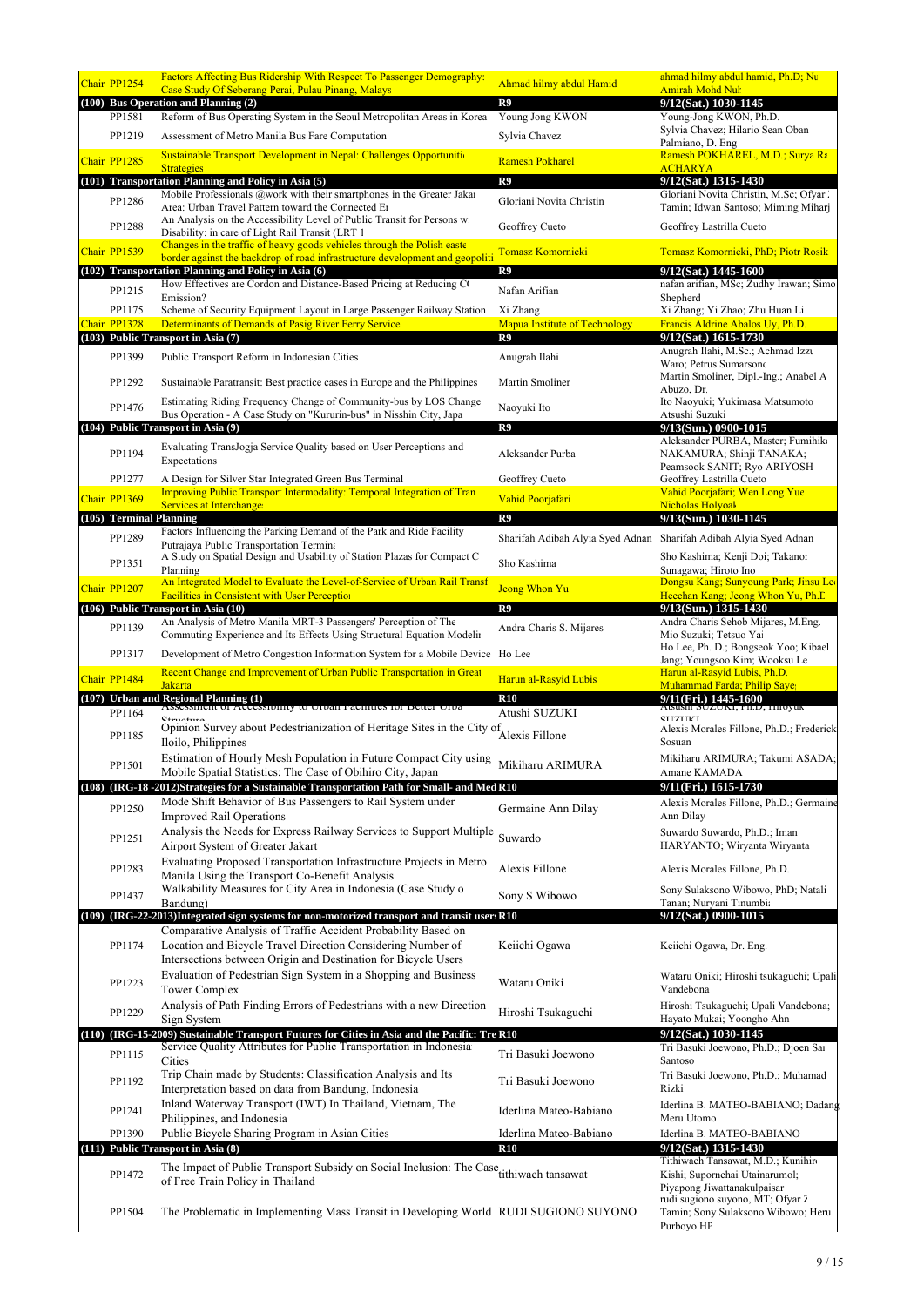| Chair PP1254            | Factors Affecting Bus Ridership With Respect To Passenger Demography:                                                                                         | Ahmad hilmy abdul Hamid                          | ahmad hilmy abdul hamid, Ph.D; Nu                                                                     |
|-------------------------|---------------------------------------------------------------------------------------------------------------------------------------------------------------|--------------------------------------------------|-------------------------------------------------------------------------------------------------------|
|                         | Case Study Of Seberang Perai, Pulau Pinang, Malays<br>(100) Bus Operation and Planning (2)                                                                    | R9                                               | <b>Amirah Mohd Nul</b><br>9/12(Sat.) 1030-1145                                                        |
| PP1581                  | Reform of Bus Operating System in the Seoul Metropolitan Areas in Korea                                                                                       | Young Jong KWON                                  | Young-Jong KWON, Ph.D.                                                                                |
| PP1219                  | Assessment of Metro Manila Bus Fare Computation                                                                                                               | Sylvia Chavez                                    | Sylvia Chavez; Hilario Sean Oban                                                                      |
|                         | <b>Sustainable Transport Development in Nepal: Challenges Opportunition</b>                                                                                   |                                                  | Palmiano, D. Eng<br>Ramesh POKHAREL, M.D.; Surya Ra                                                   |
| Chair PP1285            | <b>Strategies</b>                                                                                                                                             | <b>Ramesh Pokharel</b>                           | <b>ACHARYA</b>                                                                                        |
|                         | (101) Transportation Planning and Policy in Asia (5)                                                                                                          | R9                                               | 9/12(Sat.) 1315-1430                                                                                  |
| PP1286                  | Mobile Professionals @work with their smartphones in the Greater Jakar<br>Area: Urban Travel Pattern toward the Connected E1                                  | Gloriani Novita Christin                         | Gloriani Novita Christin, M.Sc; Ofyar.<br>Tamin; Idwan Santoso; Miming Miharj                         |
| PP1288                  | An Analysis on the Accessibility Level of Public Transit for Persons wi                                                                                       | Geoffrey Cueto                                   | Geoffrey Lastrilla Cueto                                                                              |
|                         | Disability: in care of Light Rail Transit (LRT 1<br>Changes in the traffic of heavy goods vehicles through the Polish easte                                   |                                                  |                                                                                                       |
| Chair PP1539            | border against the backdrop of road infrastructure development and geopoliti                                                                                  | Tomasz Komornicki                                | Tomasz Komornicki, PhD; Piotr Rosik                                                                   |
|                         | (102) Transportation Planning and Policy in Asia (6)<br>How Effectives are Cordon and Distance-Based Pricing at Reducing CO                                   | R9                                               | 9/12(Sat.) 1445-1600<br>nafan arifian, MSc; Zudhy Irawan; Simo                                        |
| PP1215                  | Emission?                                                                                                                                                     | Nafan Arifian                                    | Shepherd                                                                                              |
| PP1175<br>Chair PP1328  | Scheme of Security Equipment Layout in Large Passenger Railway Station                                                                                        | Xi Zhang<br><b>Mapua Institute of Technology</b> | Xi Zhang; Yi Zhao; Zhu Huan Li<br>Francis Aldrine Abalos Uy, Ph.D.                                    |
|                         | Determinants of Demands of Pasig River Ferry Service<br>(103) Public Transport in Asia (7)                                                                    | R9                                               | 9/12(Sat.) 1615-1730                                                                                  |
| PP1399                  | Public Transport Reform in Indonesian Cities                                                                                                                  | Anugrah Ilahi                                    | Anugrah Ilahi, M.Sc.; Achmad Izzu                                                                     |
|                         |                                                                                                                                                               |                                                  | Waro; Petrus Sumarsono<br>Martin Smoliner, Dipl.-Ing.; Anabel A                                       |
| PP1292                  | Sustainable Paratransit: Best practice cases in Europe and the Philippines                                                                                    | Martin Smoliner                                  | Abuzo, Dr.                                                                                            |
| PP1476                  | Estimating Riding Frequency Change of Community-bus by LOS Change<br>Bus Operation - A Case Study on "Kururin-bus" in Nisshin City, Japa                      | Naoyuki Ito                                      | Ito Naoyuki; Yukimasa Matsumoto<br>Atsushi Suzuki                                                     |
|                         | (104) Public Transport in Asia (9)                                                                                                                            | R9                                               | 9/13(Sun.) 0900-1015                                                                                  |
|                         | Evaluating TransJogja Service Quality based on User Perceptions and                                                                                           |                                                  | Aleksander PURBA, Master; Fumihiko                                                                    |
| PP1194                  | Expectations                                                                                                                                                  | Aleksander Purba                                 | NAKAMURA; Shinji TANAKA;<br>Peamsook SANIT; Ryo ARIYOSH                                               |
| PP1277                  | A Design for Silver Star Integrated Green Bus Terminal                                                                                                        | Geoffrey Cueto                                   | Geoffrey Lastrilla Cueto                                                                              |
| Chair PP1369            | <b>Improving Public Transport Intermodality: Temporal Integration of Tran</b><br><b>Services at Interchanges</b>                                              | Vahid Poorjafari                                 | Vahid Poorjafari; Wen Long Yue<br><b>Nicholas Holyoal</b>                                             |
| (105) Terminal Planning |                                                                                                                                                               | R9                                               | 9/13(Sun.) 1030-1145                                                                                  |
| PP1289                  | Factors Influencing the Parking Demand of the Park and Ride Facility                                                                                          | Sharifah Adibah Alyia Syed Adnan                 | Sharifah Adibah Alyia Syed Adnan                                                                      |
|                         | Putrajaya Public Transportation Termina<br>A Study on Spatial Design and Usability of Station Plazas for Compact C                                            |                                                  | Sho Kashima; Kenji Doi; Takanor                                                                       |
| PP1351                  | Planning                                                                                                                                                      | Sho Kashima                                      | Sunagawa; Hiroto Ino                                                                                  |
| Chair PP1207            | An Integrated Model to Evaluate the Level-of-Service of Urban Rail Transf<br><b>Facilities in Consistent with User Perception</b>                             | <b>Jeong Whon Yu</b>                             | Dongsu Kang; Sunyoung Park; Jinsu Leo<br>Heechan Kang; Jeong Whon Yu, Ph. L                           |
|                         | (106) Public Transport in Asia (10)                                                                                                                           | R9                                               | 9/13(Sun.) 1315-1430                                                                                  |
| PP1139                  | An Analysis of Metro Manila MRT-3 Passengers' Perception of The<br>Commuting Experience and Its Effects Using Structural Equation Modelin                     | Andra Charis S. Mijares                          | Andra Charis Sehob Mijares, M.Eng.<br>Mio Suzuki; Tetsuo Yai                                          |
| PP1317                  | Development of Metro Congestion Information System for a Mobile Device Ho Lee                                                                                 |                                                  | Ho Lee, Ph. D.; Bongseok Yoo; Kibael                                                                  |
|                         | Recent Change and Improvement of Urban Public Transportation in Great                                                                                         |                                                  | Jang; Youngsoo Kim; Wooksu Le<br>Harun al-Rasyid Lubis, Ph.D.                                         |
| Chair PP1484            | <b>Jakarta</b>                                                                                                                                                | Harun al-Rasyid Lubis                            | <b>Muhammad Farda: Philip Save</b>                                                                    |
|                         | (107) Urban and Regional Planning (1)<br>ASSESSMENt OF ACCESSIONITY to UTDan Pacificies for Detter UTDa                                                       | <b>R10</b>                                       | 9/11(Fri.) 1445-1600<br>AUSUSIN SUZUNI, PILD, LUIOYUK                                                 |
| PP1164                  | Christines                                                                                                                                                    | Atushi SUZUKI                                    | <b>CLIZIIVI</b>                                                                                       |
| PP1185                  | Opinion Survey about Pedestrianization of Heritage Sites in the City of Alexis Fillone<br>Iloilo, Philippines                                                 |                                                  | Alexis Morales Fillone, Ph.D.; Frederick<br>Sosuan                                                    |
| PP1501                  | Estimation of Hourly Mesh Population in Future Compact City using                                                                                             | Mikiharu ARIMURA                                 | Mikiharu ARIMURA; Takumi ASADA;                                                                       |
|                         | Mobile Spatial Statistics: The Case of Obihiro City, Japan                                                                                                    |                                                  | Amane KAMADA                                                                                          |
|                         | (108) (IRG-18 -2012)Strategies for a Sustainable Transportation Path for Small- and Med R10<br>Mode Shift Behavior of Bus Passengers to Rail System under     |                                                  | 9/11(Fri.) 1615-1730<br>Alexis Morales Fillone, Ph.D.; Germaine                                       |
| PP1250                  | <b>Improved Rail Operations</b>                                                                                                                               | Germaine Ann Dilay                               | Ann Dilay                                                                                             |
| PP1251                  | Analysis the Needs for Express Railway Services to Support Multiple                                                                                           | Suwardo                                          | Suwardo Suwardo, Ph.D.; Iman                                                                          |
|                         | Airport System of Greater Jakart                                                                                                                              |                                                  | HARYANTO; Wiryanta Wiryanta                                                                           |
| PP1283                  | Evaluating Proposed Transportation Infrastructure Projects in Metro<br>Manila Using the Transport Co-Benefit Analysis                                         | Alexis Fillone                                   | Alexis Morales Fillone, Ph.D.                                                                         |
|                         | Walkability Measures for City Area in Indonesia (Case Study o                                                                                                 |                                                  | Sony Sulaksono Wibowo, PhD; Natali                                                                    |
| PP1437                  | Bandung)                                                                                                                                                      | Sony S Wibowo                                    | Tanan; Nuryani Tinumbia                                                                               |
|                         | (109) (IRG-22-2013)Integrated sign systems for non-motorized transport and transit users R10<br>Comparative Analysis of Traffic Accident Probability Based on |                                                  | 9/12(Sat.) 0900-1015                                                                                  |
| PP1174                  | Location and Bicycle Travel Direction Considering Number of                                                                                                   | Keiichi Ogawa                                    | Keiichi Ogawa, Dr. Eng.                                                                               |
|                         | Intersections between Origin and Destination for Bicycle Users                                                                                                |                                                  |                                                                                                       |
| PP1223                  | Evaluation of Pedestrian Sign System in a Shopping and Business                                                                                               | Wataru Oniki                                     | Wataru Oniki; Hiroshi tsukaguchi; Upali                                                               |
|                         | <b>Tower Complex</b><br>Analysis of Path Finding Errors of Pedestrians with a new Direction                                                                   |                                                  | Vandebona                                                                                             |
| PP1229                  | Sign System                                                                                                                                                   | Hiroshi Tsukaguchi                               | Hiroshi Tsukaguchi; Upali Vandebona;<br>Hayato Mukai; Yoongho Ahn                                     |
|                         | (110) (IRG-15-2009) Sustainable Transport Futures for Cities in Asia and the Pacific: Tre R10                                                                 |                                                  | 9/12(Sat.) 1030-1145                                                                                  |
| PP1115                  | Service Quality Attributes for Public Transportation in Indonesia                                                                                             | Tri Basuki Joewono                               | Tri Basuki Joewono, Ph.D.; Djoen Sat<br>Santoso                                                       |
|                         | Cities<br>Trip Chain made by Students: Classification Analysis and Its                                                                                        |                                                  | Tri Basuki Joewono, Ph.D.; Muhamad                                                                    |
| PP1192                  | Interpretation based on data from Bandung, Indonesia                                                                                                          | Tri Basuki Joewono                               | Rizki                                                                                                 |
| PP1241                  | Inland Waterway Transport (IWT) In Thailand, Vietnam, The                                                                                                     | Iderlina Mateo-Babiano                           | Iderlina B. MATEO-BABIANO; Dadang                                                                     |
|                         | Philippines, and Indonesia                                                                                                                                    | Iderlina Mateo-Babiano                           | Meru Utomo<br>Iderlina B. MATEO-BABIANO                                                               |
|                         |                                                                                                                                                               |                                                  |                                                                                                       |
| PP1390                  | Public Bicycle Sharing Program in Asian Cities                                                                                                                | <b>R10</b>                                       | 9/12(Sat.) 1315-1430                                                                                  |
|                         | (111) Public Transport in Asia (8)                                                                                                                            |                                                  | Tithiwach Tansawat, M.D.; Kunihir                                                                     |
| PP1472                  | The Impact of Public Transport Subsidy on Social Inclusion: The Case <sub>tithiwach</sub> tansawat<br>of Free Train Policy in Thailand                        |                                                  | Kishi; Supornchai Utainarumol;                                                                        |
| PP1504                  | The Problematic in Implementing Mass Transit in Developing World RUDI SUGIONO SUYONO                                                                          |                                                  | Piyapong Jiwattanakulpaisar<br>rudi sugiono suyono, MT; Ofyar 2<br>Tamin; Sony Sulaksono Wibowo; Heru |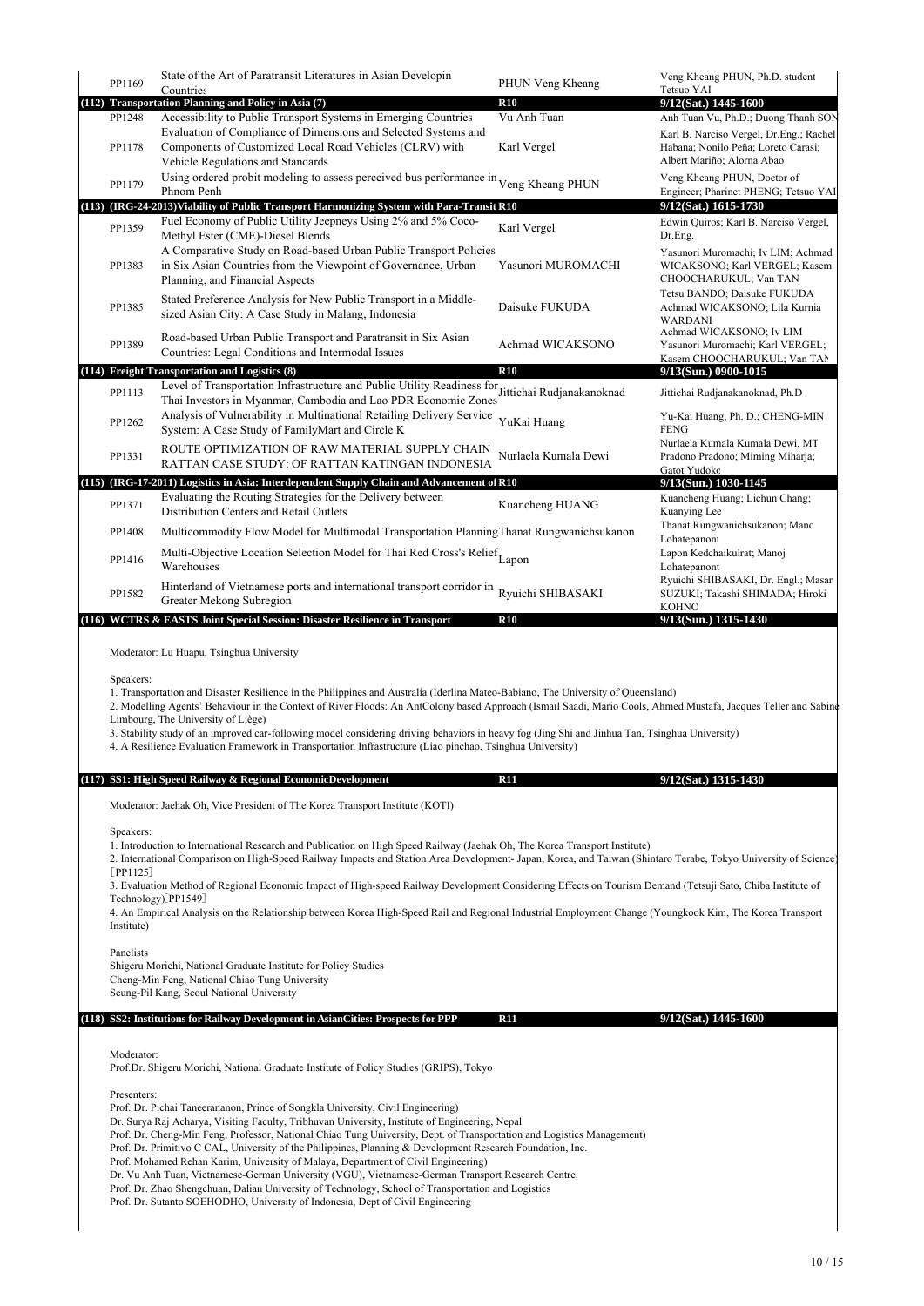| PP1169      | State of the Art of Paratransit Literatures in Asian Developin                                                                                                                                                                                                                                                                                                                                                                                                        | PHUN Veng Kheang          | Veng Kheang PHUN, Ph.D. student                                                                              |  |  |  |
|-------------|-----------------------------------------------------------------------------------------------------------------------------------------------------------------------------------------------------------------------------------------------------------------------------------------------------------------------------------------------------------------------------------------------------------------------------------------------------------------------|---------------------------|--------------------------------------------------------------------------------------------------------------|--|--|--|
|             | Countries<br>(112) Transportation Planning and Policy in Asia (7)                                                                                                                                                                                                                                                                                                                                                                                                     | <b>R10</b>                | Tetsuo YAI<br>9/12(Sat.) 1445-1600                                                                           |  |  |  |
| PP1248      | Accessibility to Public Transport Systems in Emerging Countries                                                                                                                                                                                                                                                                                                                                                                                                       | Vu Anh Tuan               | Anh Tuan Vu, Ph.D.; Duong Thanh SON                                                                          |  |  |  |
| PP1178      | Evaluation of Compliance of Dimensions and Selected Systems and<br>Components of Customized Local Road Vehicles (CLRV) with<br>Vehicle Regulations and Standards                                                                                                                                                                                                                                                                                                      | Karl Vergel               | Karl B. Narciso Vergel, Dr.Eng.; Rachel<br>Habana; Nonilo Peña; Loreto Carasi;<br>Albert Mariño; Alorna Abao |  |  |  |
| PP1179      | Using ordered probit modeling to assess perceived bus performance in Veng Kheang PHUN<br>Phnom Penh                                                                                                                                                                                                                                                                                                                                                                   |                           | Veng Kheang PHUN, Doctor of<br>Engineer; Pharinet PHENG; Tetsuo YAI                                          |  |  |  |
| PP1359      | (113) (IRG-24-2013) Viability of Public Transport Harmonizing System with Para-Transit R10<br>Fuel Economy of Public Utility Jeepneys Using 2% and 5% Coco-<br>Methyl Ester (CME)-Diesel Blends                                                                                                                                                                                                                                                                       | Karl Vergel               | 9/12(Sat.) 1615-1730<br>Edwin Quiros; Karl B. Narciso Vergel,<br>Dr.Eng.                                     |  |  |  |
| PP1383      | A Comparative Study on Road-based Urban Public Transport Policies<br>in Six Asian Countries from the Viewpoint of Governance, Urban<br>Planning, and Financial Aspects                                                                                                                                                                                                                                                                                                | Yasunori MUROMACHI        | Yasunori Muromachi; Iv LIM; Achmad<br>WICAKSONO; Karl VERGEL; Kasem<br>CHOOCHARUKUL; Van TAN                 |  |  |  |
| PP1385      | Stated Preference Analysis for New Public Transport in a Middle-<br>sized Asian City: A Case Study in Malang, Indonesia                                                                                                                                                                                                                                                                                                                                               | Daisuke FUKUDA            | Tetsu BANDO; Daisuke FUKUDA<br>Achmad WICAKSONO; Lila Kurnia<br>WARDANI                                      |  |  |  |
| PP1389      | Road-based Urban Public Transport and Paratransit in Six Asian<br>Countries: Legal Conditions and Intermodal Issues                                                                                                                                                                                                                                                                                                                                                   | Achmad WICAKSONO          | Achmad WICAKSONO; Iv LIM<br>Yasunori Muromachi; Karl VERGEL;<br>Kasem CHOOCHARUKUL; Van TAI                  |  |  |  |
|             | (114) Freight Transportation and Logistics (8)<br>Level of Transportation Infrastructure and Public Utility Readiness for                                                                                                                                                                                                                                                                                                                                             | <b>R10</b>                | 9/13(Sun.) 0900-1015                                                                                         |  |  |  |
| PP1113      | Thai Investors in Myanmar, Cambodia and Lao PDR Economic Zones                                                                                                                                                                                                                                                                                                                                                                                                        | Jittichai Rudjanakanoknad | Jittichai Rudjanakanoknad, Ph.D                                                                              |  |  |  |
| PP1262      | Analysis of Vulnerability in Multinational Retailing Delivery Service<br>System: A Case Study of FamilyMart and Circle K                                                                                                                                                                                                                                                                                                                                              | YuKai Huang               | Yu-Kai Huang, Ph. D.; CHENG-MIN<br><b>FENG</b>                                                               |  |  |  |
| PP1331      | ROUTE OPTIMIZATION OF RAW MATERIAL SUPPLY CHAIN<br>RATTAN CASE STUDY: OF RATTAN KATINGAN INDONESIA                                                                                                                                                                                                                                                                                                                                                                    | Nurlaela Kumala Dewi      | Nurlaela Kumala Kumala Dewi, MT<br>Pradono Pradono; Miming Miharja;                                          |  |  |  |
|             | (115) (IRG-17-2011) Logistics in Asia: Interdependent Supply Chain and Advancement of R10                                                                                                                                                                                                                                                                                                                                                                             |                           | Gatot Yudokc<br>9/13(Sun.) 1030-1145                                                                         |  |  |  |
| PP1371      | Evaluating the Routing Strategies for the Delivery between                                                                                                                                                                                                                                                                                                                                                                                                            | Kuancheng HUANG           | Kuancheng Huang; Lichun Chang;                                                                               |  |  |  |
|             | Distribution Centers and Retail Outlets                                                                                                                                                                                                                                                                                                                                                                                                                               |                           | Kuanying Lee<br>Thanat Rungwanichsukanon; Mano                                                               |  |  |  |
| PP1408      | Multicommodity Flow Model for Multimodal Transportation Planning Thanat Rungwanichsukanon                                                                                                                                                                                                                                                                                                                                                                             |                           | Lohatepanon                                                                                                  |  |  |  |
| PP1416      | Multi-Objective Location Selection Model for Thai Red Cross's Relief Lapon<br>Warehouses                                                                                                                                                                                                                                                                                                                                                                              |                           | Lapon Kedchaikulrat; Manoj<br>Lohatepanont                                                                   |  |  |  |
| PP1582      | Hinterland of Vietnamese ports and international transport corridor in<br>Greater Mekong Subregion                                                                                                                                                                                                                                                                                                                                                                    | Ryuichi SHIBASAKI         | Ryuichi SHIBASAKI, Dr. Engl.; Masar<br>SUZUKI; Takashi SHIMADA; Hiroki                                       |  |  |  |
|             | (116) WCTRS & EASTS Joint Special Session: Disaster Resilience in Transport                                                                                                                                                                                                                                                                                                                                                                                           | R10                       | KOHNO<br>9/13(Sun.) 1315-1430                                                                                |  |  |  |
| Speakers:   | Moderator: Lu Huapu, Tsinghua University<br>1. Transportation and Disaster Resilience in the Philippines and Australia (Iderlina Mateo-Babiano, The University of Queensland)                                                                                                                                                                                                                                                                                         |                           |                                                                                                              |  |  |  |
|             | 2. Modelling Agents' Behaviour in the Context of River Floods: An AntColony based Approach (Ismail Saadi, Mario Cools, Ahmed Mustafa, Jacques Teller and Sabine<br>Limbourg, The University of Liège)<br>3. Stability study of an improved car-following model considering driving behaviors in heavy fog (Jing Shi and Jinhua Tan, Tsinghua University)<br>4. A Resilience Evaluation Framework in Transportation Infrastructure (Liao pinchao, Tsinghua University) |                           |                                                                                                              |  |  |  |
|             | (117) SS1: High Speed Railway & Regional EconomicDevelopment                                                                                                                                                                                                                                                                                                                                                                                                          | R11                       | 9/12(Sat.) 1315-1430                                                                                         |  |  |  |
|             |                                                                                                                                                                                                                                                                                                                                                                                                                                                                       |                           |                                                                                                              |  |  |  |
|             | Moderator: Jaehak Oh, Vice President of The Korea Transport Institute (KOTI)                                                                                                                                                                                                                                                                                                                                                                                          |                           |                                                                                                              |  |  |  |
| Speakers:   | 1. Introduction to International Research and Publication on High Speed Railway (Jaehak Oh, The Korea Transport Institute)<br>2. International Comparison on High-Speed Railway Impacts and Station Area Development-Japan, Korea, and Taiwan (Shintaro Terabe, Tokyo University of Science)                                                                                                                                                                          |                           |                                                                                                              |  |  |  |
| $[PP1125]$  | 3. Evaluation Method of Regional Economic Impact of High-speed Railway Development Considering Effects on Tourism Demand (Tetsuji Sato, Chiba Institute of                                                                                                                                                                                                                                                                                                            |                           |                                                                                                              |  |  |  |
| Institute)  | Technology)[PP1549]<br>4. An Empirical Analysis on the Relationship between Korea High-Speed Rail and Regional Industrial Employment Change (Youngkook Kim, The Korea Transport                                                                                                                                                                                                                                                                                       |                           |                                                                                                              |  |  |  |
| Panelists   | Shigeru Morichi, National Graduate Institute for Policy Studies<br>Cheng-Min Feng, National Chiao Tung University<br>Seung-Pil Kang, Seoul National University                                                                                                                                                                                                                                                                                                        |                           |                                                                                                              |  |  |  |
|             | (118) SS2: Institutions for Railway Development in AsianCities: Prospects for PPP                                                                                                                                                                                                                                                                                                                                                                                     | R11                       | $9/12$ (Sat.) 1445-1600                                                                                      |  |  |  |
|             |                                                                                                                                                                                                                                                                                                                                                                                                                                                                       |                           |                                                                                                              |  |  |  |
| Moderator:  | Prof.Dr. Shigeru Morichi, National Graduate Institute of Policy Studies (GRIPS), Tokyo                                                                                                                                                                                                                                                                                                                                                                                |                           |                                                                                                              |  |  |  |
| Presenters: |                                                                                                                                                                                                                                                                                                                                                                                                                                                                       |                           |                                                                                                              |  |  |  |
|             | Prof. Dr. Pichai Taneerananon, Prince of Songkla University, Civil Engineering)                                                                                                                                                                                                                                                                                                                                                                                       |                           |                                                                                                              |  |  |  |
|             | Dr. Surya Raj Acharya, Visiting Faculty, Tribhuvan University, Institute of Engineering, Nepal<br>Prof. Dr. Cheng-Min Feng, Professor, National Chiao Tung University, Dept. of Transportation and Logistics Management)                                                                                                                                                                                                                                              |                           |                                                                                                              |  |  |  |
|             | Prof. Dr. Primitivo C CAL, University of the Philippines, Planning & Development Research Foundation, Inc.                                                                                                                                                                                                                                                                                                                                                            |                           |                                                                                                              |  |  |  |
|             | Prof. Mohamed Rehan Karim, University of Malaya, Department of Civil Engineering)<br>Dr. Vu Anh Tuan, Vietnamese-German University (VGU), Vietnamese-German Transport Research Centre.                                                                                                                                                                                                                                                                                |                           |                                                                                                              |  |  |  |
|             | Prof. Dr. Zhao Shengchuan, Dalian University of Technology, School of Transportation and Logistics<br>Prof. Dr. Sutanto SOEHODHO, University of Indonesia, Dept of Civil Engineering                                                                                                                                                                                                                                                                                  |                           |                                                                                                              |  |  |  |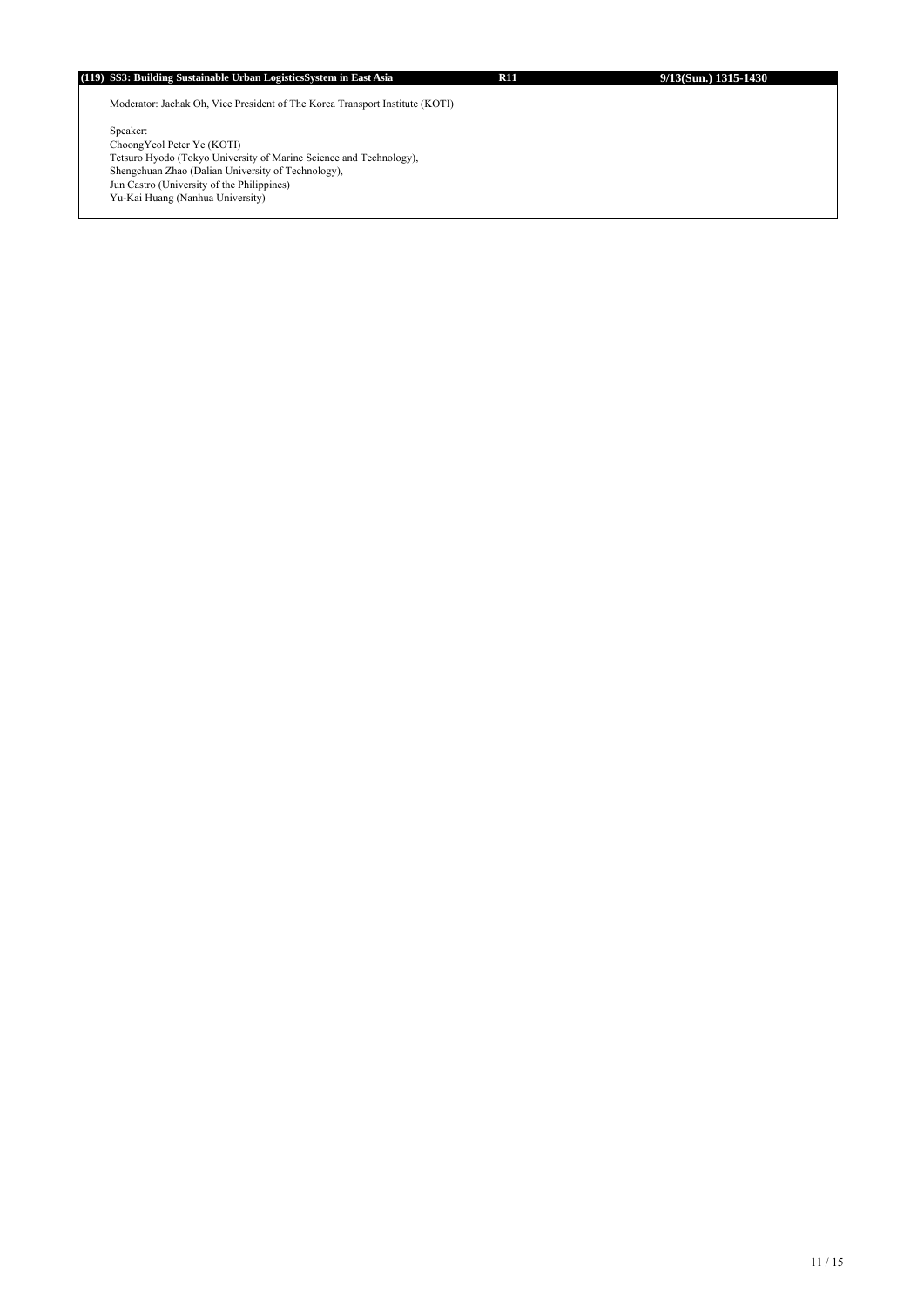## **(119) SS3: Building Sustainable Urban LogisticsSystem in East Asia R11 9/13(Sun.) 1315-1430**

Moderator: Jaehak Oh, Vice President of The Korea Transport Institute (KOTI)

Speaker: ChoongYeol Peter Ye (KOTI) Tetsuro Hyodo (Tokyo University of Marine Science and Technology), Shengchuan Zhao (Dalian University of Technology), Jun Castro (University of the Philippines) Yu-Kai Huang (Nanhua University)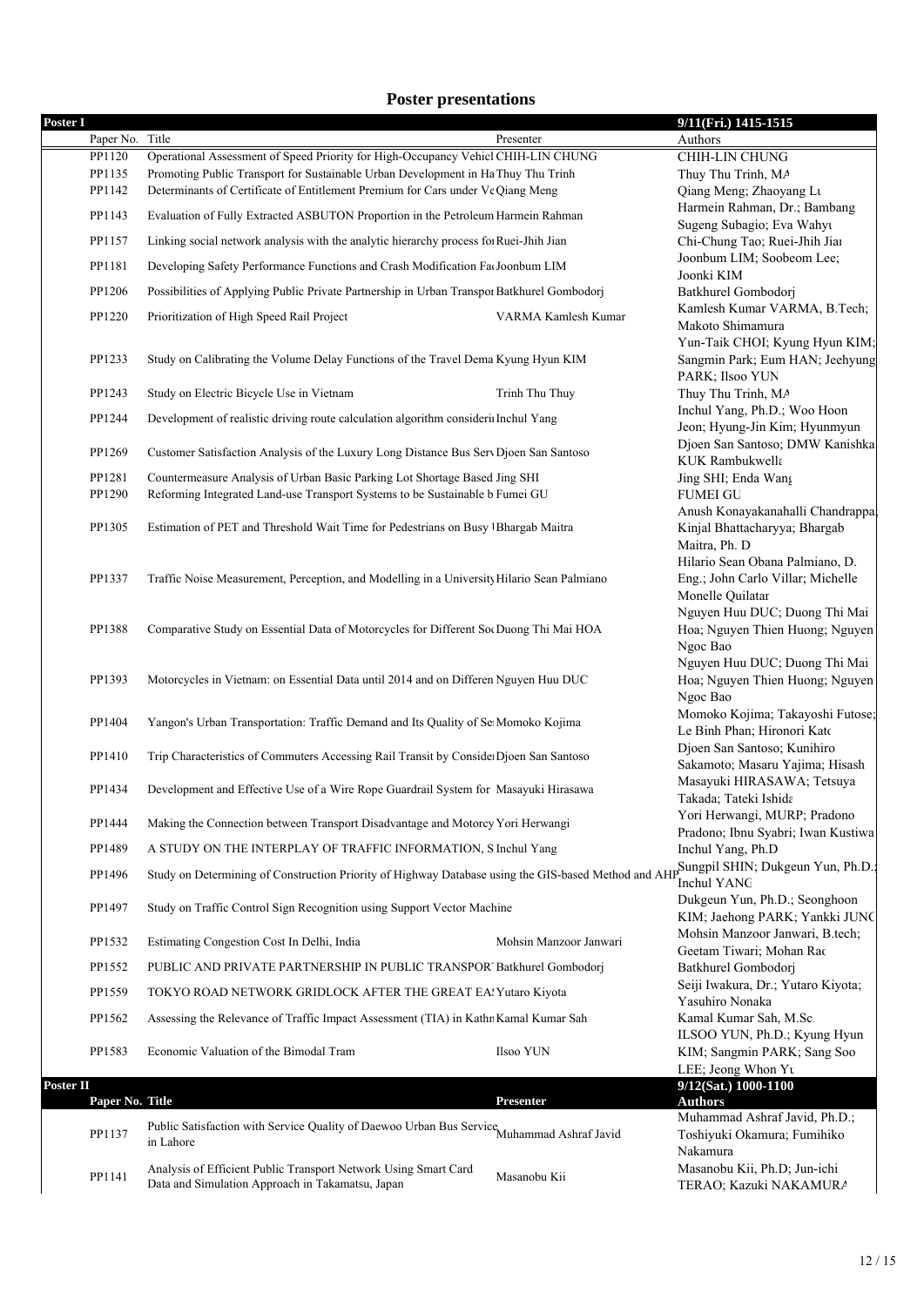## **Poster presentations**

| Poster I  |                 |                                                                                                                     |                        | 9/11(Fri.) 1415-1515                                    |
|-----------|-----------------|---------------------------------------------------------------------------------------------------------------------|------------------------|---------------------------------------------------------|
|           | Paper No. Title |                                                                                                                     | Presenter              | Authors                                                 |
|           | PP1120          | Operational Assessment of Speed Priority for High-Occupancy Vehicl CHIH-LIN CHUNG                                   |                        | <b>CHIH-LIN CHUNG</b>                                   |
|           | PP1135          | Promoting Public Transport for Sustainable Urban Development in Ha Thuy Thu Trinh                                   |                        | Thuy Thu Trinh, MA                                      |
|           | PP1142          | Determinants of Certificate of Entitlement Premium for Cars under Vt Qiang Meng                                     |                        | Qiang Meng; Zhaoyang Lu                                 |
|           | PP1143          | Evaluation of Fully Extracted ASBUTON Proportion in the Petroleum Harmein Rahman                                    |                        | Harmein Rahman, Dr.; Bambang                            |
|           |                 |                                                                                                                     |                        | Sugeng Subagio; Eva Wahyu                               |
|           | PP1157          | Linking social network analysis with the analytic hierarchy process fo Ruei-Jhih Jian                               |                        | Chi-Chung Tao; Ruei-Jhih Jiar                           |
|           | PP1181          | Developing Safety Performance Functions and Crash Modification Fa Joonbum LIM                                       |                        | Joonbum LIM; Soobeom Lee;                               |
|           |                 |                                                                                                                     |                        | Joonki KIM                                              |
|           | PP1206          | Possibilities of Applying Public Private Partnership in Urban Transpor Batkhurel Gombodori                          |                        | Batkhurel Gombodorj                                     |
|           | PP1220          | Prioritization of High Speed Rail Project                                                                           | VARMA Kamlesh Kumar    | Kamlesh Kumar VARMA, B.Tech;                            |
|           |                 |                                                                                                                     |                        | Makoto Shimamura                                        |
|           |                 |                                                                                                                     |                        | Yun-Taik CHOI; Kyung Hyun KIM;                          |
|           | PP1233          | Study on Calibrating the Volume Delay Functions of the Travel Dema Kyung Hyun KIM                                   |                        | Sangmin Park; Eum HAN; Jeehyung                         |
|           | PP1243          | Study on Electric Bicycle Use in Vietnam                                                                            |                        | PARK; Ilsoo YUN                                         |
|           |                 |                                                                                                                     | Trinh Thu Thuy         | Thuy Thu Trinh, MA<br>Inchul Yang, Ph.D.; Woo Hoon      |
|           | PP1244          | Development of realistic driving route calculation algorithm considerii Inchul Yang                                 |                        | Jeon; Hyung-Jin Kim; Hyunmyun                           |
|           |                 |                                                                                                                     |                        | Djoen San Santoso; DMW Kanishka                         |
|           | PP1269          | Customer Satisfaction Analysis of the Luxury Long Distance Bus Serv Djoen San Santoso                               |                        | KUK Rambukwella                                         |
|           | PP1281          | Countermeasure Analysis of Urban Basic Parking Lot Shortage Based Jing SHI                                          |                        | Jing SHI; Enda Wang                                     |
|           | PP1290          | Reforming Integrated Land-use Transport Systems to be Sustainable b Fumei GU                                        |                        | <b>FUMEI GU</b>                                         |
|           |                 |                                                                                                                     |                        | Anush Konayakanahalli Chandrappa                        |
|           | PP1305          | Estimation of PET and Threshold Wait Time for Pedestrians on Busy   Bhargab Maitra                                  |                        | Kinjal Bhattacharyya; Bhargab                           |
|           |                 |                                                                                                                     |                        | Maitra, Ph. D                                           |
|           |                 |                                                                                                                     |                        | Hilario Sean Obana Palmiano, D.                         |
|           | PP1337          | Traffic Noise Measurement, Perception, and Modelling in a University Hilario Sean Palmiano                          |                        | Eng.; John Carlo Villar; Michelle                       |
|           |                 |                                                                                                                     |                        | Monelle Quilatar                                        |
|           |                 |                                                                                                                     |                        | Nguyen Huu DUC; Duong Thi Mai                           |
|           | PP1388          | Comparative Study on Essential Data of Motorcycles for Different Soc Duong Thi Mai HOA                              |                        | Hoa; Nguyen Thien Huong; Nguyen                         |
|           |                 |                                                                                                                     |                        | Ngoc Bao                                                |
|           |                 |                                                                                                                     |                        | Nguyen Huu DUC; Duong Thi Mai                           |
|           | PP1393          | Motorcycles in Vietnam: on Essential Data until 2014 and on Differen Nguyen Huu DUC                                 |                        | Hoa; Nguyen Thien Huong; Nguyen                         |
|           |                 |                                                                                                                     |                        | Ngoc Bao                                                |
|           | PP1404          | Yangon's Urban Transportation: Traffic Demand and Its Quality of Se Momoko Kojima                                   |                        | Momoko Kojima; Takayoshi Futose;                        |
|           |                 |                                                                                                                     |                        | Le Binh Phan; Hironori Kato                             |
|           | PP1410          | Trip Characteristics of Commuters Accessing Rail Transit by Conside Djoen San Santoso                               |                        | Djoen San Santoso; Kunihiro                             |
|           |                 |                                                                                                                     |                        | Sakamoto; Masaru Yajima; Hisash                         |
|           | PP1434          | Development and Effective Use of a Wire Rope Guardrail System for Masayuki Hirasawa                                 |                        | Masayuki HIRASAWA; Tetsuya                              |
|           |                 |                                                                                                                     |                        | Takada; Tateki Ishida                                   |
|           | PP1444          | Making the Connection between Transport Disadvantage and Motorcy Yori Herwangi                                      |                        | Yori Herwangi, MURP; Pradono                            |
|           | PP1489          | A STUDY ON THE INTERPLAY OF TRAFFIC INFORMATION, S Inchul Yang                                                      |                        | Pradono; Ibnu Syabri; Iwan Kustiwa<br>Inchul Yang, Ph.D |
|           |                 |                                                                                                                     |                        | pSungpil SHIN; Dukgeun Yun, Ph.D.;                      |
|           | PP1496          | Study on Determining of Construction Priority of Highway Database using the GIS-based Method and AH                 |                        | <b>Inchul YANG</b>                                      |
|           |                 |                                                                                                                     |                        | Dukgeun Yun, Ph.D.; Seonghoon                           |
|           | PP1497          | Study on Traffic Control Sign Recognition using Support Vector Machine                                              |                        | KIM; Jaehong PARK; Yankki JUNC                          |
|           |                 |                                                                                                                     |                        | Mohsin Manzoor Janwari, B.tech;                         |
|           | PP1532          | Estimating Congestion Cost In Delhi, India                                                                          | Mohsin Manzoor Janwari | Geetam Tiwari; Mohan Rac                                |
|           | PP1552          | PUBLIC AND PRIVATE PARTNERSHIP IN PUBLIC TRANSPOR' Batkhurel Gombodorj                                              |                        | Batkhurel Gombodorj                                     |
|           |                 |                                                                                                                     |                        | Seiji Iwakura, Dr.; Yutaro Kiyota;                      |
|           | PP1559          | TOKYO ROAD NETWORK GRIDLOCK AFTER THE GREAT EA Yutaro Kiyota                                                        |                        | Yasuhiro Nonaka                                         |
|           | PP1562          | Assessing the Relevance of Traffic Impact Assessment (TIA) in Kathr Kamal Kumar Sah                                 |                        | Kamal Kumar Sah, M.Sc.                                  |
|           |                 |                                                                                                                     |                        | ILSOO YUN, Ph.D.; Kyung Hyun                            |
|           | PP1583          | Economic Valuation of the Bimodal Tram                                                                              | Ilsoo YUN              | KIM; Sangmin PARK; Sang Soo                             |
|           |                 |                                                                                                                     |                        | LEE; Jeong Whon Yu                                      |
| Poster II |                 |                                                                                                                     |                        | 9/12(Sat.) 1000-1100                                    |
|           | Paper No. Title |                                                                                                                     | <b>Presenter</b>       | <b>Authors</b>                                          |
|           |                 | Public Satisfaction with Service Quality of Daewoo Urban Bus Service Muhammad Ashraf Javid                          |                        | Muhammad Ashraf Javid, Ph.D.;                           |
|           | PP1137          | in Lahore                                                                                                           |                        | Toshiyuki Okamura; Fumihiko                             |
|           |                 |                                                                                                                     |                        | Nakamura                                                |
|           | PP1141          | Analysis of Efficient Public Transport Network Using Smart Card<br>Data and Simulation Approach in Takamatsu, Japan | Masanobu Kii           | Masanobu Kii, Ph.D; Jun-ichi                            |
|           |                 |                                                                                                                     |                        | TERAO; Kazuki NAKAMURA                                  |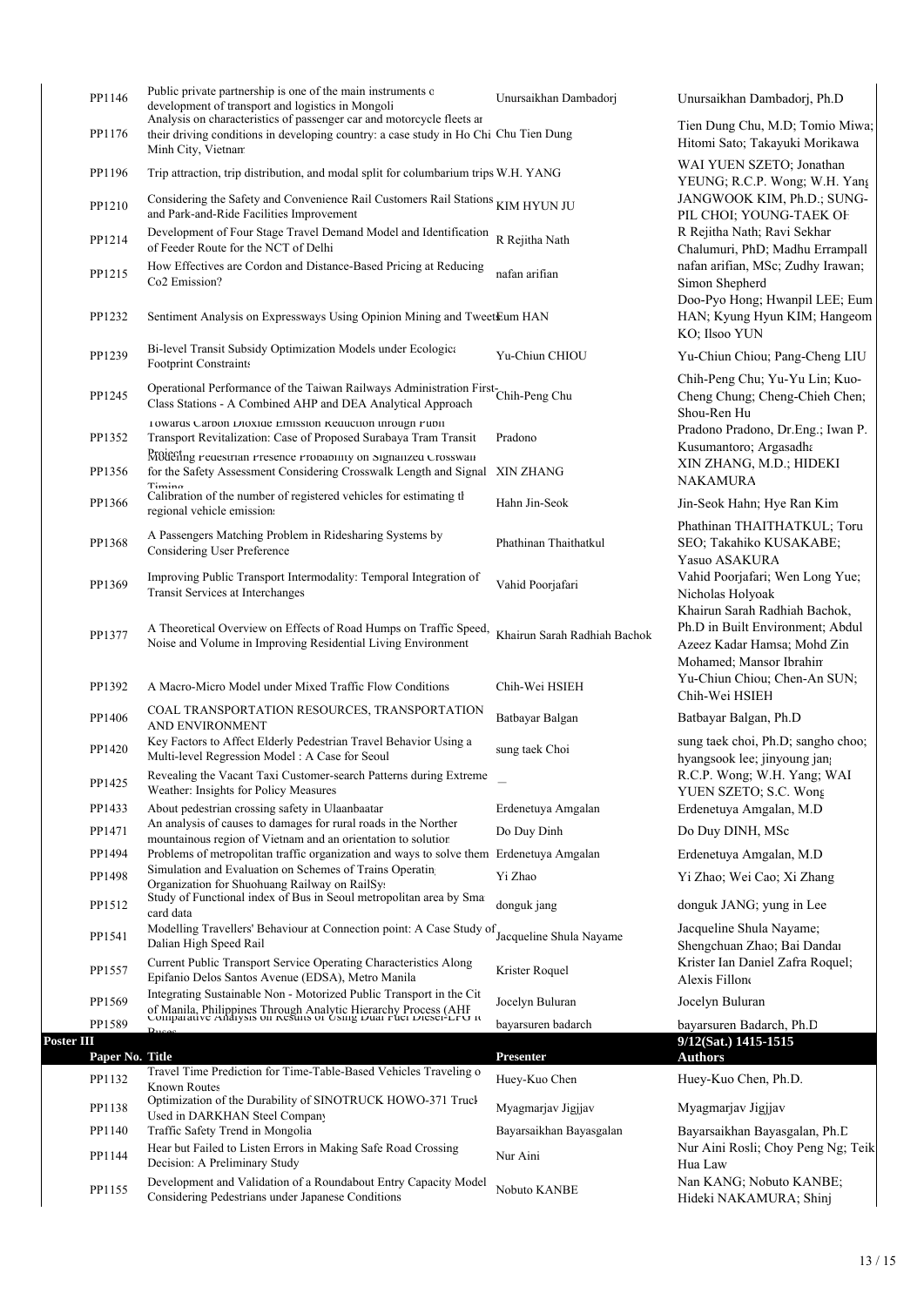|            | PP1146          | Public private partnership is one of the main instruments of<br>development of transport and logistics in Mongoli                                                                                         | Unursaikhan Dambadorj        | Unursaikhan Dambadorj, Ph.D                                                                                                 |
|------------|-----------------|-----------------------------------------------------------------------------------------------------------------------------------------------------------------------------------------------------------|------------------------------|-----------------------------------------------------------------------------------------------------------------------------|
|            | PP1176          | Analysis on characteristics of passenger car and motorcycle fleets at<br>their driving conditions in developing country: a case study in Ho Chi Chu Tien Dung<br>Minh City, Vietnam                       |                              | Tien Dung Chu, M.D; Tomio Miwa;<br>Hitomi Sato; Takayuki Morikawa                                                           |
|            | PP1196          | Trip attraction, trip distribution, and modal split for columbarium trips W.H. YANG                                                                                                                       |                              | WAI YUEN SZETO; Jonathan<br>YEUNG; R.C.P. Wong; W.H. Yang                                                                   |
|            | PP1210          | Considering the Safety and Convenience Rail Customers Rail Stations KIM HYUN JU<br>and Park-and-Ride Facilities Improvement                                                                               |                              | JANGWOOK KIM, Ph.D.; SUNG-<br>PIL CHOI; YOUNG-TAEK OF                                                                       |
|            | PP1214          | Development of Four Stage Travel Demand Model and Identification<br>of Feeder Route for the NCT of Delhi                                                                                                  | R Rejitha Nath               | R Rejitha Nath; Ravi Sekhar<br>Chalumuri, PhD; Madhu Errampall                                                              |
|            | PP1215          | How Effectives are Cordon and Distance-Based Pricing at Reducing<br>Co <sub>2</sub> Emission?                                                                                                             | nafan arifian                | nafan arifian, MSc; Zudhy Irawan;<br>Simon Shepherd                                                                         |
|            | PP1232          | Sentiment Analysis on Expressways Using Opinion Mining and TweetEum HAN                                                                                                                                   |                              | Doo-Pyo Hong; Hwanpil LEE; Eum<br>HAN; Kyung Hyun KIM; Hangeom<br>KO; Ilsoo YUN                                             |
|            | PP1239          | Bi-level Transit Subsidy Optimization Models under Ecologica<br><b>Footprint Constraints</b>                                                                                                              | Yu-Chiun CHIOU               | Yu-Chiun Chiou; Pang-Cheng LIU                                                                                              |
|            | PP1245          | Operational Performance of the Taiwan Railways Administration First Chih-Peng Chu<br>Class Stations - A Combined AHP and DEA Analytical Approach                                                          |                              | Chih-Peng Chu; Yu-Yu Lin; Kuo-<br>Cheng Chung; Cheng-Chieh Chen;<br>Shou-Ren Hu                                             |
|            | PP1352          | 1 owards Carbon Dioxide Emission Keduction inrough Publi<br>Transport Revitalization: Case of Proposed Surabaya Tram Transit                                                                              | Pradono                      | Pradono Pradono, Dr.Eng.; Iwan P.<br>Kusumantoro; Argasadha                                                                 |
|            | PP1356          | Projecting reaestrian rresence rrobability on Signalized Crosswall<br>for the Safety Assessment Considering Crosswalk Length and Signal XIN ZHANG<br>$Timin \sigma$                                       |                              | XIN ZHANG, M.D.; HIDEKI<br><b>NAKAMURA</b>                                                                                  |
|            | PP1366          | Calibration of the number of registered vehicles for estimating the<br>regional vehicle emission                                                                                                          | Hahn Jin-Seok                | Jin-Seok Hahn; Hye Ran Kim                                                                                                  |
|            | PP1368          | A Passengers Matching Problem in Ridesharing Systems by<br>Considering User Preference                                                                                                                    | Phathinan Thaithatkul        | Phathinan THAITHATKUL; Toru<br>SEO; Takahiko KUSAKABE;<br>Yasuo ASAKURA                                                     |
|            | PP1369          | Improving Public Transport Intermodality: Temporal Integration of<br>Transit Services at Interchanges                                                                                                     | Vahid Poorjafari             | Vahid Poorjafari; Wen Long Yue;<br>Nicholas Holyoak                                                                         |
|            | PP1377          | A Theoretical Overview on Effects of Road Humps on Traffic Speed,<br>Noise and Volume in Improving Residential Living Environment                                                                         | Khairun Sarah Radhiah Bachok | Khairun Sarah Radhiah Bachok,<br>Ph.D in Built Environment; Abdul<br>Azeez Kadar Hamsa; Mohd Zin<br>Mohamed; Mansor Ibrahim |
|            | PP1392          | A Macro-Micro Model under Mixed Traffic Flow Conditions                                                                                                                                                   | Chih-Wei HSIEH               | Yu-Chiun Chiou; Chen-An SUN;<br>Chih-Wei HSIEH                                                                              |
|            | PP1406          | COAL TRANSPORTATION RESOURCES, TRANSPORTATION<br>AND ENVIRONMENT                                                                                                                                          | Batbayar Balgan              | Batbayar Balgan, Ph.D                                                                                                       |
|            | PP1420          | Key Factors to Affect Elderly Pedestrian Travel Behavior Using a<br>Multi-level Regression Model: A Case for Seoul                                                                                        | sung taek Choi               | sung taek choi, Ph.D; sangho choo;<br>hyangsook lee; jinyoung jan                                                           |
|            | PP1425          | Revealing the Vacant Taxi Customer-search Patterns during Extreme<br>Weather: Insights for Policy Measures                                                                                                |                              | R.C.P. Wong; W.H. Yang; WAI<br>YUEN SZETO; S.C. Wong                                                                        |
|            | PP1433          | About pedestrian crossing safety in Ulaanbaatar<br>An analysis of causes to damages for rural roads in the Norther                                                                                        | Erdenetuya Amgalan           | Erdenetuya Amgalan, M.D                                                                                                     |
|            | PP1471          | mountainous region of Vietnam and an orientation to solution                                                                                                                                              | Do Duy Dinh                  | Do Duy DINH, MSc                                                                                                            |
|            | PP1494          | Problems of metropolitan traffic organization and ways to solve them Erdenetuya Amgalan                                                                                                                   |                              | Erdenetuya Amgalan, M.D.                                                                                                    |
|            | PP1498          | Simulation and Evaluation on Schemes of Trains Operating<br>Organization for Shuohuang Railway on RailSy.                                                                                                 | Yi Zhao                      | Yi Zhao; Wei Cao; Xi Zhang                                                                                                  |
|            | PP1512          | Study of Functional index of Bus in Seoul metropolitan area by Sma<br>card data                                                                                                                           | donguk jang                  | donguk JANG; yung in Lee                                                                                                    |
|            | PP1541          | Modelling Travellers' Behaviour at Connection point: A Case Study of<br>Dalian High Speed Rail                                                                                                            | Jacqueline Shula Nayame      | Jacqueline Shula Navame;<br>Shengchuan Zhao; Bai Dandar                                                                     |
|            | PP1557          | Current Public Transport Service Operating Characteristics Along<br>Epifanio Delos Santos Avenue (EDSA), Metro Manila                                                                                     | Krister Roquel               | Krister Ian Daniel Zafra Roquel;<br>Alexis Fillone                                                                          |
|            | PP1569          | Integrating Sustainable Non - Motorized Public Transport in the Cit<br>of Manila, Philippines Through Analytic Hierarchy Process (AHF<br>Comparative Anarysis on results of Using Duar Fuer Dieser-LFU it | Jocelyn Buluran              | Jocelyn Buluran                                                                                                             |
|            | PP1589          | $\mathbf{p}_{\mathbf{u}}$                                                                                                                                                                                 | bayarsuren badarch           | bayarsuren Badarch, Ph.D                                                                                                    |
| Poster III |                 |                                                                                                                                                                                                           |                              | 9/12(Sat.) 1415-1515                                                                                                        |
|            | Paper No. Title | Travel Time Prediction for Time-Table-Based Vehicles Traveling o                                                                                                                                          | Presenter                    | <b>Authors</b>                                                                                                              |
|            | PP1132          | <b>Known Routes</b><br>Optimization of the Durability of SINOTRUCK HOWO-371 Truck                                                                                                                         | Huey-Kuo Chen                | Huey-Kuo Chen, Ph.D.                                                                                                        |
|            | PP1138          | Used in DARKHAN Steel Company                                                                                                                                                                             | Myagmarjav Jigjjav           | Myagmarjav Jigjjav                                                                                                          |
|            | PP1140          | Traffic Safety Trend in Mongolia<br>Hear but Failed to Listen Errors in Making Safe Road Crossing                                                                                                         | Bayarsaikhan Bayasgalan      | Bayarsaikhan Bayasgalan, Ph.D.<br>Nur Aini Rosli; Choy Peng Ng; Teik                                                        |
|            | PP1144          | Decision: A Preliminary Study                                                                                                                                                                             | Nur Aini                     | Hua Law                                                                                                                     |
|            | PP1155          | Development and Validation of a Roundabout Entry Capacity Model<br>Considering Pedestrians under Japanese Conditions                                                                                      | Nobuto KANBE                 | Nan KANG; Nobuto KANBE;<br>Hideki NAKAMURA; Shinj                                                                           |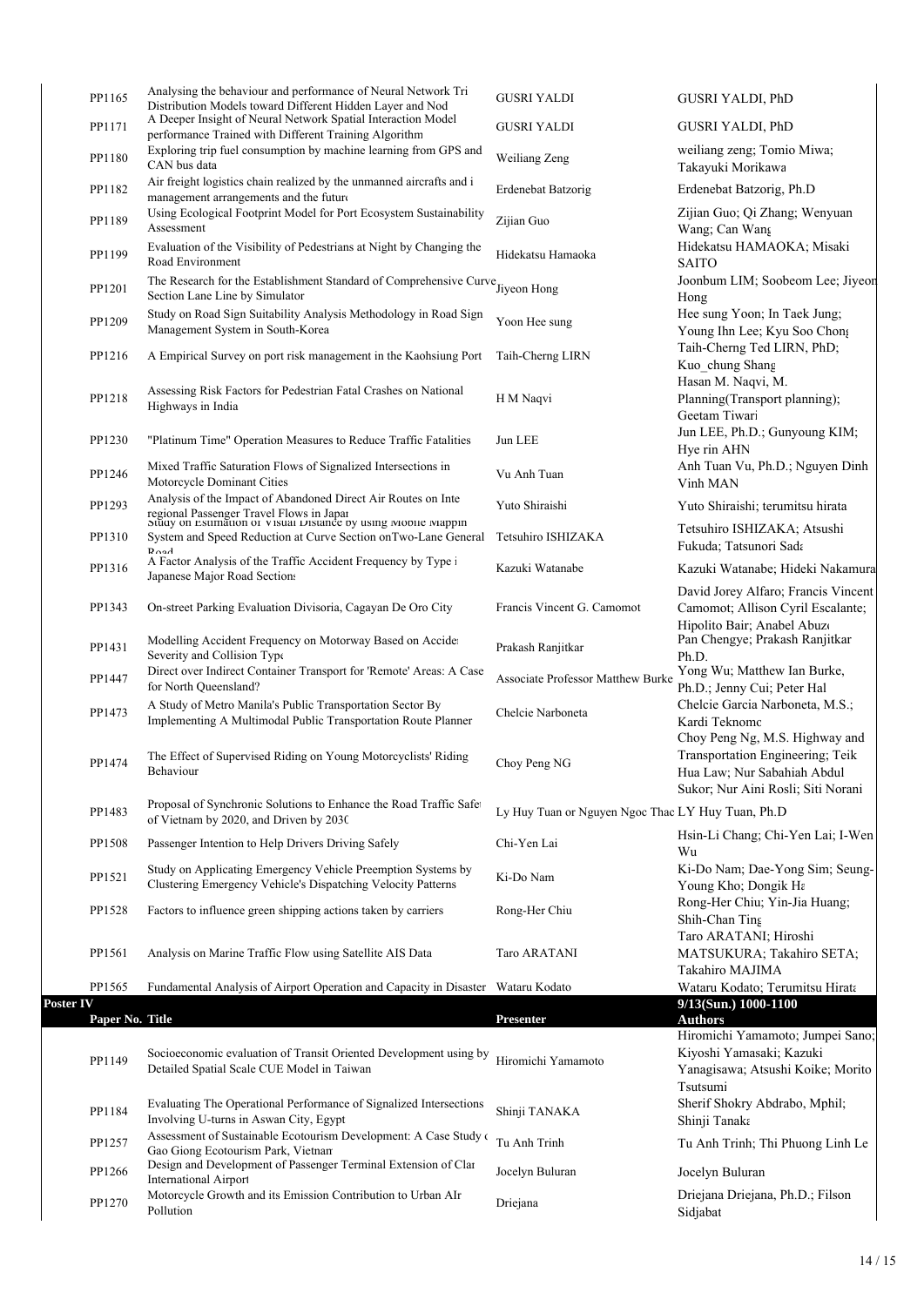|           | PP1165          | Analysing the behaviour and performance of Neural Network Tri<br>Distribution Models toward Different Hidden Layer and Nod                                                 | <b>GUSRI YALDI</b>                                | <b>GUSRI YALDI, PhD</b>                                                                                       |
|-----------|-----------------|----------------------------------------------------------------------------------------------------------------------------------------------------------------------------|---------------------------------------------------|---------------------------------------------------------------------------------------------------------------|
|           | PP1171          | A Deeper Insight of Neural Network Spatial Interaction Model<br>performance Trained with Different Training Algorithm                                                      | <b>GUSRI YALDI</b>                                | <b>GUSRI YALDI, PhD</b>                                                                                       |
|           | PP1180          | Exploring trip fuel consumption by machine learning from GPS and<br>CAN bus data                                                                                           | Weiliang Zeng                                     | weiliang zeng; Tomio Miwa;<br>Takayuki Morikawa                                                               |
|           | PP1182          | Air freight logistics chain realized by the unmanned aircrafts and i<br>management arrangements and the future                                                             | Erdenebat Batzorig                                | Erdenebat Batzorig, Ph.D                                                                                      |
|           | PP1189          | Using Ecological Footprint Model for Port Ecosystem Sustainability<br>Assessment                                                                                           | Zijian Guo                                        | Zijian Guo; Qi Zhang; Wenyuan<br>Wang; Can Wang                                                               |
|           | PP1199          | Evaluation of the Visibility of Pedestrians at Night by Changing the<br>Road Environment                                                                                   | Hidekatsu Hamaoka                                 | Hidekatsu HAMAOKA; Misaki<br><b>SAITO</b>                                                                     |
|           | PP1201          | The Research for the Establishment Standard of Comprehensive Curve Jiyeon Hong<br>Section Lane Line by Simulator                                                           |                                                   | Joonbum LIM; Soobeom Lee; Jiyeon<br>Hong                                                                      |
|           | PP1209          | Study on Road Sign Suitability Analysis Methodology in Road Sign<br>Management System in South-Korea                                                                       | Yoon Hee sung                                     | Hee sung Yoon; In Taek Jung;<br>Young Ihn Lee; Kyu Soo Chong                                                  |
|           | PP1216          | A Empirical Survey on port risk management in the Kaohsiung Port                                                                                                           | Taih-Cherng LIRN                                  | Taih-Cherng Ted LIRN, PhD;<br>Kuo chung Shang                                                                 |
|           | PP1218          | Assessing Risk Factors for Pedestrian Fatal Crashes on National<br>Highways in India                                                                                       | H M Naqvi                                         | Hasan M. Naqvi, M.<br>Planning(Transport planning);<br>Geetam Tiwari                                          |
|           | PP1230          | "Platinum Time" Operation Measures to Reduce Traffic Fatalities                                                                                                            | Jun LEE                                           | Jun LEE, Ph.D.; Gunyoung KIM;<br>Hye rin AHN                                                                  |
|           | PP1246          | Mixed Traffic Saturation Flows of Signalized Intersections in<br>Motorcycle Dominant Cities                                                                                | Vu Anh Tuan                                       | Anh Tuan Vu, Ph.D.; Nguyen Dinh<br>Vinh MAN                                                                   |
|           | PP1293          | Analysis of the Impact of Abandoned Direct Air Routes on Inte<br>regional Passenger Travel Flows in Japar<br>Study on Estimation of Visual Distance by using Mobile Mappin | Yuto Shiraishi                                    | Yuto Shiraishi; terumitsu hirata                                                                              |
|           | PP1310          | System and Speed Reduction at Curve Section on Two-Lane General<br>$\mathbf{p}_{\alpha\alpha}$                                                                             | Tetsuhiro ISHIZAKA                                | Tetsuhiro ISHIZAKA; Atsushi<br>Fukuda; Tatsunori Sada                                                         |
|           | PP1316          | A Factor Analysis of the Traffic Accident Frequency by Type i<br>Japanese Major Road Sections                                                                              | Kazuki Watanabe                                   | Kazuki Watanabe; Hideki Nakamura                                                                              |
|           | PP1343          | On-street Parking Evaluation Divisoria, Cagayan De Oro City                                                                                                                | Francis Vincent G. Camomot                        | David Jorey Alfaro; Francis Vincent<br>Camomot; Allison Cyril Escalante;<br>Hipolito Bair; Anabel Abuzo       |
|           | PP1431          | Modelling Accident Frequency on Motorway Based on Accider<br>Severity and Collision Type                                                                                   | Prakash Ranjitkar                                 | Pan Chengye; Prakash Ranjitkar<br>Ph.D.                                                                       |
|           | PP1447          | Direct over Indirect Container Transport for 'Remote' Areas: A Case<br>for North Queensland?                                                                               | <b>Associate Professor Matthew Burke</b>          | Yong Wu; Matthew Ian Burke,<br>Ph.D.; Jenny Cui; Peter Hal                                                    |
|           | PP1473          | A Study of Metro Manila's Public Transportation Sector By<br>Implementing A Multimodal Public Transportation Route Planner                                                 | Chelcie Narboneta                                 | Chelcie Garcia Narboneta, M.S.;<br>Kardi Teknomo<br>Choy Peng Ng, M.S. Highway and                            |
|           | PP1474          | The Effect of Supervised Riding on Young Motorcyclists' Riding<br>Behaviour                                                                                                | Choy Peng NG                                      | Transportation Engineering; Teik<br>Hua Law; Nur Sabahiah Abdul<br>Sukor; Nur Aini Rosli; Siti Norani         |
|           | PP1483          | Proposal of Synchronic Solutions to Enhance the Road Traffic Safet<br>of Vietnam by 2020, and Driven by 2030                                                               | Ly Huy Tuan or Nguyen Ngoc Thac LY Huy Tuan, Ph.D |                                                                                                               |
|           | PP1508          | Passenger Intention to Help Drivers Driving Safely                                                                                                                         | Chi-Yen Lai                                       | Hsin-Li Chang; Chi-Yen Lai; I-Wen<br>Wu                                                                       |
|           | PP1521          | Study on Applicating Emergency Vehicle Preemption Systems by<br>Clustering Emergency Vehicle's Dispatching Velocity Patterns                                               | Ki-Do Nam                                         | Ki-Do Nam; Dae-Yong Sim; Seung-<br>Young Kho; Dongik Ha                                                       |
|           | PP1528          | Factors to influence green shipping actions taken by carriers                                                                                                              | Rong-Her Chiu                                     | Rong-Her Chiu; Yin-Jia Huang;<br>Shih-Chan Ting<br>Taro ARATANI; Hiroshi                                      |
|           | PP1561          | Analysis on Marine Traffic Flow using Satellite AIS Data                                                                                                                   | Taro ARATANI                                      | MATSUKURA; Takahiro SETA;<br>Takahiro MAJIMA                                                                  |
|           | PP1565          | Fundamental Analysis of Airport Operation and Capacity in Disaster Wataru Kodato                                                                                           |                                                   | Wataru Kodato; Terumitsu Hirata                                                                               |
| Poster IV | Paper No. Title |                                                                                                                                                                            | Presenter                                         | 9/13(Sun.) 1000-1100<br><b>Authors</b>                                                                        |
|           | PP1149          | Socioeconomic evaluation of Transit Oriented Development using by<br>Detailed Spatial Scale CUE Model in Taiwan                                                            | Hiromichi Yamamoto                                | Hiromichi Yamamoto; Jumpei Sano;<br>Kiyoshi Yamasaki; Kazuki<br>Yanagisawa; Atsushi Koike; Morito<br>Tsutsumi |
|           |                 | Evaluating The Operational Performance of Signalized Intersections                                                                                                         | Shinji TANAKA                                     | Sherif Shokry Abdrabo, Mphil;                                                                                 |
|           | PP1184          | Involving U-turns in Aswan City, Egypt                                                                                                                                     |                                                   | Shinji Tanaka                                                                                                 |
|           | PP1257          | Assessment of Sustainable Ecotourism Development: A Case Study of<br>Gao Giong Ecotourism Park, Vietnan                                                                    | Tu Anh Trinh                                      | Tu Anh Trinh; Thi Phuong Linh Le                                                                              |
|           | PP1266          | Design and Development of Passenger Terminal Extension of Clar<br><b>International Airport</b>                                                                             | Jocelyn Buluran                                   | Jocelyn Buluran                                                                                               |